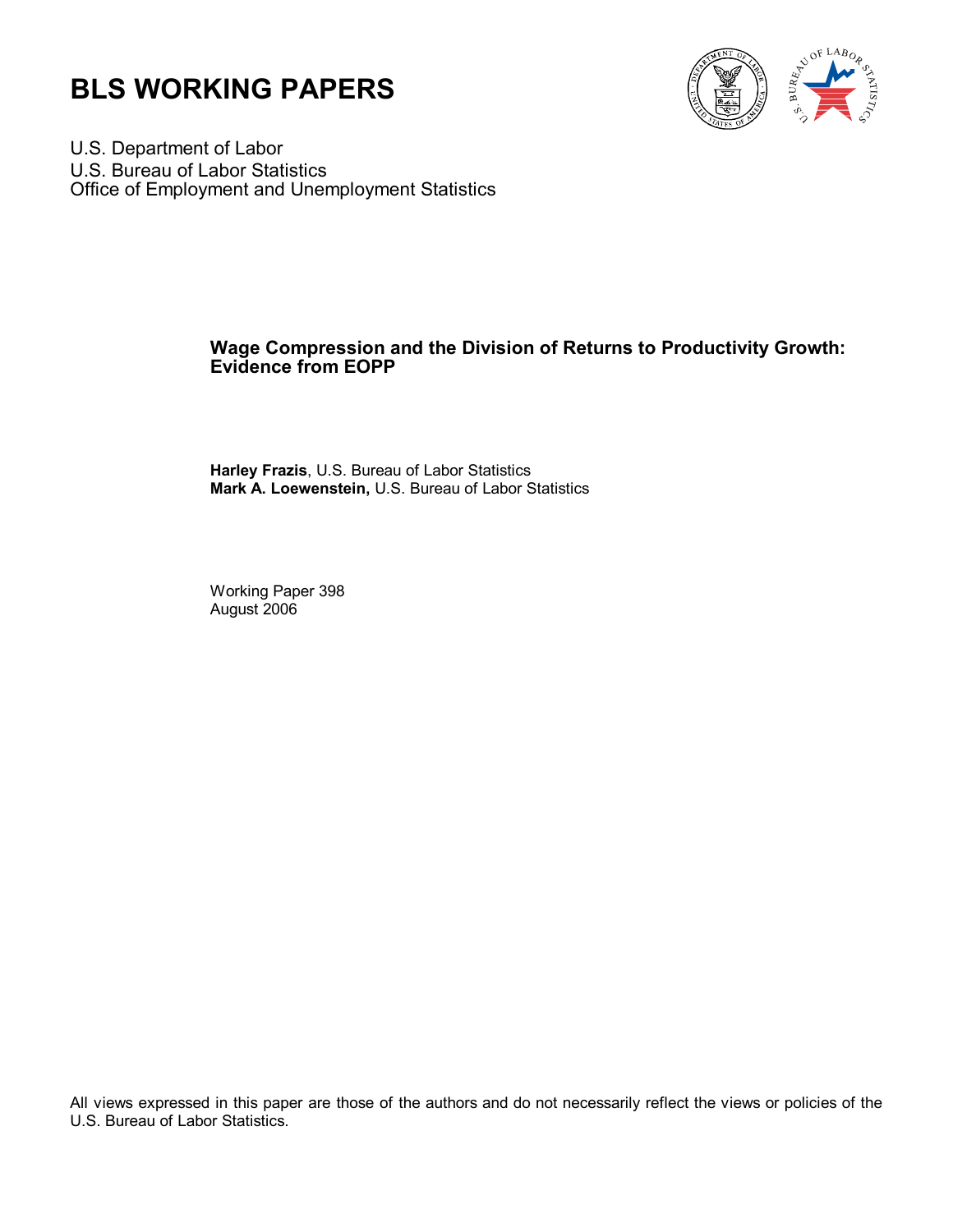



U.S. Department of Labor U.S. Bureau of Labor Statistics Office of Employment and Unemployment Statistics

#### **Wage Compression and the Division of Returns to Productivity Growth: Evidence from EOPP**

**Harley Frazis**, U.S. Bureau of Labor Statistics **Mark A. Loewenstein,** U.S. Bureau of Labor Statistics

Working Paper 398 August 2006

All views expressed in this paper are those of the authors and do not necessarily reflect the views or policies of the U.S. Bureau of Labor Statistics.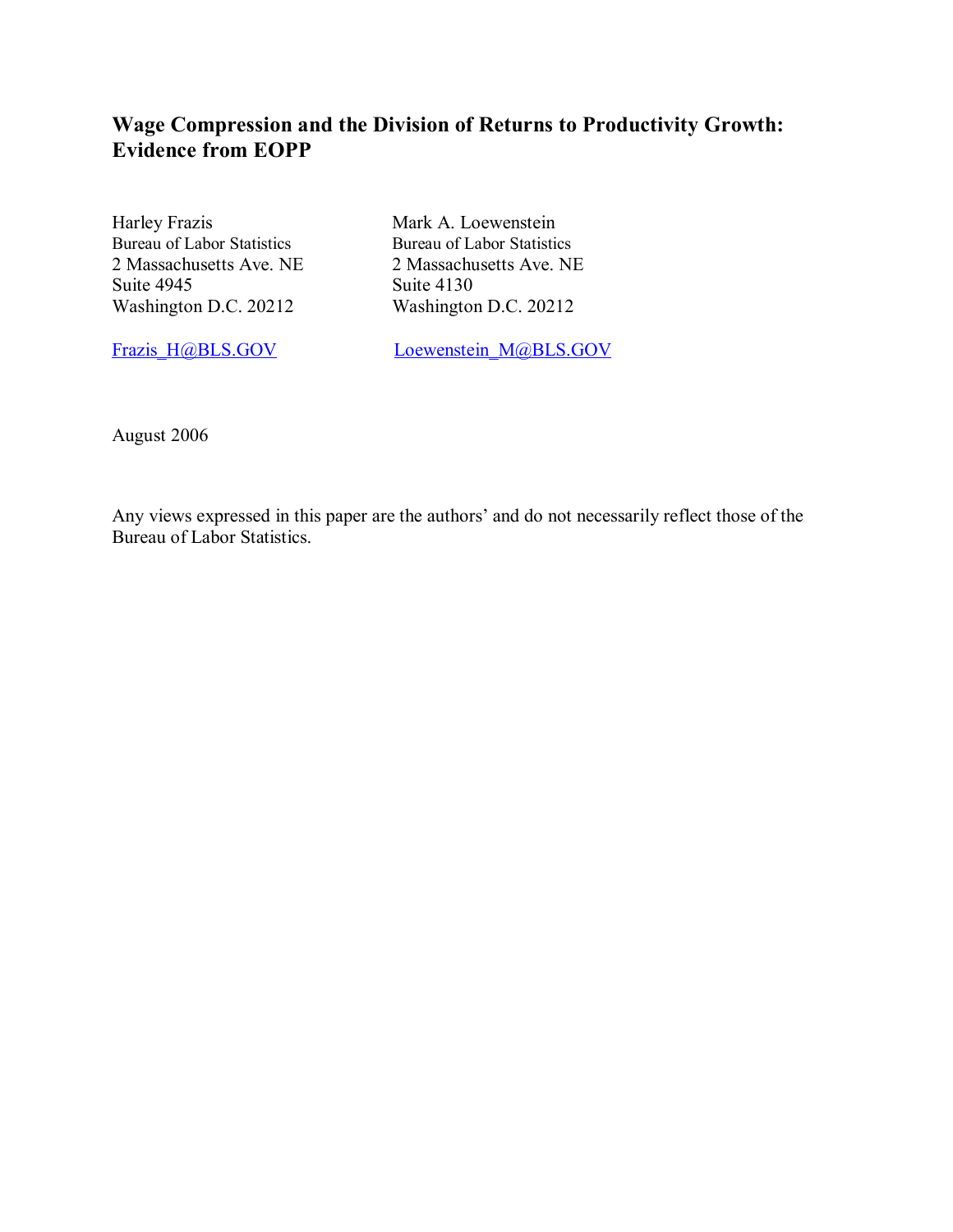## **Wage Compression and the Division of Returns to Productivity Growth: Evidence from EOPP**

Harley Frazis Mark A. Loewenstein<br>Bureau of Labor Statistics Bureau of Labor Statistics Bureau of Labor Statistics Suite 4945<br>Washington D.C. 20212<br>Washington D.C. 20212 Washington D.C. 20212

2 Massachusetts Ave. NE 2 Massachusetts Ave. NE

Frazis\_H@BLS.GOV Loewenstein\_M@BLS.GOV

August 2006

Any views expressed in this paper are the authors' and do not necessarily reflect those of the Bureau of Labor Statistics.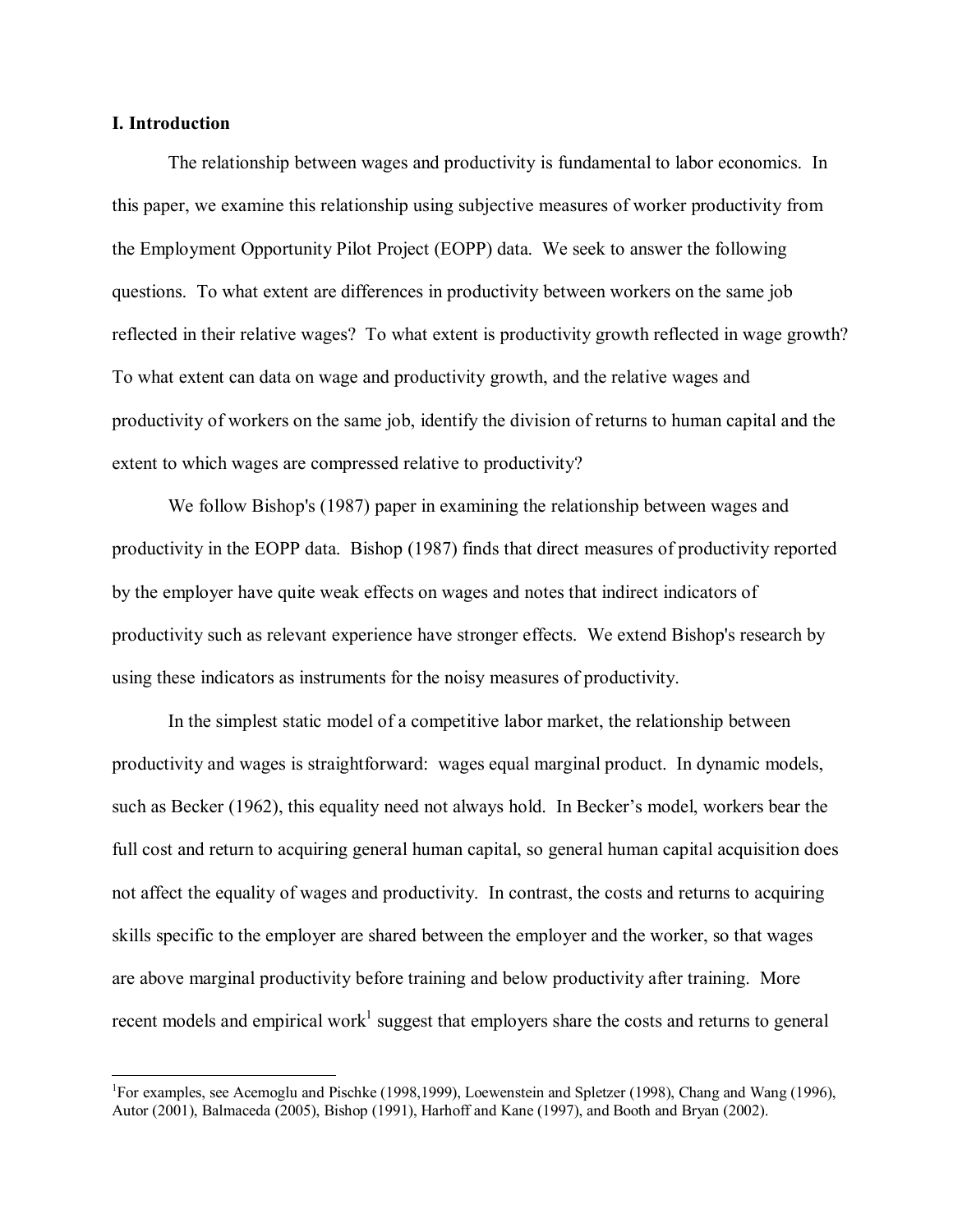#### **I. Introduction**

 $\overline{a}$ 

The relationship between wages and productivity is fundamental to labor economics. In this paper, we examine this relationship using subjective measures of worker productivity from the Employment Opportunity Pilot Project (EOPP) data. We seek to answer the following questions. To what extent are differences in productivity between workers on the same job reflected in their relative wages? To what extent is productivity growth reflected in wage growth? To what extent can data on wage and productivity growth, and the relative wages and productivity of workers on the same job, identify the division of returns to human capital and the extent to which wages are compressed relative to productivity?

We follow Bishop's (1987) paper in examining the relationship between wages and productivity in the EOPP data. Bishop (1987) finds that direct measures of productivity reported by the employer have quite weak effects on wages and notes that indirect indicators of productivity such as relevant experience have stronger effects. We extend Bishop's research by using these indicators as instruments for the noisy measures of productivity.

In the simplest static model of a competitive labor market, the relationship between productivity and wages is straightforward: wages equal marginal product. In dynamic models, such as Becker (1962), this equality need not always hold. In Becker's model, workers bear the full cost and return to acquiring general human capital, so general human capital acquisition does not affect the equality of wages and productivity. In contrast, the costs and returns to acquiring skills specific to the employer are shared between the employer and the worker, so that wages are above marginal productivity before training and below productivity after training. More recent models and empirical work<sup>1</sup> suggest that employers share the costs and returns to general

<sup>&</sup>lt;sup>1</sup>For examples, see Acemoglu and Pischke (1998,1999), Loewenstein and Spletzer (1998), Chang and Wang (1996), Autor (2001), Balmaceda (2005), Bishop (1991), Harhoff and Kane (1997), and Booth and Bryan (2002).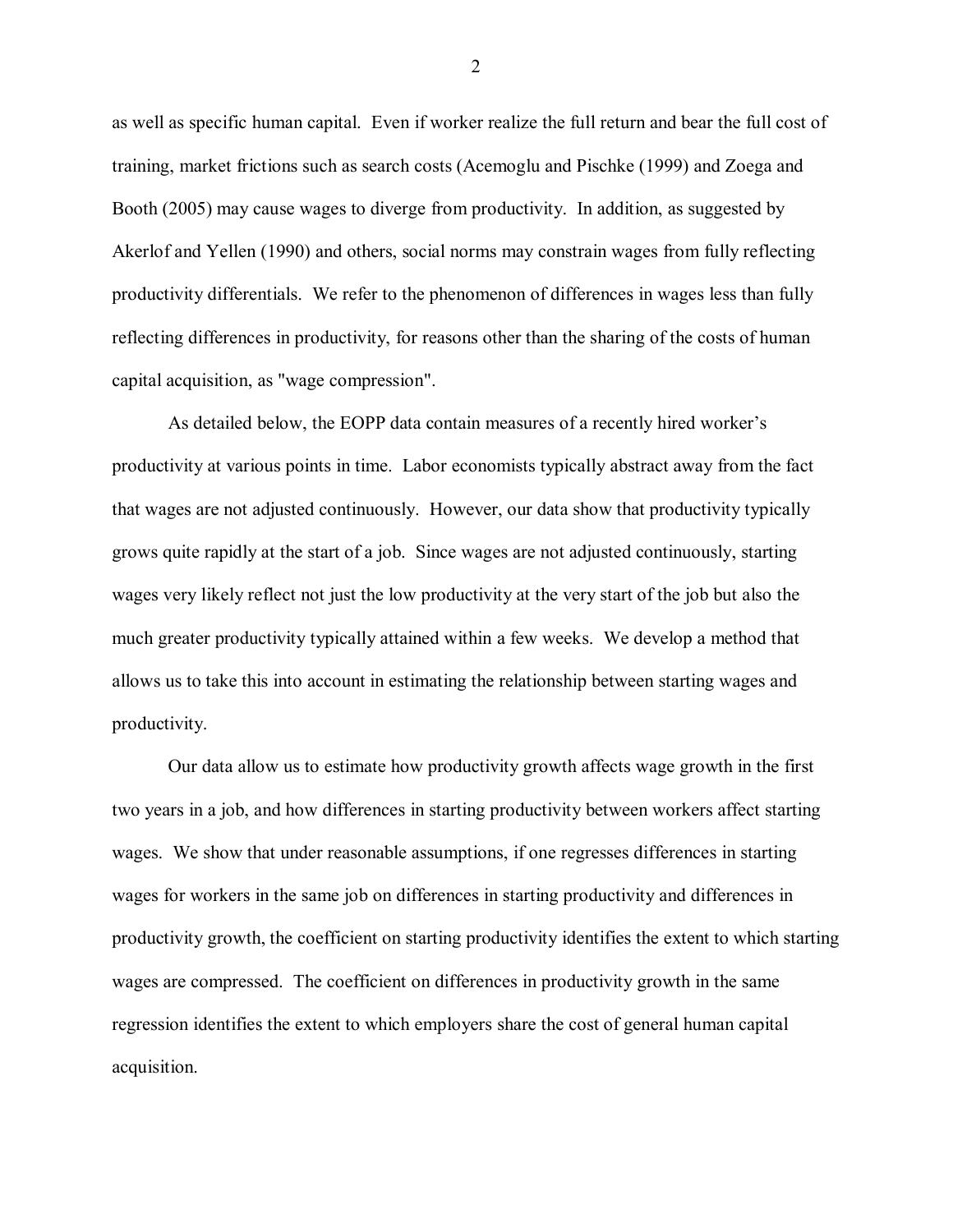as well as specific human capital. Even if worker realize the full return and bear the full cost of training, market frictions such as search costs (Acemoglu and Pischke (1999) and Zoega and Booth (2005) may cause wages to diverge from productivity. In addition, as suggested by Akerlof and Yellen (1990) and others, social norms may constrain wages from fully reflecting productivity differentials. We refer to the phenomenon of differences in wages less than fully reflecting differences in productivity, for reasons other than the sharing of the costs of human capital acquisition, as "wage compression".

As detailed below, the EOPP data contain measures of a recently hired worker's productivity at various points in time. Labor economists typically abstract away from the fact that wages are not adjusted continuously. However, our data show that productivity typically grows quite rapidly at the start of a job. Since wages are not adjusted continuously, starting wages very likely reflect not just the low productivity at the very start of the job but also the much greater productivity typically attained within a few weeks. We develop a method that allows us to take this into account in estimating the relationship between starting wages and productivity.

Our data allow us to estimate how productivity growth affects wage growth in the first two years in a job, and how differences in starting productivity between workers affect starting wages. We show that under reasonable assumptions, if one regresses differences in starting wages for workers in the same job on differences in starting productivity and differences in productivity growth, the coefficient on starting productivity identifies the extent to which starting wages are compressed. The coefficient on differences in productivity growth in the same regression identifies the extent to which employers share the cost of general human capital acquisition.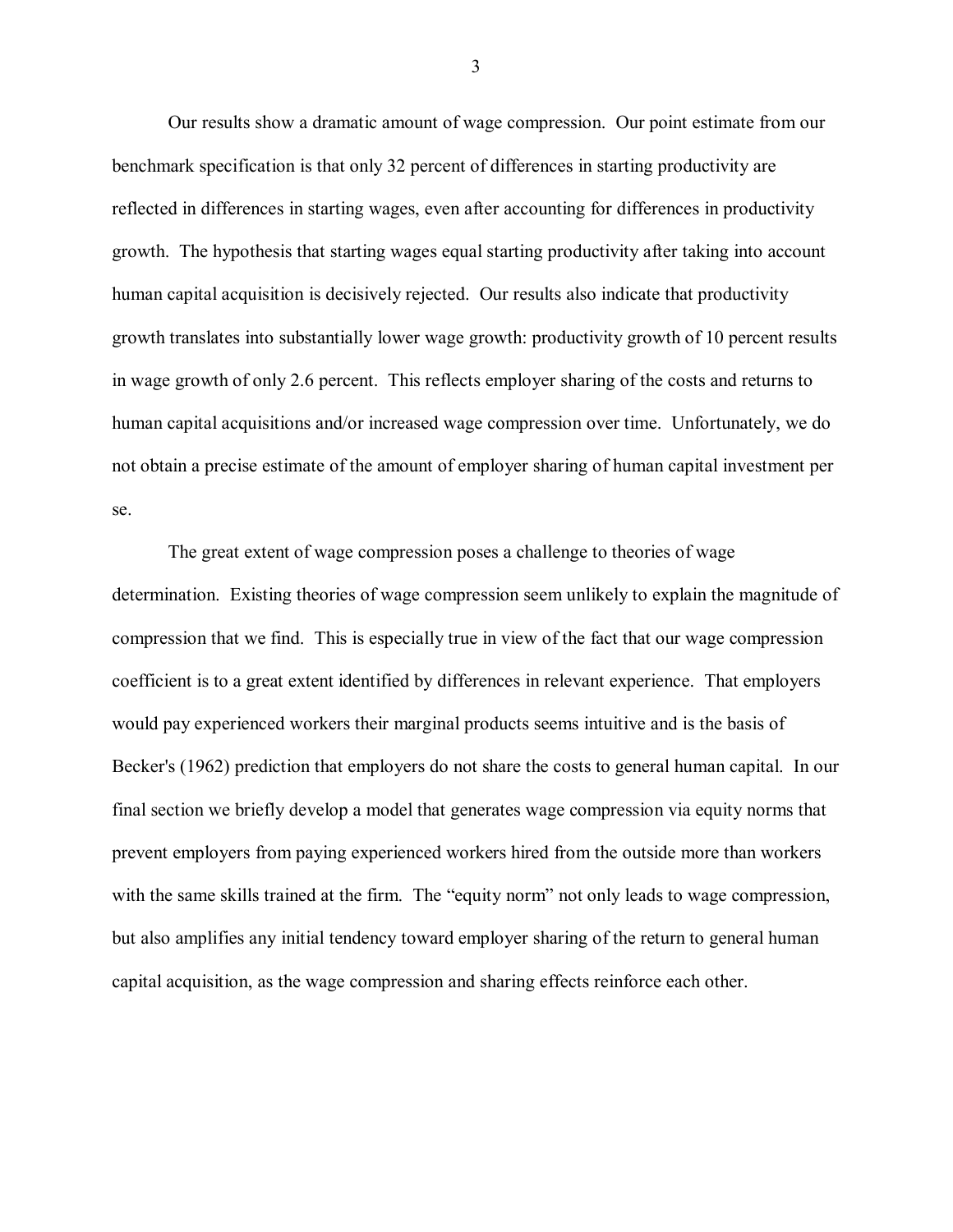Our results show a dramatic amount of wage compression. Our point estimate from our benchmark specification is that only 32 percent of differences in starting productivity are reflected in differences in starting wages, even after accounting for differences in productivity growth. The hypothesis that starting wages equal starting productivity after taking into account human capital acquisition is decisively rejected. Our results also indicate that productivity growth translates into substantially lower wage growth: productivity growth of 10 percent results in wage growth of only 2.6 percent. This reflects employer sharing of the costs and returns to human capital acquisitions and/or increased wage compression over time. Unfortunately, we do not obtain a precise estimate of the amount of employer sharing of human capital investment per se.

The great extent of wage compression poses a challenge to theories of wage determination. Existing theories of wage compression seem unlikely to explain the magnitude of compression that we find. This is especially true in view of the fact that our wage compression coefficient is to a great extent identified by differences in relevant experience. That employers would pay experienced workers their marginal products seems intuitive and is the basis of Becker's (1962) prediction that employers do not share the costs to general human capital. In our final section we briefly develop a model that generates wage compression via equity norms that prevent employers from paying experienced workers hired from the outside more than workers with the same skills trained at the firm. The "equity norm" not only leads to wage compression, but also amplifies any initial tendency toward employer sharing of the return to general human capital acquisition, as the wage compression and sharing effects reinforce each other.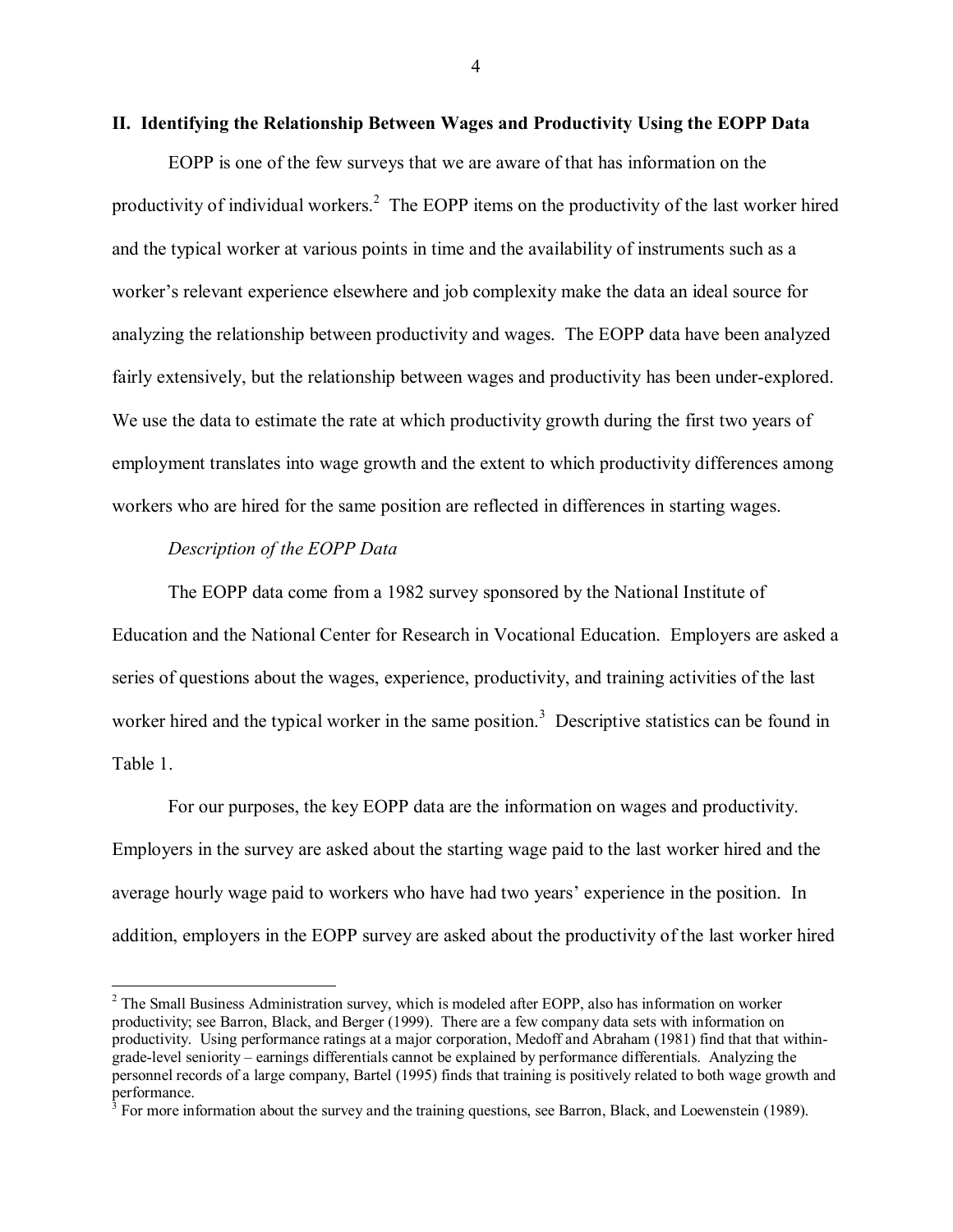#### **II. Identifying the Relationship Between Wages and Productivity Using the EOPP Data**

EOPP is one of the few surveys that we are aware of that has information on the productivity of individual workers.<sup>2</sup> The EOPP items on the productivity of the last worker hired and the typical worker at various points in time and the availability of instruments such as a worker's relevant experience elsewhere and job complexity make the data an ideal source for analyzing the relationship between productivity and wages. The EOPP data have been analyzed fairly extensively, but the relationship between wages and productivity has been under-explored. We use the data to estimate the rate at which productivity growth during the first two years of employment translates into wage growth and the extent to which productivity differences among workers who are hired for the same position are reflected in differences in starting wages.

#### *Description of the EOPP Data*

 $\overline{a}$ 

The EOPP data come from a 1982 survey sponsored by the National Institute of Education and the National Center for Research in Vocational Education. Employers are asked a series of questions about the wages, experience, productivity, and training activities of the last worker hired and the typical worker in the same position.<sup>3</sup> Descriptive statistics can be found in Table 1.

For our purposes, the key EOPP data are the information on wages and productivity. Employers in the survey are asked about the starting wage paid to the last worker hired and the average hourly wage paid to workers who have had two years' experience in the position. In addition, employers in the EOPP survey are asked about the productivity of the last worker hired

<sup>&</sup>lt;sup>2</sup> The Small Business Administration survey, which is modeled after EOPP, also has information on worker productivity; see Barron, Black, and Berger (1999). There are a few company data sets with information on productivity. Using performance ratings at a major corporation, Medoff and Abraham (1981) find that that withingrade-level seniority – earnings differentials cannot be explained by performance differentials. Analyzing the personnel records of a large company, Bartel (1995) finds that training is positively related to both wage growth and performance.<br><sup>3</sup> For more information about the survey and the training questions, see Barron, Black, and Loewenstein (1989).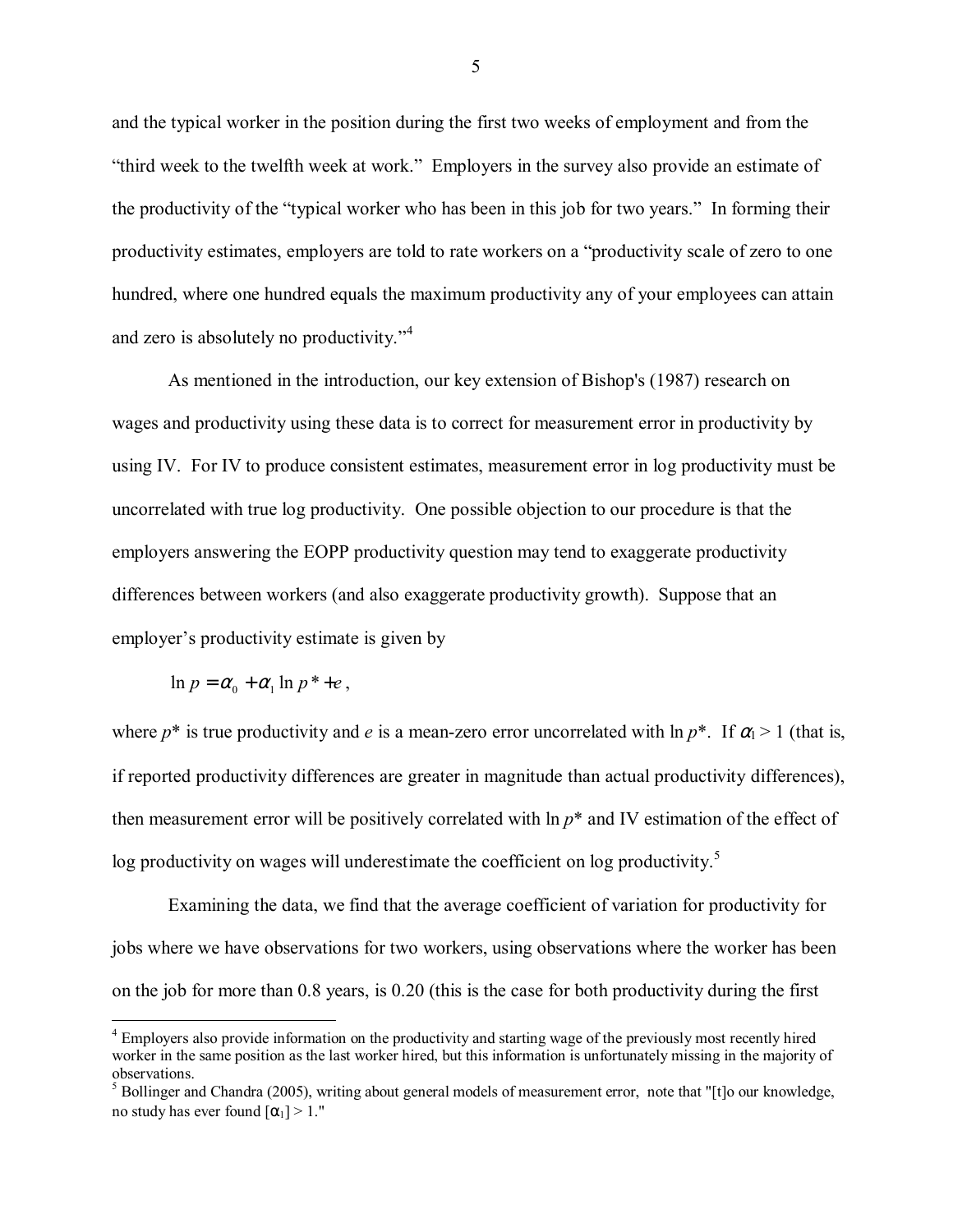and the typical worker in the position during the first two weeks of employment and from the "third week to the twelfth week at work." Employers in the survey also provide an estimate of the productivity of the "typical worker who has been in this job for two years." In forming their productivity estimates, employers are told to rate workers on a "productivity scale of zero to one hundred, where one hundred equals the maximum productivity any of your employees can attain and zero is absolutely no productivity. $i<sup>4</sup>$ 

As mentioned in the introduction, our key extension of Bishop's (1987) research on wages and productivity using these data is to correct for measurement error in productivity by using IV. For IV to produce consistent estimates, measurement error in log productivity must be uncorrelated with true log productivity. One possible objection to our procedure is that the employers answering the EOPP productivity question may tend to exaggerate productivity differences between workers (and also exaggerate productivity growth). Suppose that an employer's productivity estimate is given by

$$
\ln p = \alpha_0 + \alpha_1 \ln p^* + e
$$

<u>.</u>

where  $p^*$  is true productivity and *e* is a mean-zero error uncorrelated with  $\ln p^*$ . If  $\alpha_1 > 1$  (that is, if reported productivity differences are greater in magnitude than actual productivity differences), then measurement error will be positively correlated with ln *p*\* and IV estimation of the effect of log productivity on wages will underestimate the coefficient on log productivity.<sup>5</sup>

Examining the data, we find that the average coefficient of variation for productivity for jobs where we have observations for two workers, using observations where the worker has been on the job for more than 0.8 years, is 0.20 (this is the case for both productivity during the first

<sup>&</sup>lt;sup>4</sup> Employers also provide information on the productivity and starting wage of the previously most recently hired worker in the same position as the last worker hired, but this information is unfortunately missing in the majority of observations.

 $<sup>5</sup>$  Bollinger and Chandra (2005), writing about general models of measurement error, note that "[t]o our knowledge,</sup> no study has ever found  $\lceil \alpha_1 \rceil > 1$ ."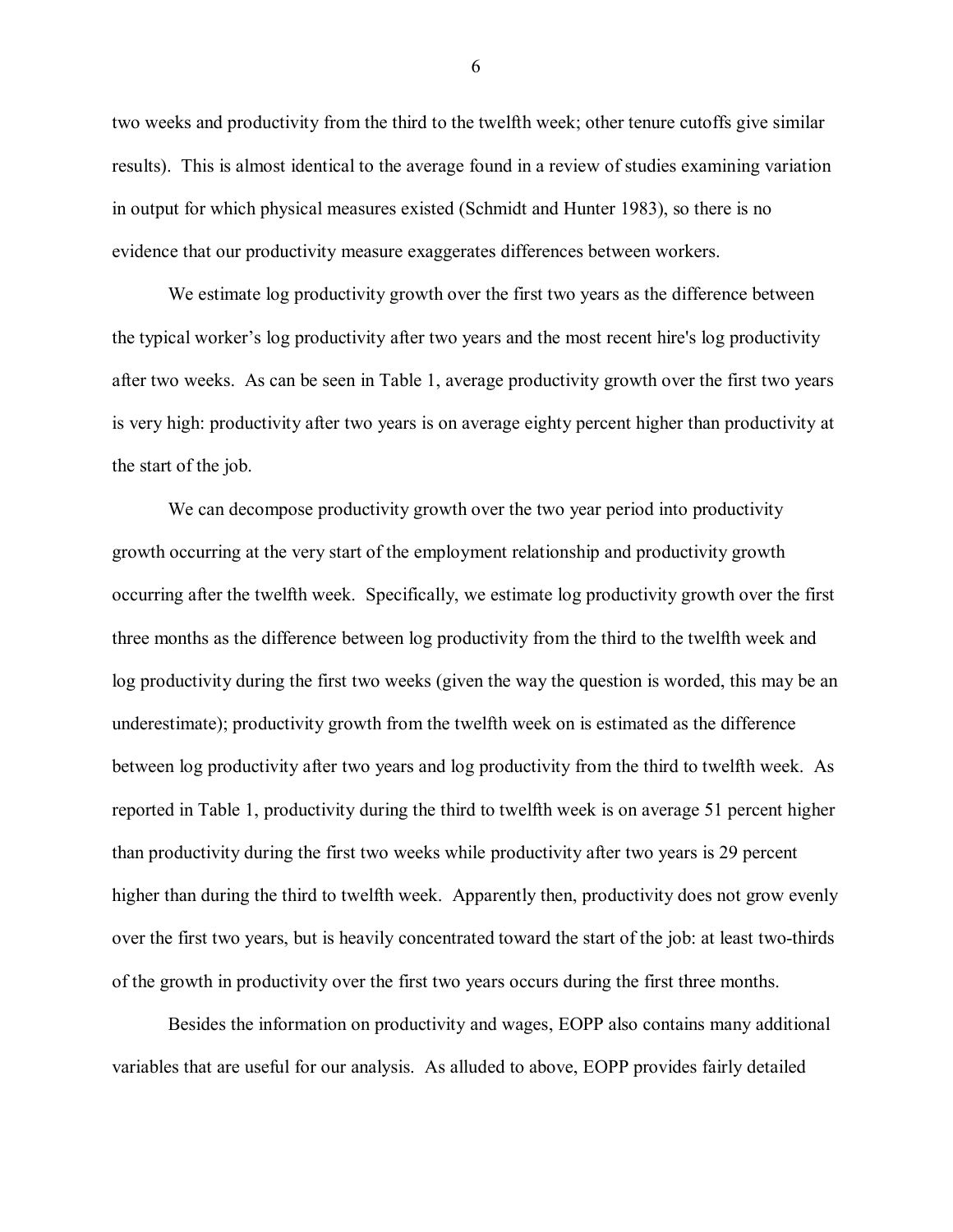two weeks and productivity from the third to the twelfth week; other tenure cutoffs give similar results). This is almost identical to the average found in a review of studies examining variation in output for which physical measures existed (Schmidt and Hunter 1983), so there is no evidence that our productivity measure exaggerates differences between workers.

We estimate log productivity growth over the first two years as the difference between the typical worker's log productivity after two years and the most recent hire's log productivity after two weeks. As can be seen in Table 1, average productivity growth over the first two years is very high: productivity after two years is on average eighty percent higher than productivity at the start of the job.

We can decompose productivity growth over the two year period into productivity growth occurring at the very start of the employment relationship and productivity growth occurring after the twelfth week. Specifically, we estimate log productivity growth over the first three months as the difference between log productivity from the third to the twelfth week and log productivity during the first two weeks (given the way the question is worded, this may be an underestimate); productivity growth from the twelfth week on is estimated as the difference between log productivity after two years and log productivity from the third to twelfth week. As reported in Table 1, productivity during the third to twelfth week is on average 51 percent higher than productivity during the first two weeks while productivity after two years is 29 percent higher than during the third to twelfth week. Apparently then, productivity does not grow evenly over the first two years, but is heavily concentrated toward the start of the job: at least two-thirds of the growth in productivity over the first two years occurs during the first three months.

Besides the information on productivity and wages, EOPP also contains many additional variables that are useful for our analysis. As alluded to above, EOPP provides fairly detailed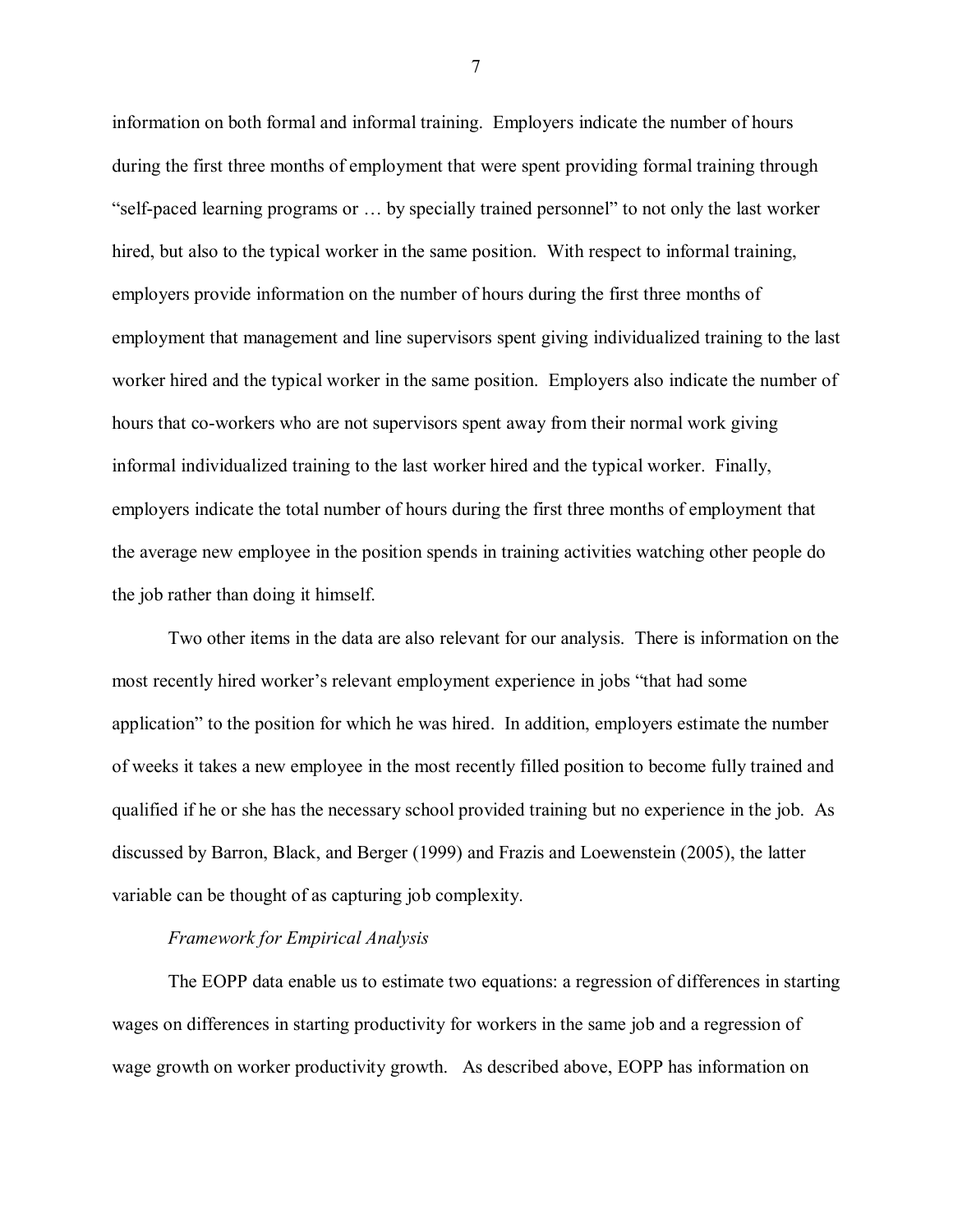information on both formal and informal training. Employers indicate the number of hours during the first three months of employment that were spent providing formal training through "self-paced learning programs or  $\dots$  by specially trained personnel" to not only the last worker hired, but also to the typical worker in the same position. With respect to informal training, employers provide information on the number of hours during the first three months of employment that management and line supervisors spent giving individualized training to the last worker hired and the typical worker in the same position. Employers also indicate the number of hours that co-workers who are not supervisors spent away from their normal work giving informal individualized training to the last worker hired and the typical worker. Finally, employers indicate the total number of hours during the first three months of employment that the average new employee in the position spends in training activities watching other people do the job rather than doing it himself.

Two other items in the data are also relevant for our analysis. There is information on the most recently hired worker's relevant employment experience in jobs "that had some application" to the position for which he was hired. In addition, employers estimate the number of weeks it takes a new employee in the most recently filled position to become fully trained and qualified if he or she has the necessary school provided training but no experience in the job. As discussed by Barron, Black, and Berger (1999) and Frazis and Loewenstein (2005), the latter variable can be thought of as capturing job complexity.

#### *Framework for Empirical Analysis*

The EOPP data enable us to estimate two equations: a regression of differences in starting wages on differences in starting productivity for workers in the same job and a regression of wage growth on worker productivity growth. As described above, EOPP has information on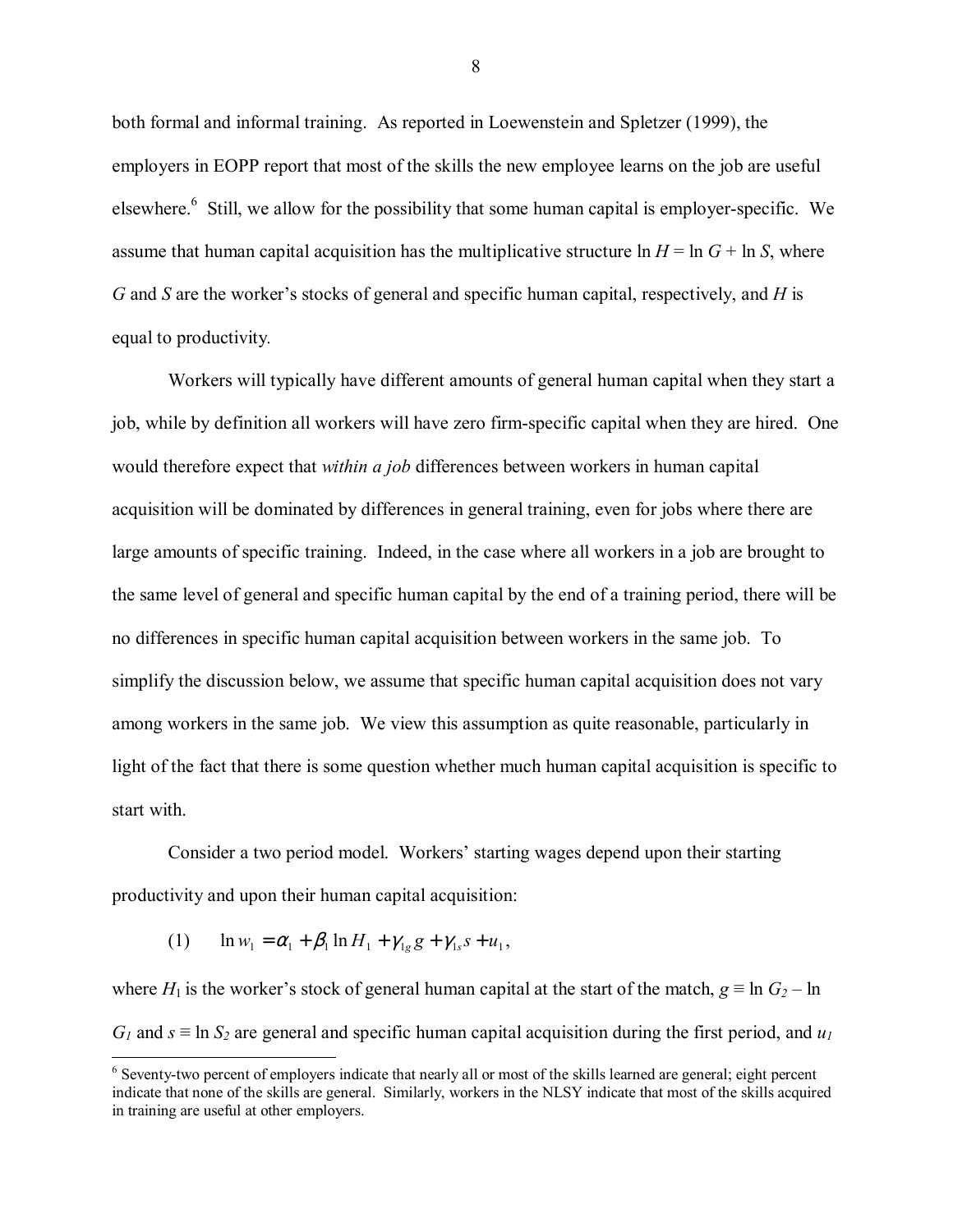both formal and informal training. As reported in Loewenstein and Spletzer (1999), the employers in EOPP report that most of the skills the new employee learns on the job are useful elsewhere.<sup>6</sup> Still, we allow for the possibility that some human capital is employer-specific. We assume that human capital acquisition has the multiplicative structure  $\ln H = \ln G + \ln S$ , where *G* and *S* are the worker's stocks of general and specific human capital, respectively, and *H* is equal to productivity*.* 

Workers will typically have different amounts of general human capital when they start a job, while by definition all workers will have zero firm-specific capital when they are hired. One would therefore expect that *within a job* differences between workers in human capital acquisition will be dominated by differences in general training, even for jobs where there are large amounts of specific training. Indeed, in the case where all workers in a job are brought to the same level of general and specific human capital by the end of a training period, there will be no differences in specific human capital acquisition between workers in the same job. To simplify the discussion below, we assume that specific human capital acquisition does not vary among workers in the same job. We view this assumption as quite reasonable, particularly in light of the fact that there is some question whether much human capital acquisition is specific to start with.

Consider a two period model. Workers' starting wages depend upon their starting productivity and upon their human capital acquisition:

(1) 
$$
\ln w_1 = \alpha_1 + \beta_1 \ln H_1 + \gamma_{1g} g + \gamma_{1s} s + u_1,
$$

 $\overline{a}$ 

where *H*<sub>1</sub> is the worker's stock of general human capital at the start of the match,  $g \equiv \ln G_2 - \ln G_1$ *G<sub>1</sub>* and  $s \equiv \ln S_2$  are general and specific human capital acquisition during the first period, and  $u_1$ 

 $6$  Seventy-two percent of employers indicate that nearly all or most of the skills learned are general; eight percent indicate that none of the skills are general. Similarly, workers in the NLSY indicate that most of the skills acquired in training are useful at other employers.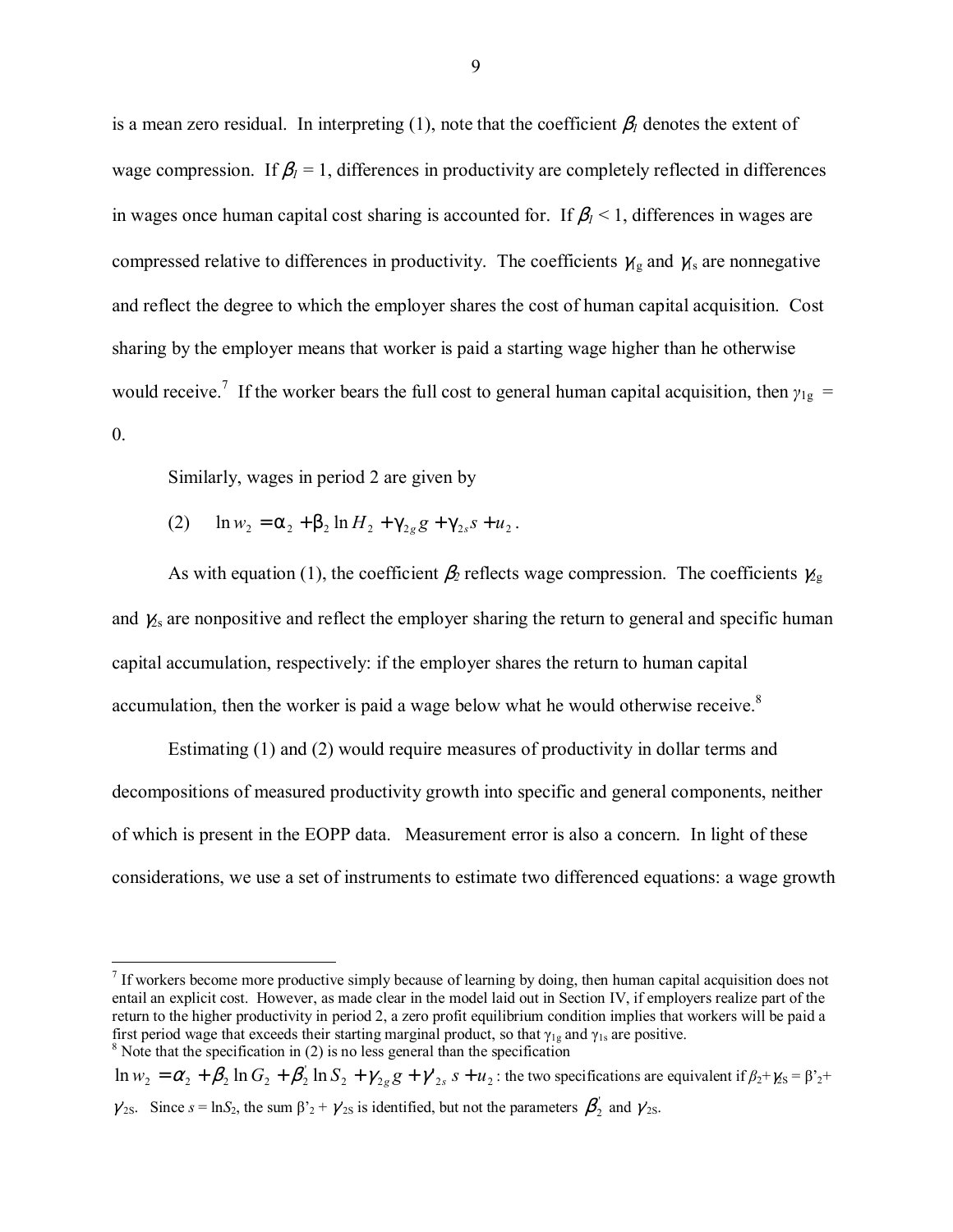is a mean zero residual. In interpreting (1), note that the coefficient  $\beta_l$  denotes the extent of wage compression. If  $\beta_l = 1$ , differences in productivity are completely reflected in differences in wages once human capital cost sharing is accounted for. If  $\beta_1$  < 1, differences in wages are compressed relative to differences in productivity. The coefficients  $\gamma_{1g}$  and  $\gamma_{1g}$  are nonnegative and reflect the degree to which the employer shares the cost of human capital acquisition. Cost sharing by the employer means that worker is paid a starting wage higher than he otherwise would receive.<sup>7</sup> If the worker bears the full cost to general human capital acquisition, then  $\gamma_{1g}$  = 0.

Similarly, wages in period 2 are given by

 $\overline{a}$ 

(2)  $\ln w_2 = \alpha_2 + \beta_2 \ln H_2 + \gamma_{2g} g + \gamma_{2g} s + u_2$ .

As with equation (1), the coefficient  $\beta_2$  reflects wage compression. The coefficients  $\gamma_{2}$ and  $\chi$ <sub>s</sub> are nonpositive and reflect the employer sharing the return to general and specific human capital accumulation, respectively: if the employer shares the return to human capital accumulation, then the worker is paid a wage below what he would otherwise receive.<sup>8</sup>

Estimating (1) and (2) would require measures of productivity in dollar terms and decompositions of measured productivity growth into specific and general components, neither of which is present in the EOPP data. Measurement error is also a concern. In light of these considerations, we use a set of instruments to estimate two differenced equations: a wage growth

 $\ln w_2 = \alpha_2 + \beta_2 \ln G_2 + \beta_2' \ln S_2 + \gamma_{2g} g + \gamma_{2s}' s + u_2$ : the two specifications are equivalent if  $\beta_2 + \gamma_{2s} = \beta_2' + \beta_3'$  $\gamma_{2s}$ . Since  $s = \ln S_2$ , the sum  $\beta'_{2} + \gamma'_{2s}$  is identified, but not the parameters  $\beta'_{2}$  and  $\gamma'_{2s}$ .

 $<sup>7</sup>$  If workers become more productive simply because of learning by doing, then human capital acquisition does not</sup> entail an explicit cost. However, as made clear in the model laid out in Section IV, if employers realize part of the return to the higher productivity in period 2, a zero profit equilibrium condition implies that workers will be paid a first period wage that exceeds their starting marginal product, so that  $\gamma_{1g}$  and  $\gamma_{1s}$  are positive.  $8$  Note that the specification in (2) is no less general than the specification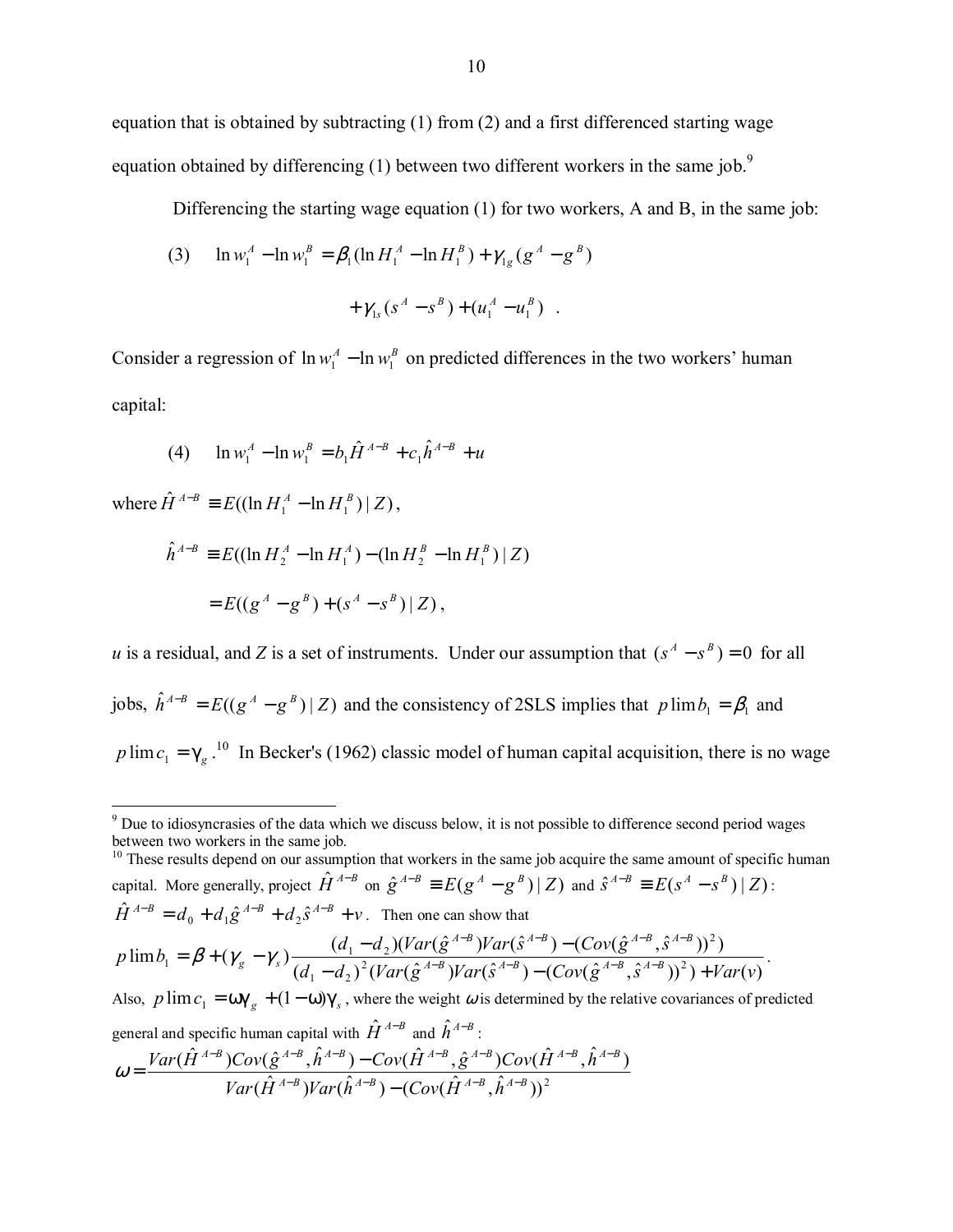equation that is obtained by subtracting  $(1)$  from  $(2)$  and a first differenced starting wage equation obtained by differencing (1) between two different workers in the same job.<sup>9</sup>

Differencing the starting wage equation (1) for two workers, A and B, in the same job:

(3) 
$$
\ln w_1^A - \ln w_1^B = \beta_1 (\ln H_1^A - \ln H_1^B) + \gamma_{1g} (g^A - g^B) + \gamma_{1s} (s^A - s^B) + (u_1^A - u_1^B) .
$$

Consider a regression of  $\ln w_1^A - \ln w_1^B$  on predicted differences in the two workers' human capital:

(4) 
$$
\ln w_1^A - \ln w_1^B = b_1 \hat{H}^{A-B} + c_1 \hat{h}^{A-B} + u
$$

where  $\hat{H}^{A-B} \equiv E((\ln H_1^A - \ln H_1^B) | Z)$ ,

$$
\hat{h}^{A-B} \equiv E((\ln H_2^A - \ln H_1^A) - (\ln H_2^B - \ln H_1^B) | Z)
$$
  
= 
$$
E((g^A - g^B) + (s^A - s^B) | Z),
$$

*u* is a residual, and *Z* is a set of instruments. Under our assumption that  $(s^A - s^B) = 0$  for all jobs,  $\hat{h}^{A-B} = E((g^A - g^B) | Z)$  and the consistency of 2SLS implies that  $p \lim_{h \to 0} b_1 = \beta_1$  and  $p \lim_{n \to \infty} c_1 = \gamma_g$ .<sup>10</sup> In Becker's (1962) classic model of human capital acquisition, there is no wage

<sup>10</sup> These results depend on our assumption that workers in the same job acquire the same amount of specific human capital. More generally, project  $\hat{H}^{A-B}$  on  $\hat{g}^{A-B} \equiv E(g^A - g^B) | Z$  and  $\hat{S}^{A-B} \equiv E(g^A - g^B) | Z$ :  $\hat{H}^{A-B} = d_0 + d_1 \hat{g}^{A-B} + d_2 \hat{S}^{A-B} + v$ . Then one can show that

$$
p\lim b_1 = \beta + (\gamma_g - \gamma_s) \frac{(d_1 - d_2)(Var(\hat{g}^{A-B})Var(\hat{S}^{A-B}) - (Cov(\hat{g}^{A-B}, \hat{S}^{A-B}))^2)}{(d_1 - d_2)^2 (Var(\hat{g}^{A-B})Var(\hat{S}^{A-B}) - (Cov(\hat{g}^{A-B}, \hat{S}^{A-B}))^2) + Var(v)}.
$$

Also,  $p \lim_{i \to \infty} c_i = \omega \gamma_g + (1 - \omega) \gamma_s$ , where the weight  $\omega$  is determined by the relative covariances of predicted general and specific human capital with  $\hat{H}^{A-B}$  and  $\hat{h}^{A-B}$ :  $\omega = \frac{Var(\hat{H}^{A-B})Cov(\hat{g}^{A-B}, \hat{h}^{A-B}) - Cov(\hat{H}^{A-B}, \hat{g}^{A-B})Cov(\hat{H}^{A-B}, \hat{h}^{A-B})}{2\Delta t R}$ 

$$
\omega = \frac{\nu ar(\hat{H}^{-1})Cov(g^{-1},\hat{H}^{-1}) - Cov(\hat{H}^{-1})g^{-1}Cov(\hat{H}^{-1})}{Var(\hat{H}^{A-B})Var(\hat{h}^{A-B}) - (Cov(\hat{H}^{A-B},\hat{h}^{A-B}))^2}
$$

The to idiosyncrasies of the data which we discuss below, it is not possible to difference second period wages between two workers in the same job.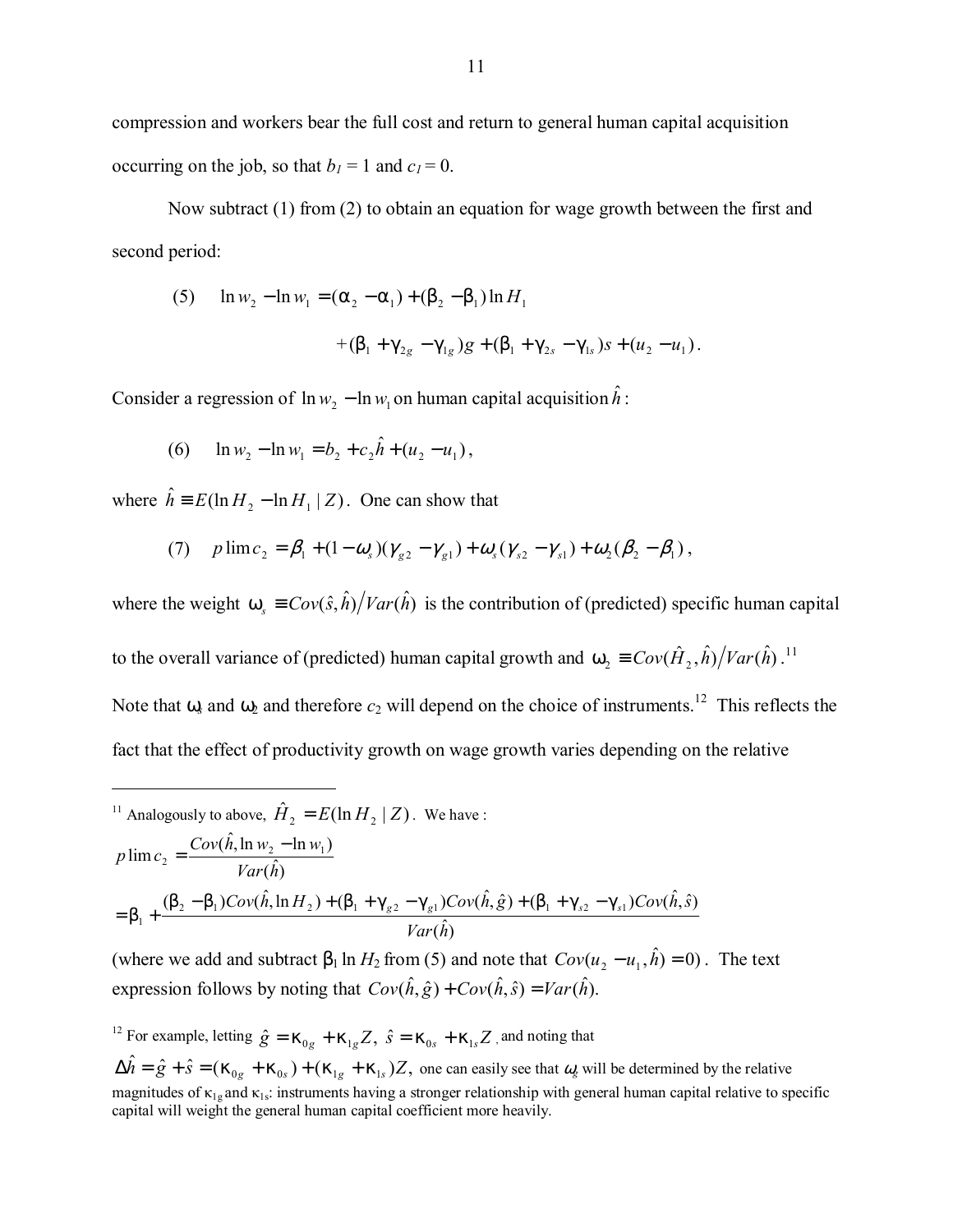compression and workers bear the full cost and return to general human capital acquisition occurring on the job, so that  $b_1 = 1$  and  $c_1 = 0$ .

Now subtract (1) from (2) to obtain an equation for wage growth between the first and second period:

(5) 
$$
\ln w_2 - \ln w_1 = (\alpha_2 - \alpha_1) + (\beta_2 - \beta_1) \ln H_1
$$
  
  $+ (\beta_1 + \gamma_{2g} - \gamma_{1g}) g + (\beta_1 + \gamma_{2s} - \gamma_{1s}) s + (u_2 - u_1).$ 

Consider a regression of  $\ln w_2 - \ln w_1$  on human capital acquisition  $\hat{h}$ :

(6)  $\ln w_2 - \ln w_1 = b_2 + c_2 \hat{h} + (u_2 - u_1),$ 

where  $\hat{h} = E(\ln H_2 - \ln H_1 | Z)$ . One can show that

 $\overline{a}$ 

(7) 
$$
p \lim c_2 = \beta_1 + (1 - \omega_s)(\gamma_{g2} - \gamma_{g1}) + \omega_s(\gamma_{s2} - \gamma_{s1}) + \omega_2(\beta_2 - \beta_1)
$$
,

where the weight  $\omega_s = Cov(\hat{s}, \hat{h}) / Var(\hat{h})$  is the contribution of (predicted) specific human capital to the overall variance of (predicted) human capital growth and  $\omega_2 = Cov(\hat{H}_2, \hat{h})/Var(\hat{h})$ .<sup>11</sup> Note that  $\omega_8$  and  $\omega_2$  and therefore  $c_2$  will depend on the choice of instruments.<sup>12</sup> This reflects the fact that the effect of productivity growth on wage growth varies depending on the relative

$$
^{11}
$$
 Analogously to above,  $\hat{H}_2 = E(\ln H_2 | Z)$ . We have :  
\n
$$
p \lim_{z_2} \frac{Cov(\hat{h}, \ln w_2 - \ln w_1)}{Var(\hat{h})}
$$
\n
$$
= \beta_1 + \frac{(\beta_2 - \beta_1)Cov(\hat{h}, \ln H_2) + (\beta_1 + \gamma_{g2} - \gamma_{g1})Cov(\hat{h}, \hat{g}) + (\beta_1 + \gamma_{g2} - \gamma_{s1})Cov(\hat{h}, \hat{s})}{Var(\hat{h})}
$$

(where we add and subtract  $\beta_1 \ln H_2$  from (5) and note that  $Cov(u_2 - u_1, \hat{h}) = 0$ ). The text expression follows by noting that  $Cov(\hat{h}, \hat{g}) + Cov(\hat{h}, \hat{s}) = Var(\hat{h})$ .

<sup>12</sup> For example, letting  $\hat{g} = \kappa_{0g} + \kappa_{1g} Z$ ,  $\hat{s} = \kappa_{0s} + \kappa_{1s} Z$ , and noting that

 $\Delta \hat{h} = \hat{g} + \hat{s} = (\kappa_{0g} + \kappa_{0s}) + (\kappa_{1g} + \kappa_{1s})Z$ , one can easily see that  $\omega_g$  will be determined by the relative magnitudes of  $\kappa_{1g}$  and  $\kappa_{1s}$ : instruments having a stronger relationship with general human capital relative to specific capital will weight the general human capital coefficient more heavily.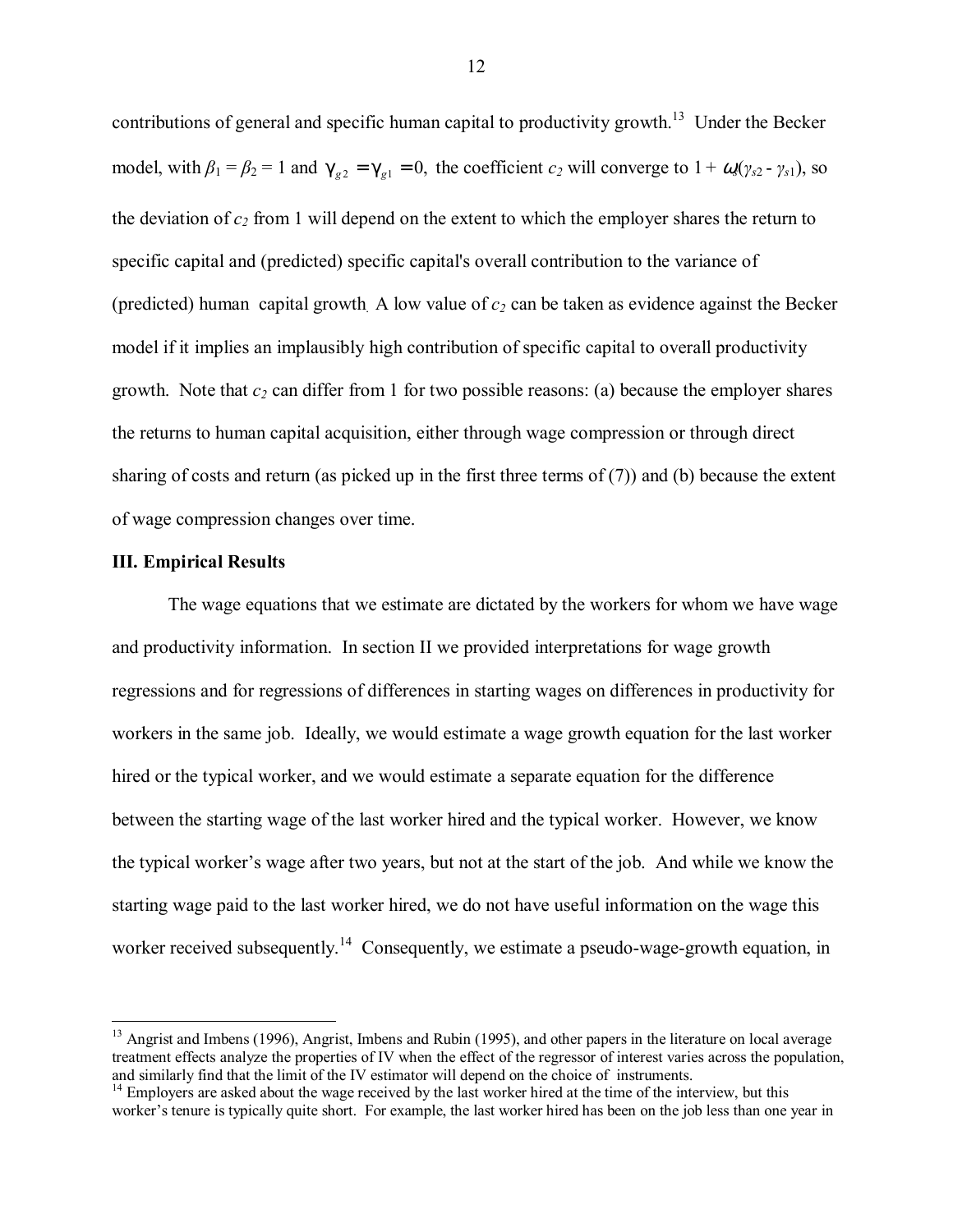contributions of general and specific human capital to productivity growth.<sup>13</sup> Under the Becker model, with  $\beta_1 = \beta_2 = 1$  and  $\gamma_{g2} = \gamma_{g1} = 0$ , the coefficient  $c_2$  will converge to  $1 + \omega_{g}(\gamma_{g2} - \gamma_{g1})$ , so the deviation of  $c_2$  from 1 will depend on the extent to which the employer shares the return to specific capital and (predicted) specific capital's overall contribution to the variance of (predicted) human capital growth. A low value of  $c_2$  can be taken as evidence against the Becker model if it implies an implausibly high contribution of specific capital to overall productivity growth. Note that  $c_2$  can differ from 1 for two possible reasons: (a) because the employer shares the returns to human capital acquisition, either through wage compression or through direct sharing of costs and return (as picked up in the first three terms of  $(7)$ ) and (b) because the extent of wage compression changes over time.

#### **III. Empirical Results**

 $\overline{a}$ 

The wage equations that we estimate are dictated by the workers for whom we have wage and productivity information. In section II we provided interpretations for wage growth regressions and for regressions of differences in starting wages on differences in productivity for workers in the same job. Ideally, we would estimate a wage growth equation for the last worker hired or the typical worker, and we would estimate a separate equation for the difference between the starting wage of the last worker hired and the typical worker. However, we know the typical worker's wage after two years, but not at the start of the job. And while we know the starting wage paid to the last worker hired, we do not have useful information on the wage this worker received subsequently.<sup>14</sup> Consequently, we estimate a pseudo-wage-growth equation, in

<sup>&</sup>lt;sup>13</sup> Angrist and Imbens (1996), Angrist, Imbens and Rubin (1995), and other papers in the literature on local average treatment effects analyze the properties of IV when the effect of the regressor of interest varies across the population, and similarly find that the limit of the IV estimator will depend on the choice of instruments.

<sup>&</sup>lt;sup>14</sup> Employers are asked about the wage received by the last worker hired at the time of the interview, but this worker's tenure is typically quite short. For example, the last worker hired has been on the job less than one year in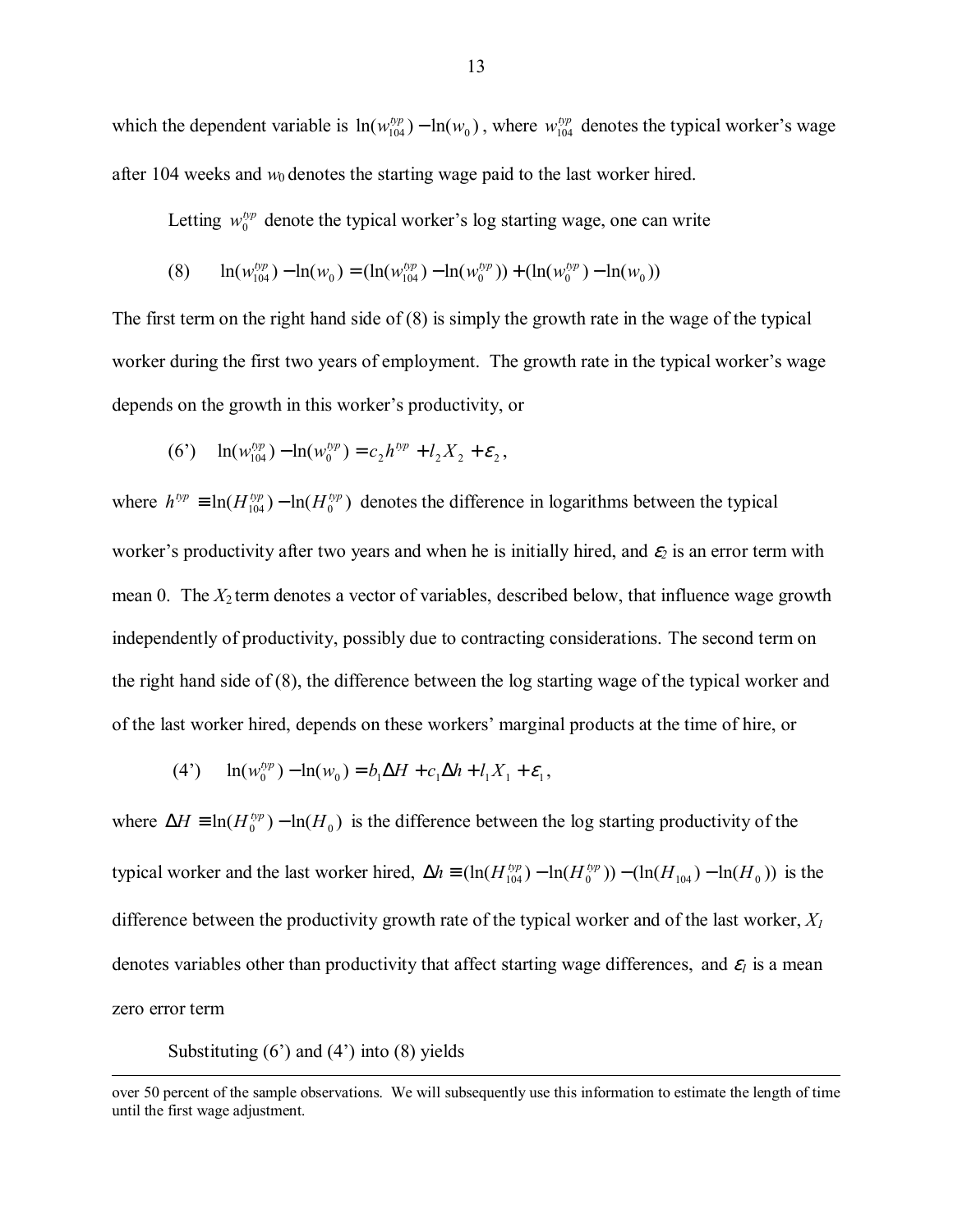which the dependent variable is  $ln(w_{104}^{typ} - ln(w_0))$ , where  $w_{104}^{typ}$  denotes the typical worker's wage after 104 weeks and  $w_0$  denotes the starting wage paid to the last worker hired.

Letting  $w_0^{typ}$  denote the typical worker's log starting wage, one can write

(8) 
$$
\ln(w_{104}^{typ}) - \ln(w_0) = (\ln(w_{104}^{typ}) - \ln(w_0^{typ})) + (\ln(w_0^{typ}) - \ln(w_0))
$$

The first term on the right hand side of (8) is simply the growth rate in the wage of the typical worker during the first two years of employment. The growth rate in the typical worker's wage depends on the growth in this worker's productivity, or

(6') 
$$
\ln(w_{104}^{typ}) - \ln(w_0^{typ}) = c_2 h^{typ} + l_2 X_2 + \varepsilon_2
$$
,

where  $h^{typ} \equiv \ln(H_{104}^{typ}) - \ln(H_0^{typ})$  denotes the difference in logarithms between the typical worker's productivity after two years and when he is initially hired, and  $\varepsilon_2$  is an error term with mean 0. The *X*<sup>2</sup> term denotes a vector of variables, described below, that influence wage growth independently of productivity, possibly due to contracting considerations.The second term on the right hand side of (8), the difference between the log starting wage of the typical worker and of the last worker hired, depends on these workers' marginal products at the time of hire, or

(4') 
$$
\ln(w_0^{typ}) - \ln(w_0) = b_1 \Delta H + c_1 \Delta h + l_1 X_1 + \varepsilon_1
$$
,

where  $\Delta H \equiv \ln(H_0^{typ}) - \ln(H_0)$  is the difference between the log starting productivity of the typical worker and the last worker hired,  $\Delta h \equiv (\ln(H_{104}^{typ}) - \ln(H_{0}^{typ})) - (\ln(H_{104}) - \ln(H_{0}))$  is the difference between the productivity growth rate of the typical worker and of the last worker, *X1*  denotes variables other than productivity that affect starting wage differences, and  $\varepsilon_l$  is a mean zero error term

Substituting  $(6')$  and  $(4')$  into  $(8)$  yields

over 50 percent of the sample observations. We will subsequently use this information to estimate the length of time until the first wage adjustment.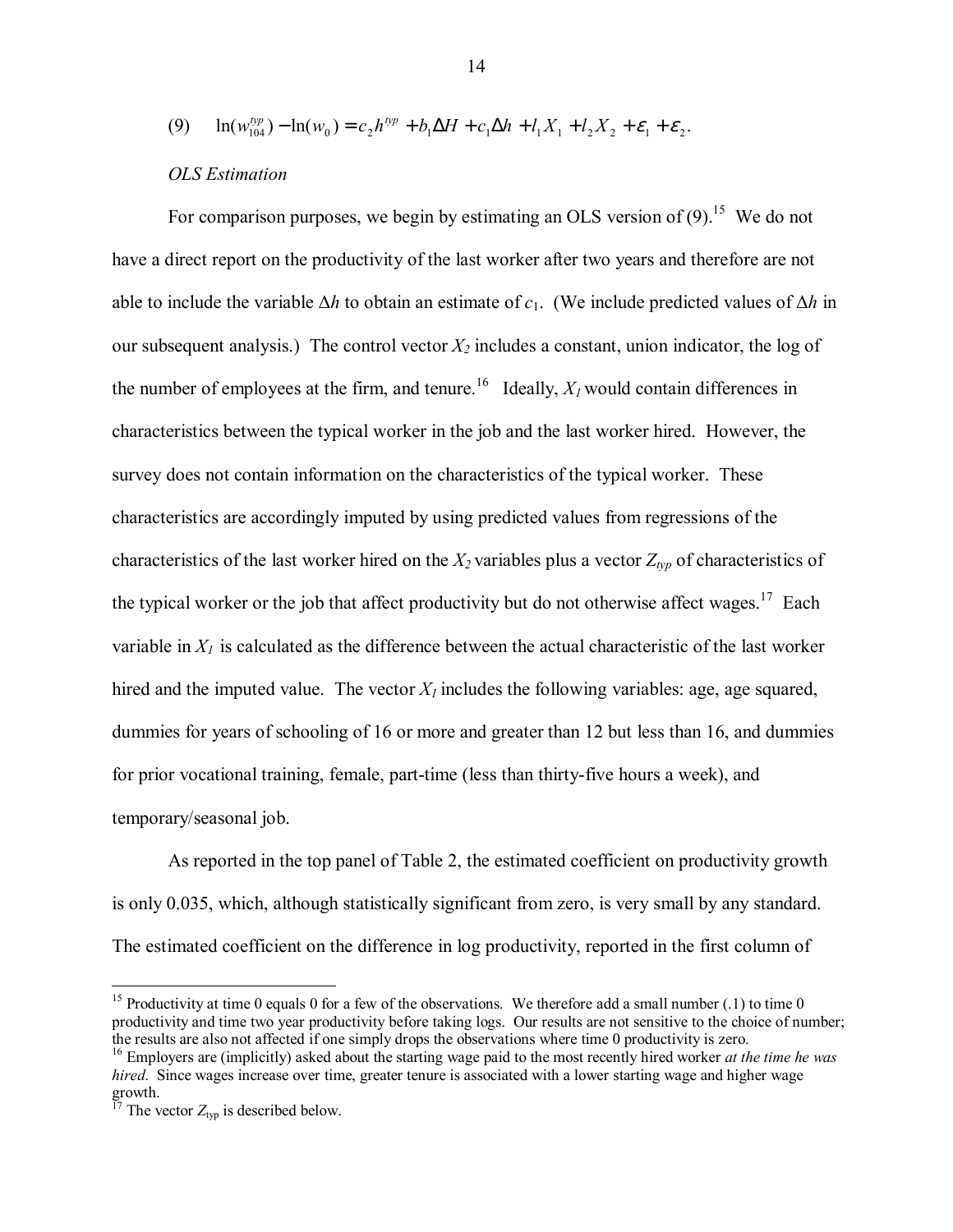$$
(9) \quad \ln(w_{104}^{typ}) - \ln(w_0) = c_2 h^{typ} + b_1 \Delta H + c_1 \Delta h + l_1 X_1 + l_2 X_2 + \varepsilon_1 + \varepsilon_2.
$$

#### *OLS Estimation*

For comparison purposes, we begin by estimating an OLS version of  $(9)$ <sup>15</sup>. We do not have a direct report on the productivity of the last worker after two years and therefore are not able to include the variable ∆*h* to obtain an estimate of *c*1. (We include predicted values of ∆*h* in our subsequent analysis.) The control vector  $X_2$  includes a constant, union indicator, the log of the number of employees at the firm, and tenure.<sup>16</sup> Ideally,  $X_l$  would contain differences in characteristics between the typical worker in the job and the last worker hired. However, the survey does not contain information on the characteristics of the typical worker. These characteristics are accordingly imputed by using predicted values from regressions of the characteristics of the last worker hired on the  $X_2$  variables plus a vector  $Z_{typ}$  of characteristics of the typical worker or the job that affect productivity but do not otherwise affect wages.<sup>17</sup> Each variable in  $X_l$  is calculated as the difference between the actual characteristic of the last worker hired and the imputed value. The vector  $X_l$  includes the following variables: age, age squared, dummies for years of schooling of 16 or more and greater than 12 but less than 16, and dummies for prior vocational training, female, part-time (less than thirty-five hours a week), and temporary/seasonal job.

As reported in the top panel of Table 2, the estimated coefficient on productivity growth is only 0.035, which, although statistically significant from zero, is very small by any standard. The estimated coefficient on the difference in log productivity, reported in the first column of

 $\overline{a}$ 

<sup>&</sup>lt;sup>15</sup> Productivity at time 0 equals 0 for a few of the observations. We therefore add a small number  $(.1)$  to time 0 productivity and time two year productivity before taking logs. Our results are not sensitive to the choice of number; the results are also not affected if one simply drops the observations where time 0 productivity is zero.

<sup>16</sup> Employers are (implicitly) asked about the starting wage paid to the most recently hired worker *at the time he was hired*. Since wages increase over time, greater tenure is associated with a lower starting wage and higher wage growth.

 $^{17}$  The vector  $Z_{typ}$  is described below.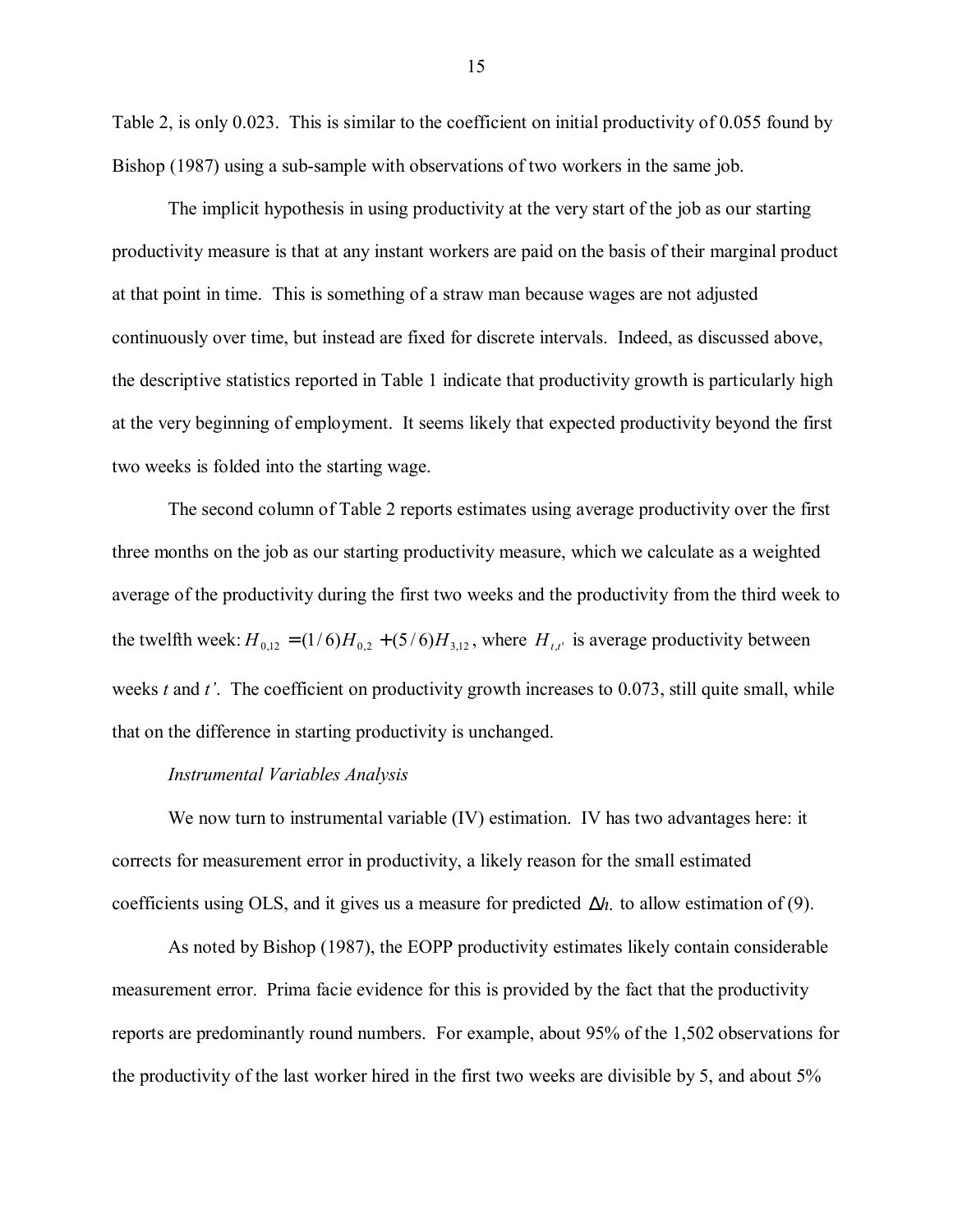Table 2, is only 0.023. This is similar to the coefficient on initial productivity of 0.055 found by Bishop (1987) using a sub-sample with observations of two workers in the same job.

The implicit hypothesis in using productivity at the very start of the job as our starting productivity measure is that at any instant workers are paid on the basis of their marginal product at that point in time. This is something of a straw man because wages are not adjusted continuously over time, but instead are fixed for discrete intervals. Indeed, as discussed above, the descriptive statistics reported in Table 1 indicate that productivity growth is particularly high at the very beginning of employment. It seems likely that expected productivity beyond the first two weeks is folded into the starting wage.

The second column of Table 2 reports estimates using average productivity over the first three months on the job as our starting productivity measure, which we calculate as a weighted average of the productivity during the first two weeks and the productivity from the third week to the twelfth week:  $H_{0,12} = (1/6)H_{0,2} + (5/6)H_{3,12}$ , where  $H_{tt}$  is average productivity between weeks *t* and *t'*. The coefficient on productivity growth increases to 0.073, still quite small, while that on the difference in starting productivity is unchanged.

#### *Instrumental Variables Analysis*

We now turn to instrumental variable (IV) estimation. IV has two advantages here: it corrects for measurement error in productivity, a likely reason for the small estimated coefficients using OLS, and it gives us a measure for predicted ∆*h*. to allow estimation of (9).

As noted by Bishop (1987), the EOPP productivity estimates likely contain considerable measurement error. Prima facie evidence for this is provided by the fact that the productivity reports are predominantly round numbers. For example, about 95% of the 1,502 observations for the productivity of the last worker hired in the first two weeks are divisible by 5, and about 5%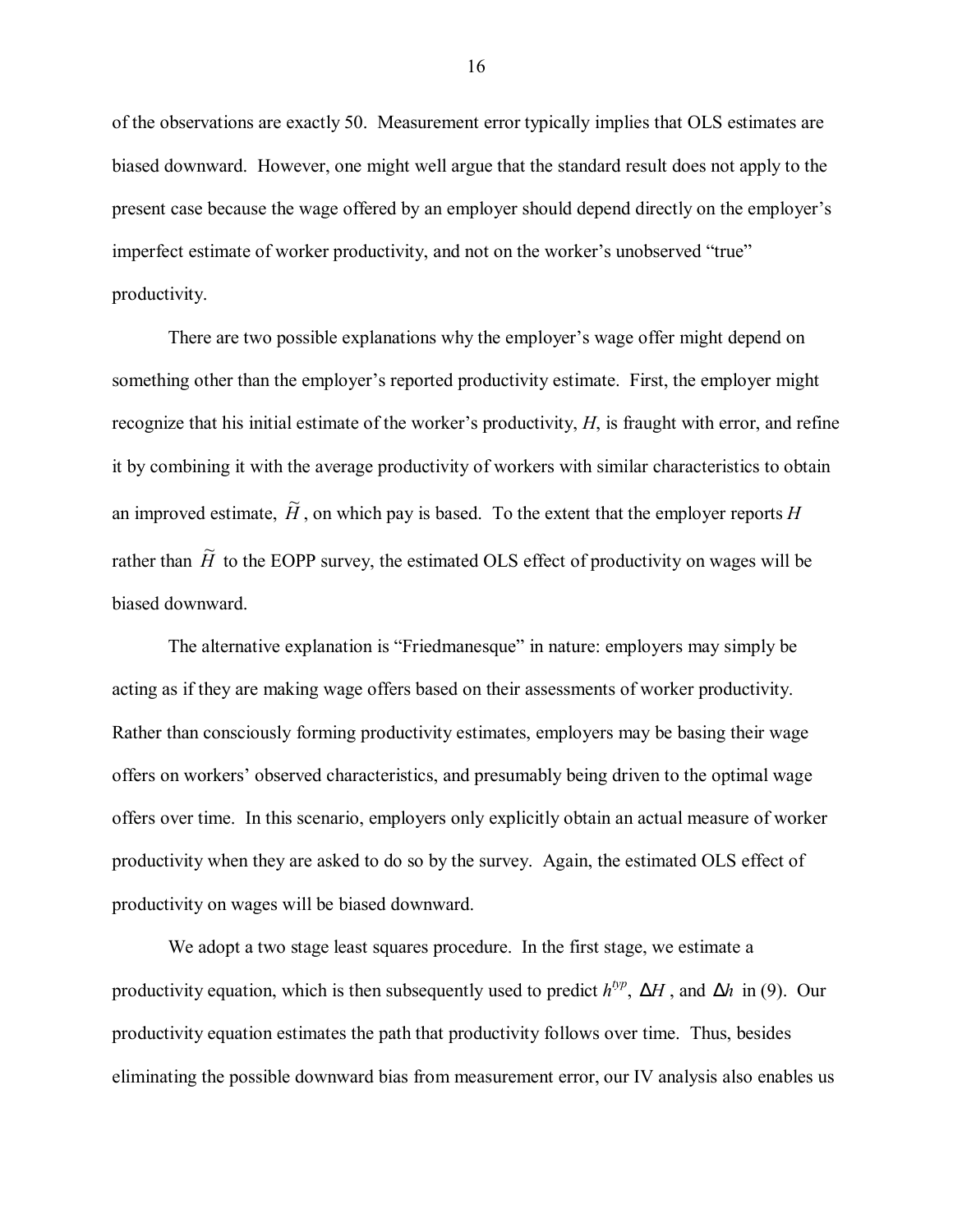of the observations are exactly 50. Measurement error typically implies that OLS estimates are biased downward. However, one might well argue that the standard result does not apply to the present case because the wage offered by an employer should depend directly on the employer's imperfect estimate of worker productivity, and not on the worker's unobserved "true" productivity.

There are two possible explanations why the employer's wage offer might depend on something other than the employer's reported productivity estimate. First, the employer might recognize that his initial estimate of the worker's productivity,  $H$ , is fraught with error, and refine it by combining it with the average productivity of workers with similar characteristics to obtain an improved estimate,  $\widetilde{H}$ , on which pay is based. To the extent that the employer reports *H* rather than  $\tilde{H}$  to the EOPP survey, the estimated OLS effect of productivity on wages will be biased downward.

The alternative explanation is "Friedmanesque" in nature: employers may simply be acting as if they are making wage offers based on their assessments of worker productivity. Rather than consciously forming productivity estimates, employers may be basing their wage offers on workersí observed characteristics, and presumably being driven to the optimal wage offers over time. In this scenario, employers only explicitly obtain an actual measure of worker productivity when they are asked to do so by the survey. Again, the estimated OLS effect of productivity on wages will be biased downward.

We adopt a two stage least squares procedure. In the first stage, we estimate a productivity equation, which is then subsequently used to predict *htyp*, ∆*H* , and ∆*h* in (9). Our productivity equation estimates the path that productivity follows over time. Thus, besides eliminating the possible downward bias from measurement error, our IV analysis also enables us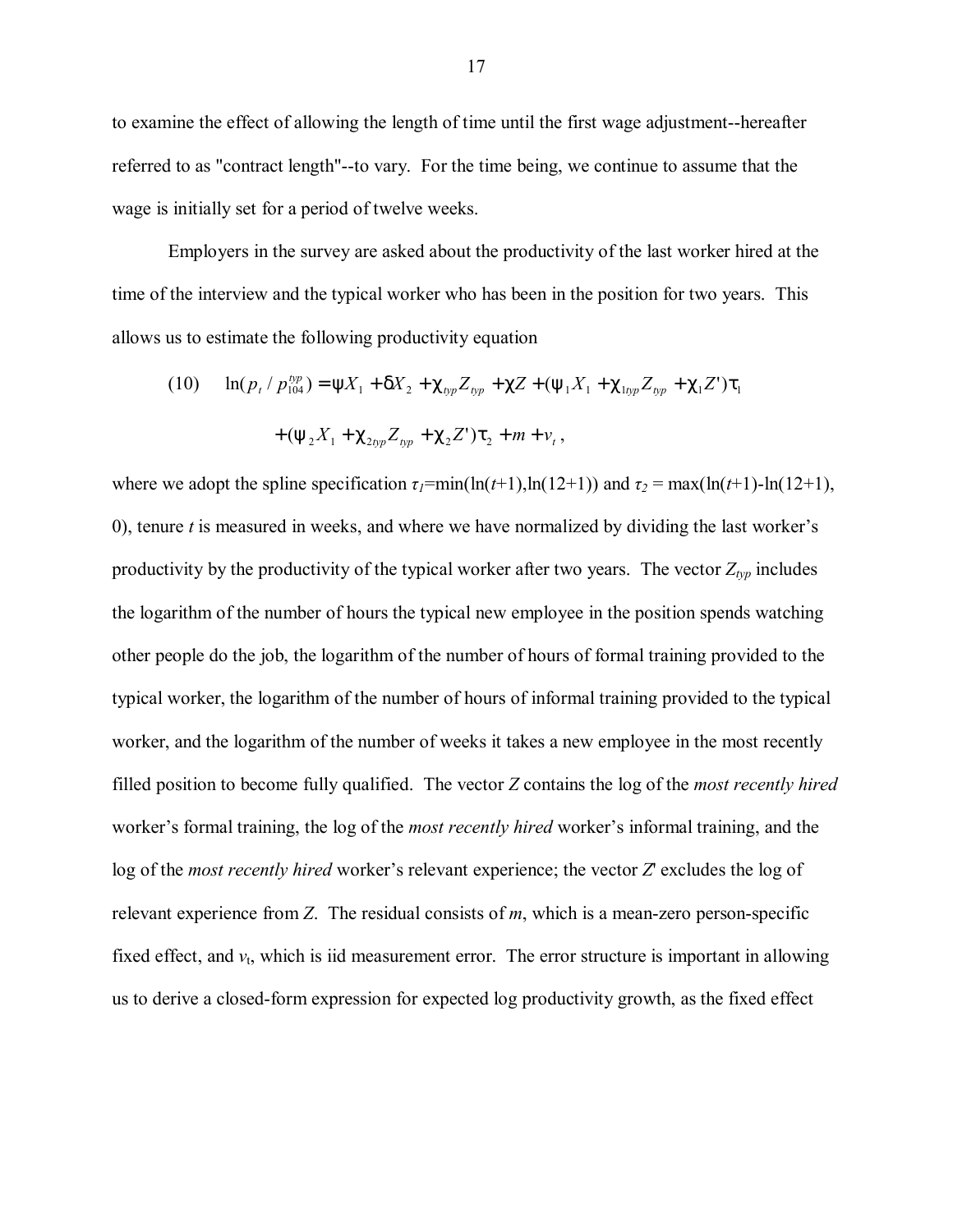to examine the effect of allowing the length of time until the first wage adjustment--hereafter referred to as "contract length"--to vary. For the time being, we continue to assume that the wage is initially set for a period of twelve weeks.

Employers in the survey are asked about the productivity of the last worker hired at the time of the interview and the typical worker who has been in the position for two years. This allows us to estimate the following productivity equation

(10) 
$$
\ln(p_t / p_{104}^{typ}) = \psi X_1 + \delta X_2 + \chi_{typ} Z_{typ} + \chi Z + (\psi_1 X_1 + \chi_{1opp} Z_{typ} + \chi_1 Z') \tau_1 + (\psi_2 X_1 + \chi_{2pp} Z_{pp} + \chi_2 Z') \tau_2 + m + v_t,
$$

where we adopt the spline specification  $\tau_1$ =min(ln(*t*+1),ln(12+1)) and  $\tau_2$  = max(ln(*t*+1)-ln(12+1), 0), tenure *t* is measured in weeks, and where we have normalized by dividing the last worker's productivity by the productivity of the typical worker after two years. The vector  $Z_{\alpha p}$  includes the logarithm of the number of hours the typical new employee in the position spends watching other people do the job, the logarithm of the number of hours of formal training provided to the typical worker, the logarithm of the number of hours of informal training provided to the typical worker, and the logarithm of the number of weeks it takes a new employee in the most recently filled position to become fully qualified. The vector *Z* contains the log of the *most recently hired* worker's formal training, the log of the *most recently hired* worker's informal training, and the log of the *most recently hired* worker's relevant experience; the vector *Z*' excludes the log of relevant experience from *Z*. The residual consists of *m*, which is a mean-zero person-specific fixed effect, and  $v_t$ , which is iid measurement error. The error structure is important in allowing us to derive a closed-form expression for expected log productivity growth, as the fixed effect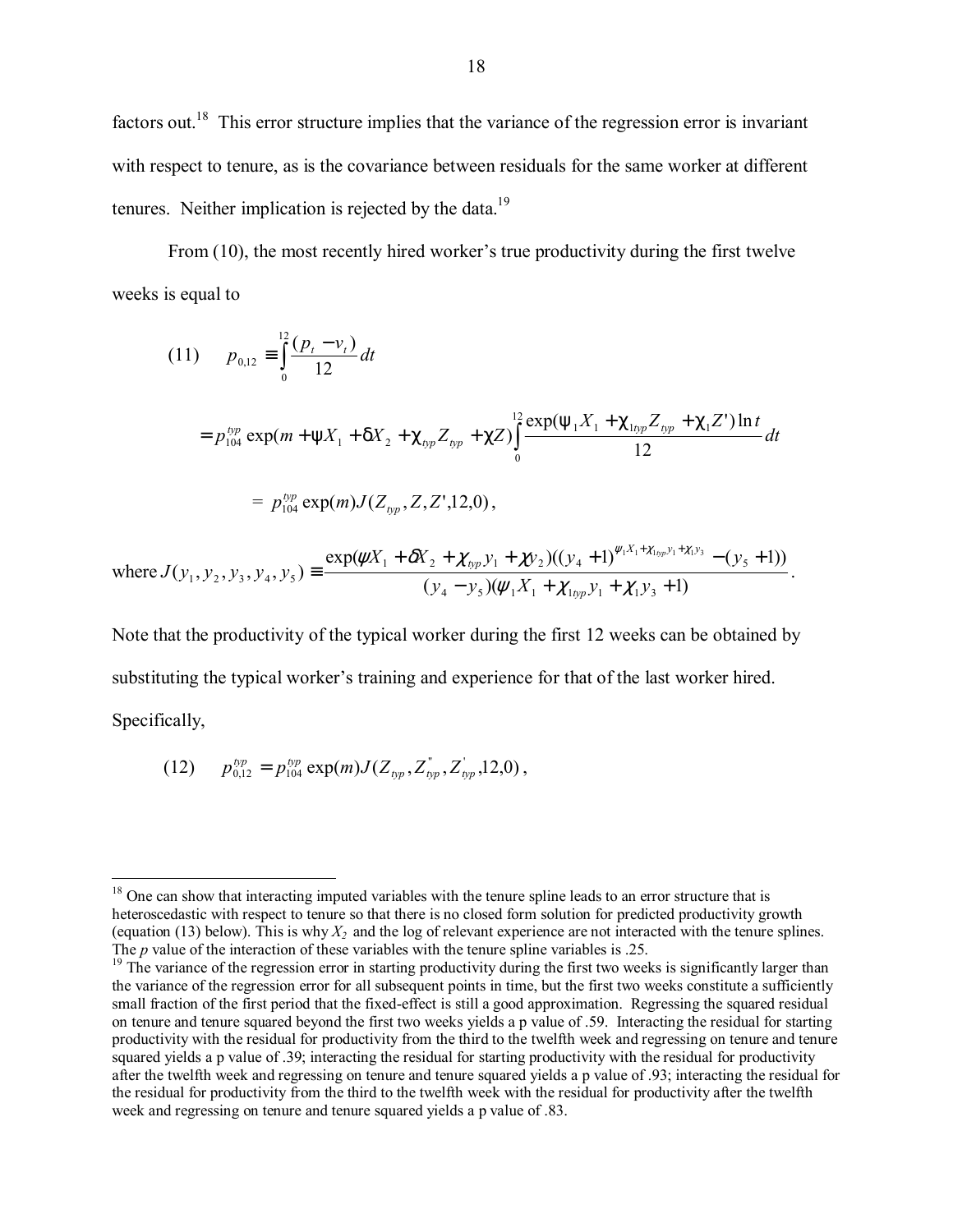factors out.<sup>18</sup> This error structure implies that the variance of the regression error is invariant with respect to tenure, as is the covariance between residuals for the same worker at different tenures. Neither implication is rejected by the data.<sup>19</sup>

From  $(10)$ , the most recently hired worker's true productivity during the first twelve weeks is equal to

(11) 
$$
p_{0,12} = \int_{0}^{12} \frac{(p_t - v_t)}{12} dt
$$
  
\n
$$
= p_{104}^{bp} \exp(m + \psi X_1 + \delta X_2 + \chi_{bp} Z_{bp} + \chi Z) \int_{0}^{12} \frac{\exp(\psi_1 X_1 + \chi_{1bp} Z_{bp} + \chi_1 Z') \ln t}{12} dt
$$
  
\n
$$
= p_{104}^{bp} \exp(m) J(Z_{bp}, Z, Z', 12, 0),
$$

where 
$$
J(y_1, y_2, y_3, y_4, y_5) \equiv \frac{\exp(\psi X_1 + \delta X_2 + \chi_{typ} y_1 + \chi y_2)((y_4 + 1)^{\psi_1 X_1 + \chi_{top} y_1 + \chi_{1} y_3} - (y_5 + 1))}{(y_4 - y_5)(\psi_1 X_1 + \chi_{top} y_1 + \chi_{1} y_3 + 1)}.
$$

Note that the productivity of the typical worker during the first 12 weeks can be obtained by substituting the typical worker's training and experience for that of the last worker hired. Specifically,

(12) 
$$
p_{0,12}^{typ} = p_{104}^{typ} \exp(m) J(Z_{typ}, Z_{typ}^{\dagger}, Z_{typ}^{\dagger}, 12, 0),
$$

 $\overline{a}$ <sup>18</sup> One can show that interacting imputed variables with the tenure spline leads to an error structure that is heteroscedastic with respect to tenure so that there is no closed form solution for predicted productivity growth (equation (13) below). This is why  $X_2$  and the log of relevant experience are not interacted with the tenure splines. The *p* value of the interaction of these variables with the tenure spline variables is .25.

 $19$  The variance of the regression error in starting productivity during the first two weeks is significantly larger than the variance of the regression error for all subsequent points in time, but the first two weeks constitute a sufficiently small fraction of the first period that the fixed-effect is still a good approximation. Regressing the squared residual on tenure and tenure squared beyond the first two weeks yields a p value of .59. Interacting the residual for starting productivity with the residual for productivity from the third to the twelfth week and regressing on tenure and tenure squared yields a p value of .39; interacting the residual for starting productivity with the residual for productivity after the twelfth week and regressing on tenure and tenure squared yields a p value of .93; interacting the residual for the residual for productivity from the third to the twelfth week with the residual for productivity after the twelfth week and regressing on tenure and tenure squared yields a p value of .83.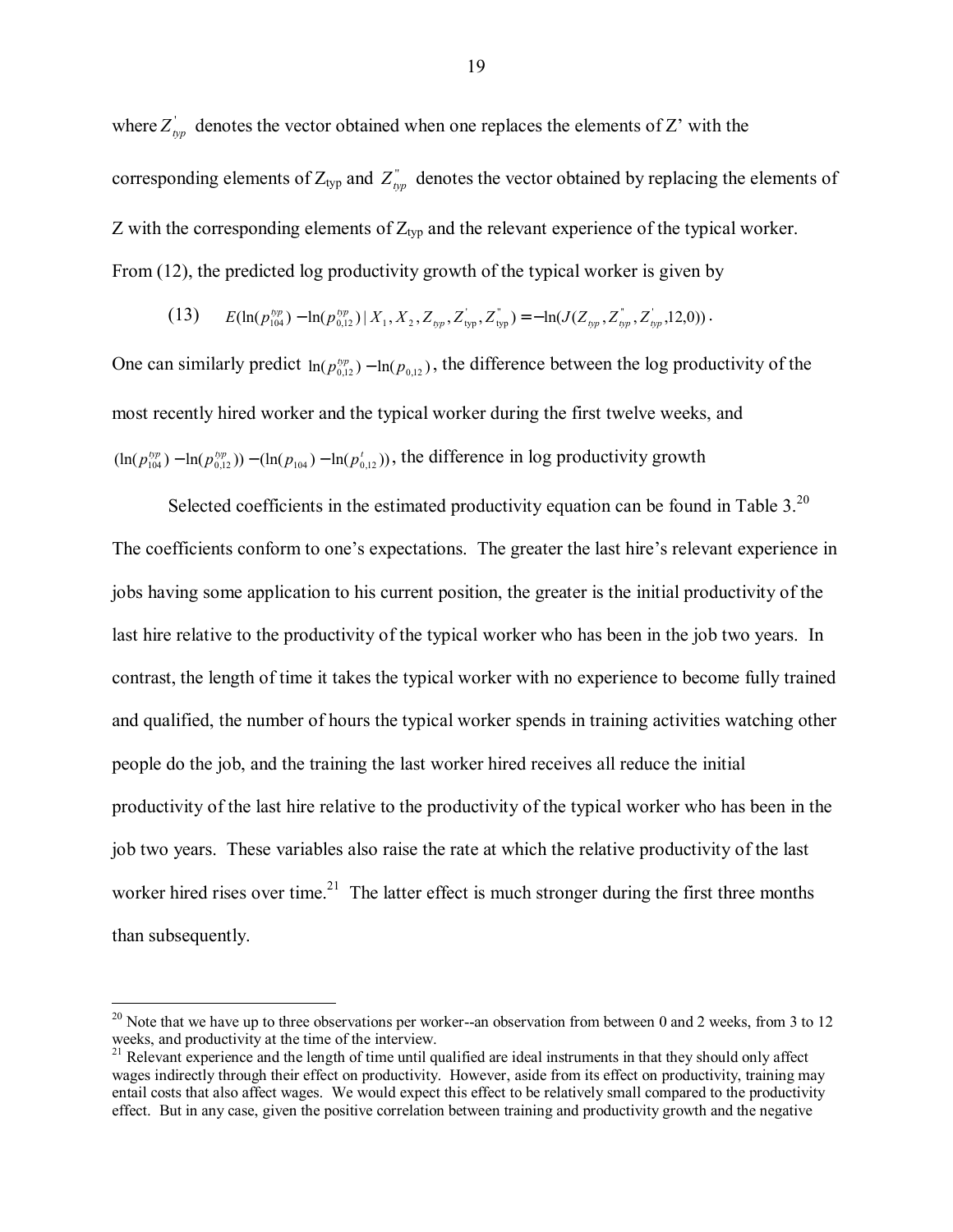where  $Z'_{\text{pp}}$  denotes the vector obtained when one replaces the elements of Z' with the corresponding elements of  $Z_{typ}$  and  $Z_{typ}^*$  denotes the vector obtained by replacing the elements of Z with the corresponding elements of  $Z_{typ}$  and the relevant experience of the typical worker. From (12), the predicted log productivity growth of the typical worker is given by

$$
(13) \t E(\ln(p_{104}^{typ}) - \ln(p_{0,12}^{typ}) \mid X_1, X_2, Z_{\text{hyp}}, Z_{\text{typ}}^{\dagger}, Z_{\text{typ}}^{\dagger}) = -\ln(J(Z_{\text{typ}}, Z_{\text{hyp}}^{\dagger}, Z_{\text{opp}}^{\dagger}, 12, 0)).
$$

One can similarly predict  $ln(p_{0.12}^{bp}) - ln(p_{0.12})$ , the difference between the log productivity of the most recently hired worker and the typical worker during the first twelve weeks, and  $(ln(p_{104}^{typ}) - ln(p_{0,12}^{typ}) - (ln(p_{104}) - ln(p_{0,12}^{t}))$ , the difference in log productivity growth

Selected coefficients in the estimated productivity equation can be found in Table  $3.^{20}$ . The coefficients conform to one's expectations. The greater the last hire's relevant experience in jobs having some application to his current position, the greater is the initial productivity of the last hire relative to the productivity of the typical worker who has been in the job two years. In contrast, the length of time it takes the typical worker with no experience to become fully trained and qualified, the number of hours the typical worker spends in training activities watching other people do the job, and the training the last worker hired receives all reduce the initial productivity of the last hire relative to the productivity of the typical worker who has been in the job two years. These variables also raise the rate at which the relative productivity of the last worker hired rises over time.<sup>21</sup> The latter effect is much stronger during the first three months than subsequently.

 $\overline{a}$ 

<sup>&</sup>lt;sup>20</sup> Note that we have up to three observations per worker--an observation from between 0 and 2 weeks, from 3 to 12 weeks, and productivity at the time of the interview.

<sup>&</sup>lt;sup>21</sup> Relevant experience and the length of time until qualified are ideal instruments in that they should only affect wages indirectly through their effect on productivity. However, aside from its effect on productivity, training may entail costs that also affect wages. We would expect this effect to be relatively small compared to the productivity effect. But in any case, given the positive correlation between training and productivity growth and the negative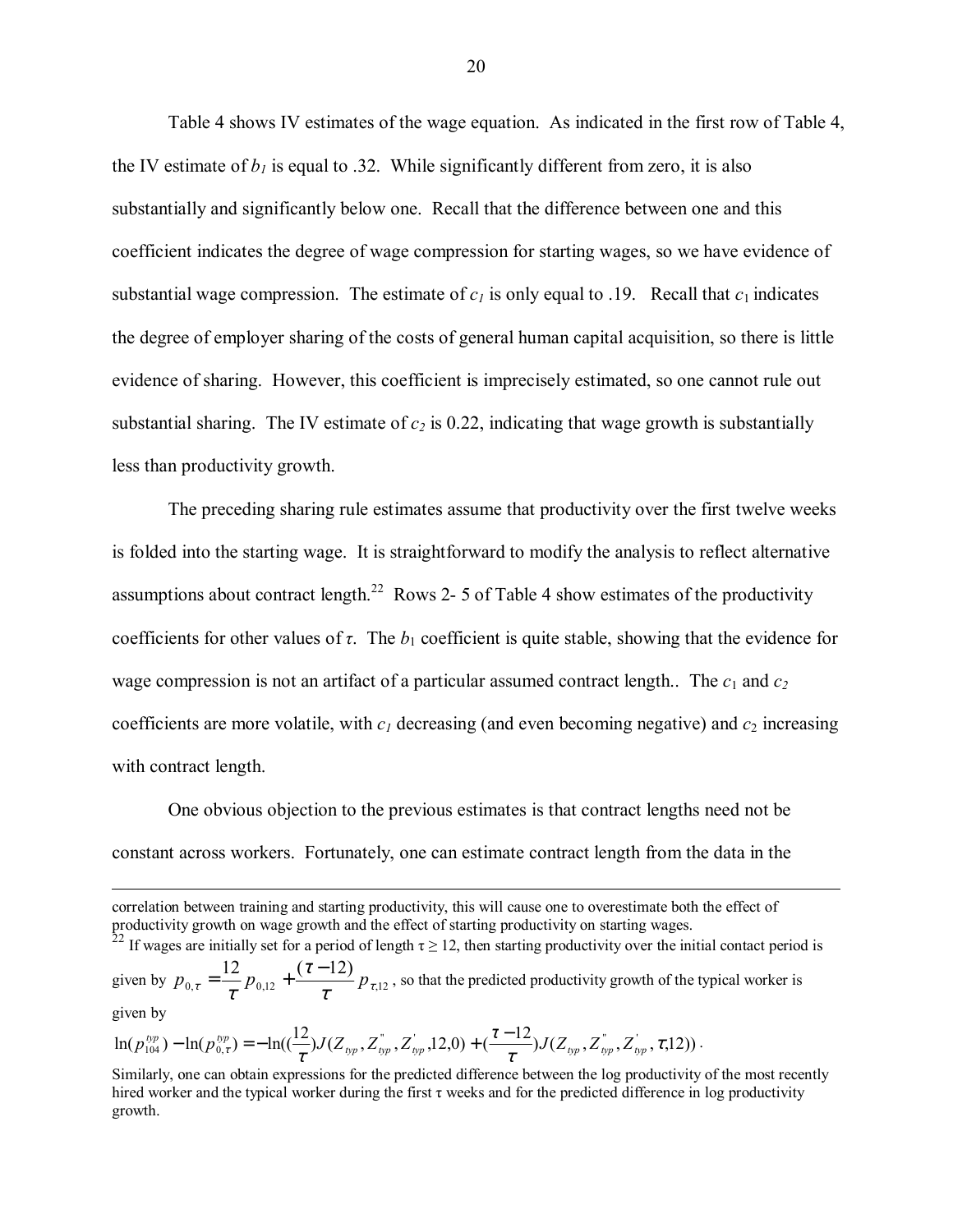Table 4 shows IV estimates of the wage equation. As indicated in the first row of Table 4, the IV estimate of  $b_1$  is equal to .32. While significantly different from zero, it is also substantially and significantly below one. Recall that the difference between one and this coefficient indicates the degree of wage compression for starting wages, so we have evidence of substantial wage compression. The estimate of  $c_1$  is only equal to .19. Recall that  $c_1$  indicates the degree of employer sharing of the costs of general human capital acquisition, so there is little evidence of sharing. However, this coefficient is imprecisely estimated, so one cannot rule out substantial sharing. The IV estimate of  $c_2$  is 0.22, indicating that wage growth is substantially less than productivity growth.

The preceding sharing rule estimates assume that productivity over the first twelve weeks is folded into the starting wage. It is straightforward to modify the analysis to reflect alternative assumptions about contract length.<sup>22</sup> Rows 2- 5 of Table 4 show estimates of the productivity coefficients for other values of  $\tau$ . The  $b_1$  coefficient is quite stable, showing that the evidence for wage compression is not an artifact of a particular assumed contract length.. The  $c_1$  and  $c_2$ coefficients are more volatile, with  $c_1$  decreasing (and even becoming negative) and  $c_2$  increasing with contract length.

One obvious objection to the previous estimates is that contract lengths need not be constant across workers. Fortunately, one can estimate contract length from the data in the

 correlation between training and starting productivity, this will cause one to overestimate both the effect of productivity growth on wage growth and the effect of starting productivity on starting wages. <sup>22</sup> If wages are initially set for a period of length  $\tau \ge 12$ , then starting productivity over the initial contact period is given by  $p_{0,\tau} = \frac{1}{\tau} p_{0,12} + \frac{(1-\tau)^2}{\tau^2} p_{\tau,12}$ 12  $(\tau - 12)$  $\tau$   $\tau$   $\tau$   $\tau$   $\tau$   $\tau$ τ  $p_{0,\tau} = \frac{12}{\tau} p_{0,12} + \frac{(\tau - 12)}{\tau} p_{\tau,12}$ , so that the predicted productivity growth of the typical worker is given by

$$
\ln(p_{104}^{typ}) - \ln(p_{0,\tau}^{typ}) = -\ln(\left(\frac{12}{\tau}\right)J(Z_{typ}, Z_{typ}^*, Z_{typ}^*, 12, 0) + \left(\frac{\tau-12}{\tau}\right)J(Z_{typ}, Z_{app}^*, Z_{app}^*, \tau, 12)).
$$

Similarly, one can obtain expressions for the predicted difference between the log productivity of the most recently hired worker and the typical worker during the first  $\tau$  weeks and for the predicted difference in log productivity growth.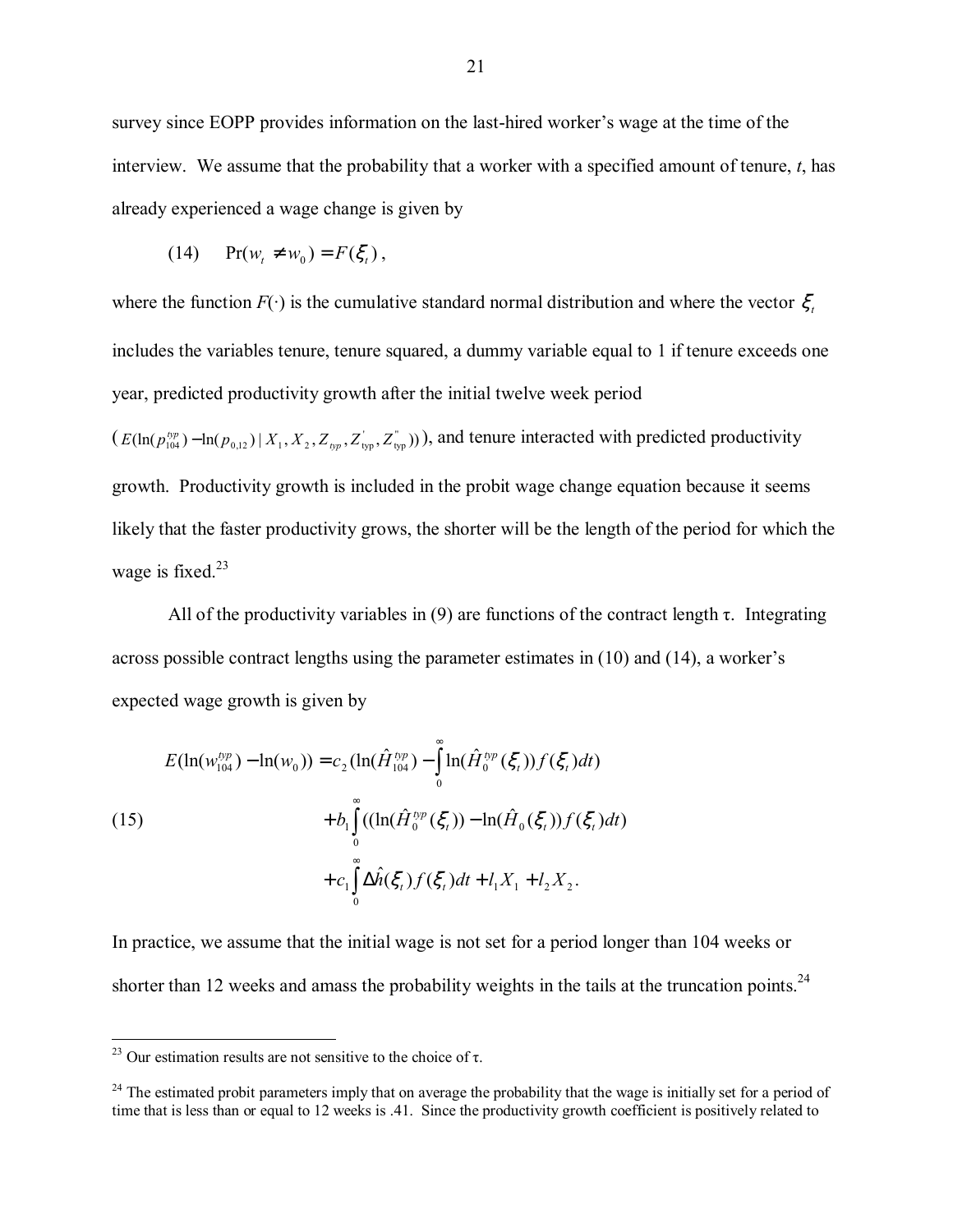survey since EOPP provides information on the last-hired worker's wage at the time of the interview. We assume that the probability that a worker with a specified amount of tenure, *t*, has already experienced a wage change is given by

$$
(14) \qquad \Pr(w_t \neq w_0) = F(\xi_t),
$$

where the function  $F(\cdot)$  is the cumulative standard normal distribution and where the vector  $\xi$ , includes the variables tenure, tenure squared, a dummy variable equal to 1 if tenure exceeds one year, predicted productivity growth after the initial twelve week period  $(E(\ln(p_{104}^{typ}) - \ln(p_{0,12}) | X_1, X_2, Z_{typ}, Z_{typ}^T, Z_{typ}^T))$ , and tenure interacted with predicted productivity growth. Productivity growth is included in the probit wage change equation because it seems likely that the faster productivity grows, the shorter will be the length of the period for which the wage is fixed. $23$ 

All of the productivity variables in (9) are functions of the contract length  $\tau$ . Integrating across possible contract lengths using the parameter estimates in  $(10)$  and  $(14)$ , a worker's expected wage growth is given by

(15)  
\n
$$
E(\ln(w_{104}^{bp}) - \ln(w_0)) = c_2 (\ln(\hat{H}_{104}^{bp}) - \int_0^{\infty} \ln(\hat{H}_0^{bp}(\xi_t)) f(\xi_t) dt)
$$
\n
$$
+ b_1 \int_0^{\infty} ((\ln(\hat{H}_0^{bp}(\xi_t)) - \ln(\hat{H}_0(\xi_t)) f(\xi_t) dt)
$$
\n
$$
+ c_1 \int_0^{\infty} \Delta \hat{h}(\xi_t) f(\xi_t) dt + l_1 X_1 + l_2 X_2.
$$

In practice, we assume that the initial wage is not set for a period longer than 104 weeks or shorter than 12 weeks and amass the probability weights in the tails at the truncation points.<sup>24</sup>

 $\overline{a}$ 

<sup>&</sup>lt;sup>23</sup> Our estimation results are not sensitive to the choice of τ.

 $24$  The estimated probit parameters imply that on average the probability that the wage is initially set for a period of time that is less than or equal to 12 weeks is .41. Since the productivity growth coefficient is positively related to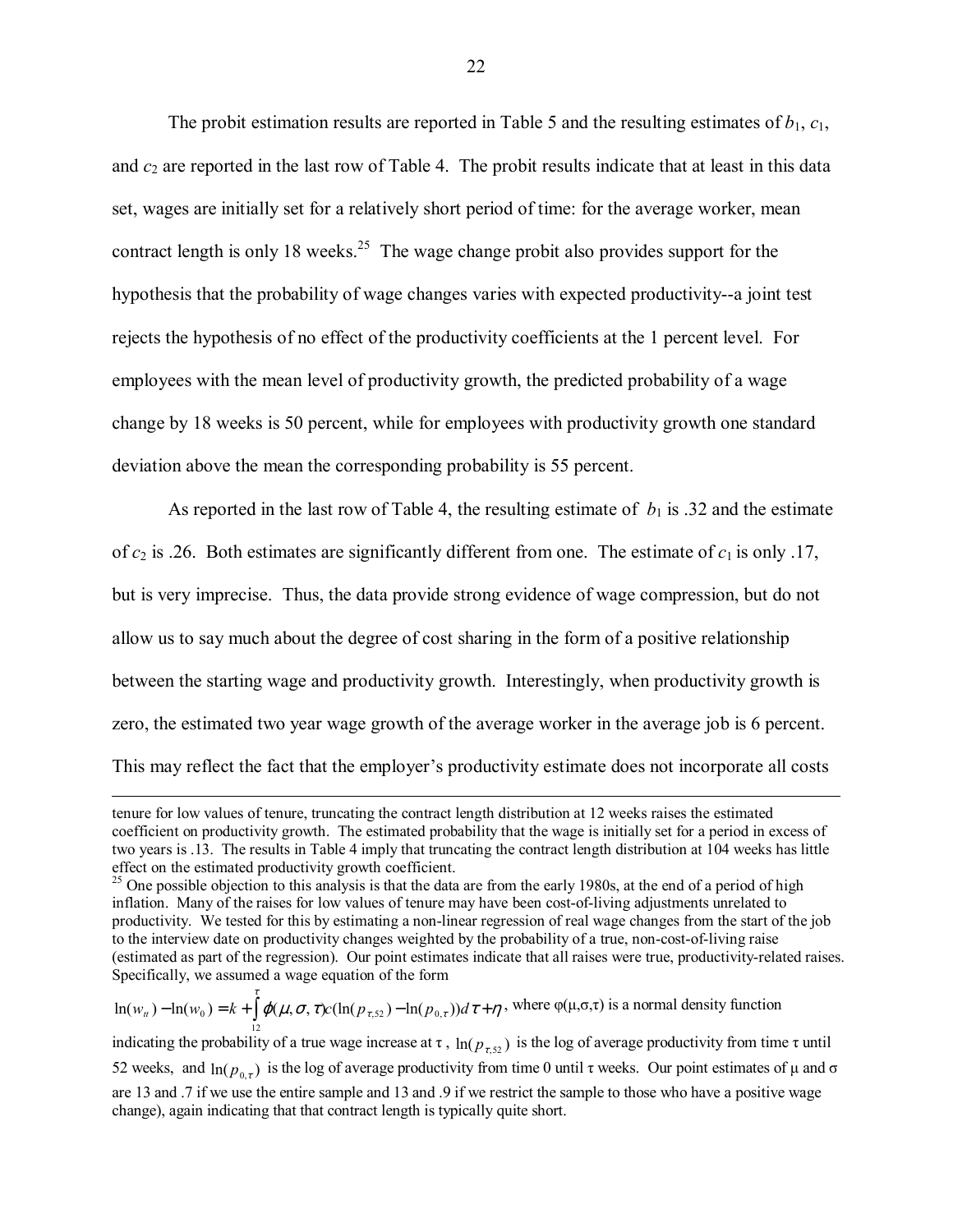The probit estimation results are reported in Table 5 and the resulting estimates of  $b_1$ ,  $c_1$ , and *c*2 are reported in the last row of Table 4. The probit results indicate that at least in this data set, wages are initially set for a relatively short period of time: for the average worker, mean contract length is only 18 weeks.<sup>25</sup> The wage change probit also provides support for the hypothesis that the probability of wage changes varies with expected productivity--a joint test rejects the hypothesis of no effect of the productivity coefficients at the 1 percent level. For employees with the mean level of productivity growth, the predicted probability of a wage change by 18 weeks is 50 percent, while for employees with productivity growth one standard deviation above the mean the corresponding probability is 55 percent.

As reported in the last row of Table 4, the resulting estimate of  $b_1$  is .32 and the estimate of  $c_2$  is .26. Both estimates are significantly different from one. The estimate of  $c_1$  is only .17, but is very imprecise. Thus, the data provide strong evidence of wage compression, but do not allow us to say much about the degree of cost sharing in the form of a positive relationship between the starting wage and productivity growth. Interestingly, when productivity growth is zero, the estimated two year wage growth of the average worker in the average job is 6 percent. This may reflect the fact that the employer's productivity estimate does not incorporate all costs

 $\varphi(\mu,\sigma,\tau)c(\ln(p_{\tau,52})-\ln(p_{0,\tau}))d\tau+\eta$  $\ln(w_u) - \ln(w_0) = k + \int \varphi(\mu, \sigma, \tau) c(\ln(p_{\tau,52}) - \ln(p_{0,\tau})) d\tau + \eta$ , where  $\varphi(\mu, \sigma, \tau)$  is a normal density function indicating the probability of a true wage increase at  $\tau$ ,  $\ln(p_{\tau,52})$  is the log of average productivity from time  $\tau$  until 52 weeks, and  $ln(p_{0\tau})$  is the log of average productivity from time 0 until τ weeks. Our point estimates of μ and σ are 13 and .7 if we use the entire sample and 13 and .9 if we restrict the sample to those who have a positive wage change), again indicating that that contract length is typically quite short.

tenure for low values of tenure, truncating the contract length distribution at 12 weeks raises the estimated coefficient on productivity growth. The estimated probability that the wage is initially set for a period in excess of two years is .13. The results in Table 4 imply that truncating the contract length distribution at 104 weeks has little effect on the estimated productivity growth coefficient.

<sup>&</sup>lt;sup>25</sup> One possible objection to this analysis is that the data are from the early 1980s, at the end of a period of high inflation. Many of the raises for low values of tenure may have been cost-of-living adjustments unrelated to productivity. We tested for this by estimating a non-linear regression of real wage changes from the start of the job to the interview date on productivity changes weighted by the probability of a true, non-cost-of-living raise (estimated as part of the regression). Our point estimates indicate that all raises were true, productivity-related raises. Specifically, we assumed a wage equation of the form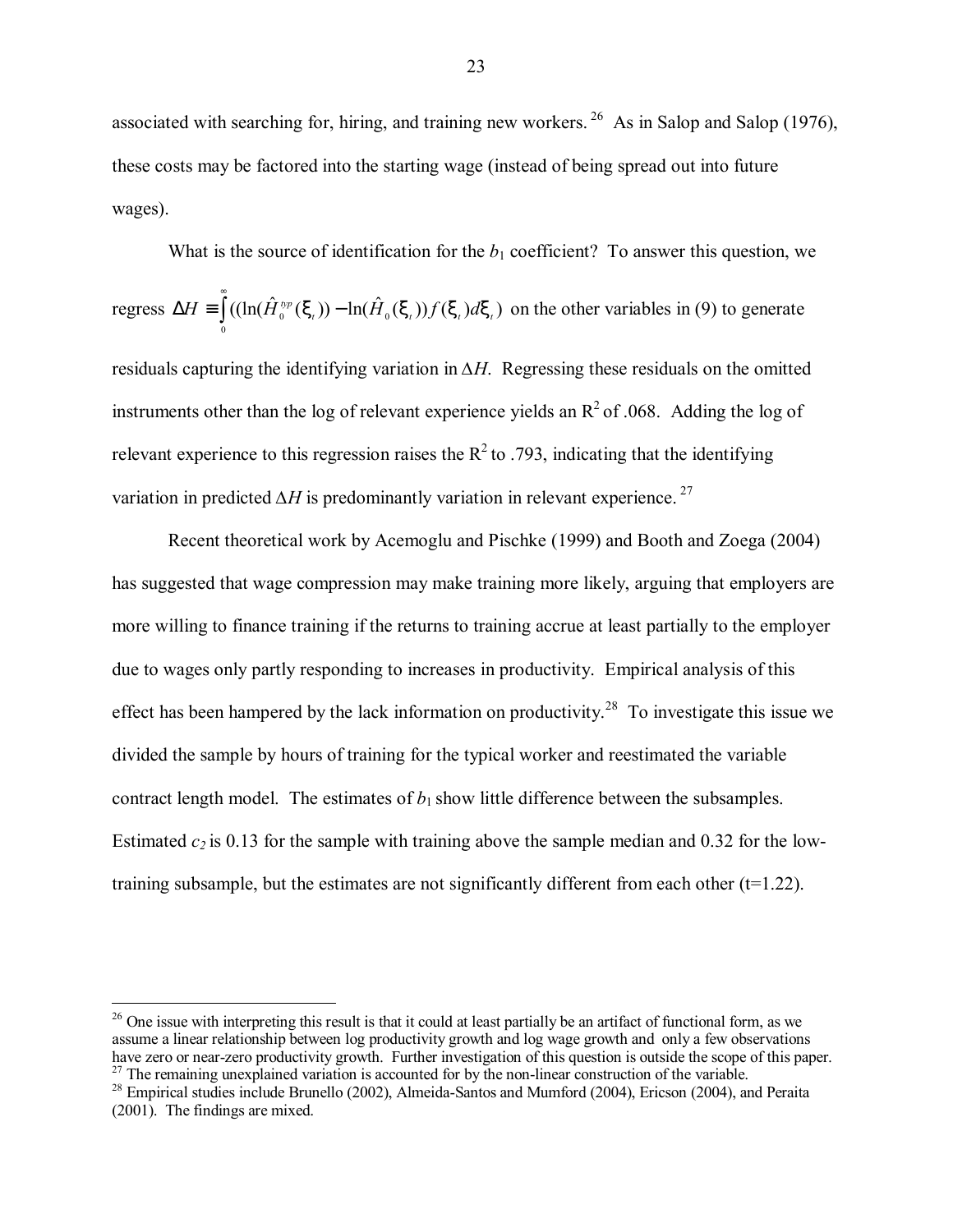associated with searching for, hiring, and training new workers. <sup>26</sup> As in Salop and Salop (1976), these costs may be factored into the starting wage (instead of being spread out into future wages).

What is the source of identification for the  $b_1$  coefficient? To answer this question, we regress  $\Delta H \equiv \int$  $\Delta H \equiv \big( (\ln(H_0^{typ}(\xi_t)) - \ln(H_0(\xi_t)) f(\xi_t) d\xi \big)$ 0  $H = \left( \left( \left( \ln(\hat{H}_0^{typ}(\xi_t)) - \ln(\hat{H}_0(\xi_t)) f(\xi_t) d\xi_t \right) \right) \right)$  on the other variables in (9) to generate residuals capturing the identifying variation in *∆H*. Regressing these residuals on the omitted instruments other than the log of relevant experience yields an  $R^2$  of .068. Adding the log of relevant experience to this regression raises the  $R^2$  to .793, indicating that the identifying variation in predicted  $\Delta H$  is predominantly variation in relevant experience.<sup>27</sup>

Recent theoretical work by Acemoglu and Pischke (1999) and Booth and Zoega (2004) has suggested that wage compression may make training more likely, arguing that employers are more willing to finance training if the returns to training accrue at least partially to the employer due to wages only partly responding to increases in productivity. Empirical analysis of this effect has been hampered by the lack information on productivity.<sup>28</sup> To investigate this issue we divided the sample by hours of training for the typical worker and reestimated the variable contract length model. The estimates of  $b_1$  show little difference between the subsamples. Estimated  $c_2$  is 0.13 for the sample with training above the sample median and 0.32 for the lowtraining subsample, but the estimates are not significantly different from each other  $(t=1.22)$ .

<u>.</u>

 $26$  One issue with interpreting this result is that it could at least partially be an artifact of functional form, as we assume a linear relationship between log productivity growth and log wage growth and only a few observations have zero or near-zero productivity growth. Further investigation of this question is outside the scope of this paper.  $27$  The remaining unexplained variation is accounted for by the non-linear construction of the variable.

<sup>&</sup>lt;sup>28</sup> Empirical studies include Brunello (2002), Almeida-Santos and Mumford (2004), Ericson (2004), and Peraita (2001). The findings are mixed.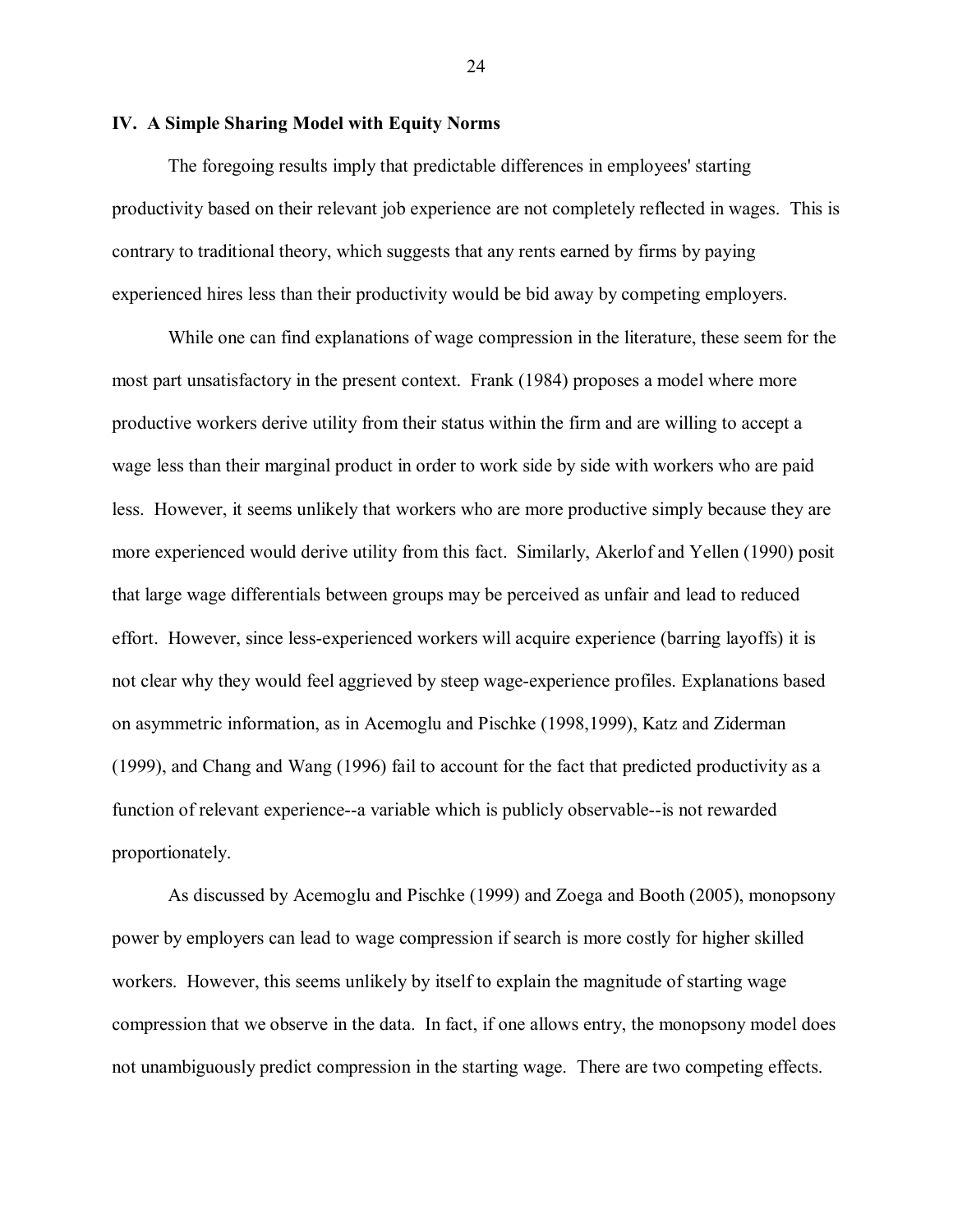#### **IV. A Simple Sharing Model with Equity Norms**

The foregoing results imply that predictable differences in employees' starting productivity based on their relevant job experience are not completely reflected in wages. This is contrary to traditional theory, which suggests that any rents earned by firms by paying experienced hires less than their productivity would be bid away by competing employers.

While one can find explanations of wage compression in the literature, these seem for the most part unsatisfactory in the present context. Frank (1984) proposes a model where more productive workers derive utility from their status within the firm and are willing to accept a wage less than their marginal product in order to work side by side with workers who are paid less. However, it seems unlikely that workers who are more productive simply because they are more experienced would derive utility from this fact. Similarly, Akerlof and Yellen (1990) posit that large wage differentials between groups may be perceived as unfair and lead to reduced effort. However, since less-experienced workers will acquire experience (barring layoffs) it is not clear why they would feel aggrieved by steep wage-experience profiles. Explanations based on asymmetric information, as in Acemoglu and Pischke (1998,1999), Katz and Ziderman (1999), and Chang and Wang (1996) fail to account for the fact that predicted productivity as a function of relevant experience--a variable which is publicly observable--is not rewarded proportionately.

As discussed by Acemoglu and Pischke (1999) and Zoega and Booth (2005), monopsony power by employers can lead to wage compression if search is more costly for higher skilled workers. However, this seems unlikely by itself to explain the magnitude of starting wage compression that we observe in the data. In fact, if one allows entry, the monopsony model does not unambiguously predict compression in the starting wage. There are two competing effects.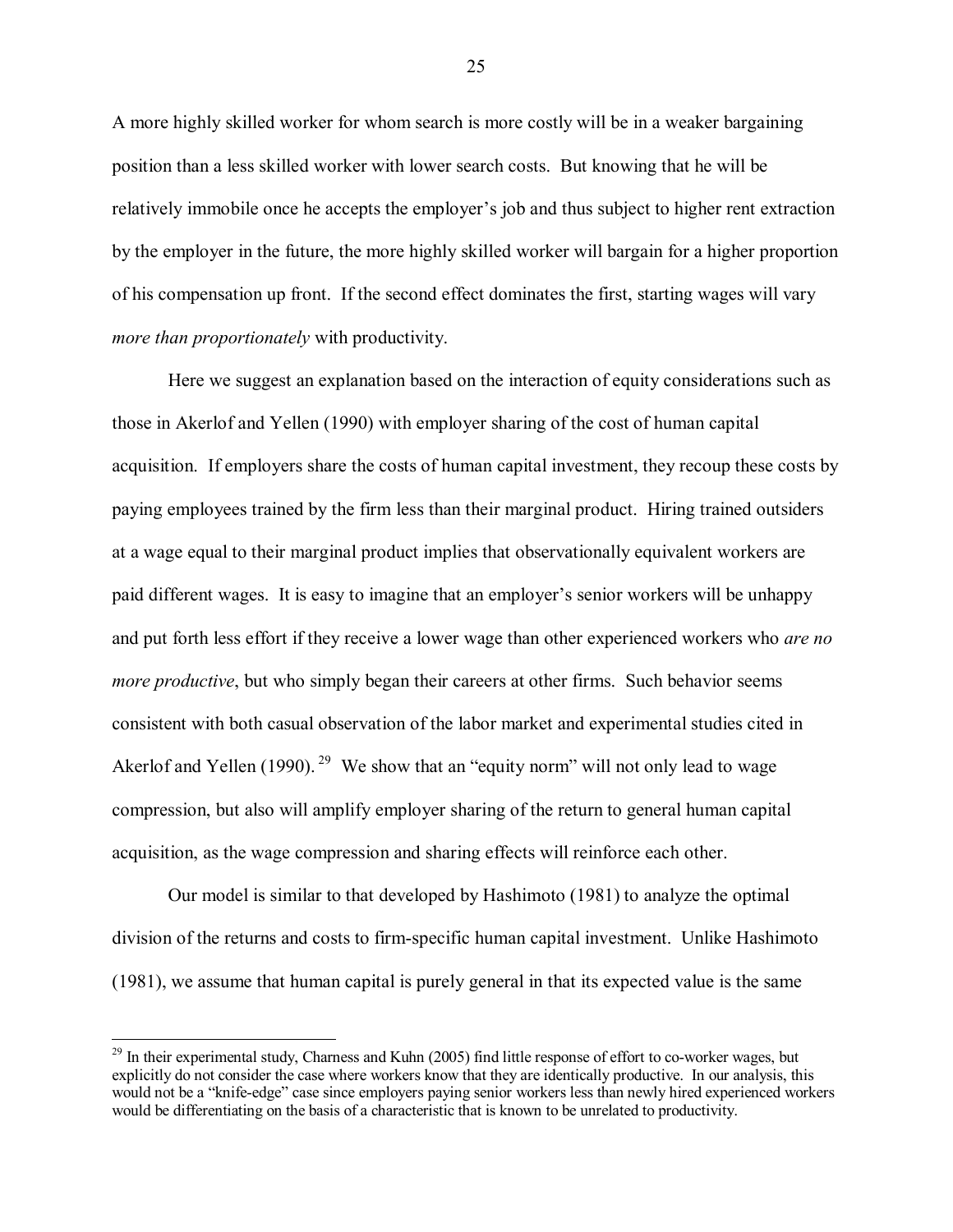A more highly skilled worker for whom search is more costly will be in a weaker bargaining position than a less skilled worker with lower search costs. But knowing that he will be relatively immobile once he accepts the employer's job and thus subject to higher rent extraction by the employer in the future, the more highly skilled worker will bargain for a higher proportion of his compensation up front. If the second effect dominates the first, starting wages will vary *more than proportionately* with productivity.

Here we suggest an explanation based on the interaction of equity considerations such as those in Akerlof and Yellen (1990) with employer sharing of the cost of human capital acquisition. If employers share the costs of human capital investment, they recoup these costs by paying employees trained by the firm less than their marginal product. Hiring trained outsiders at a wage equal to their marginal product implies that observationally equivalent workers are paid different wages. It is easy to imagine that an employer's senior workers will be unhappy and put forth less effort if they receive a lower wage than other experienced workers who *are no more productive*, but who simply began their careers at other firms. Such behavior seems consistent with both casual observation of the labor market and experimental studies cited in Akerlof and Yellen (1990). <sup>29</sup> We show that an "equity norm" will not only lead to wage compression, but also will amplify employer sharing of the return to general human capital acquisition, as the wage compression and sharing effects will reinforce each other.

Our model is similar to that developed by Hashimoto (1981) to analyze the optimal division of the returns and costs to firm-specific human capital investment. Unlike Hashimoto (1981), we assume that human capital is purely general in that its expected value is the same

 $\overline{a}$ 

<sup>&</sup>lt;sup>29</sup> In their experimental study, Charness and Kuhn (2005) find little response of effort to co-worker wages, but explicitly do not consider the case where workers know that they are identically productive. In our analysis, this would not be a "knife-edge" case since employers paying senior workers less than newly hired experienced workers would be differentiating on the basis of a characteristic that is known to be unrelated to productivity.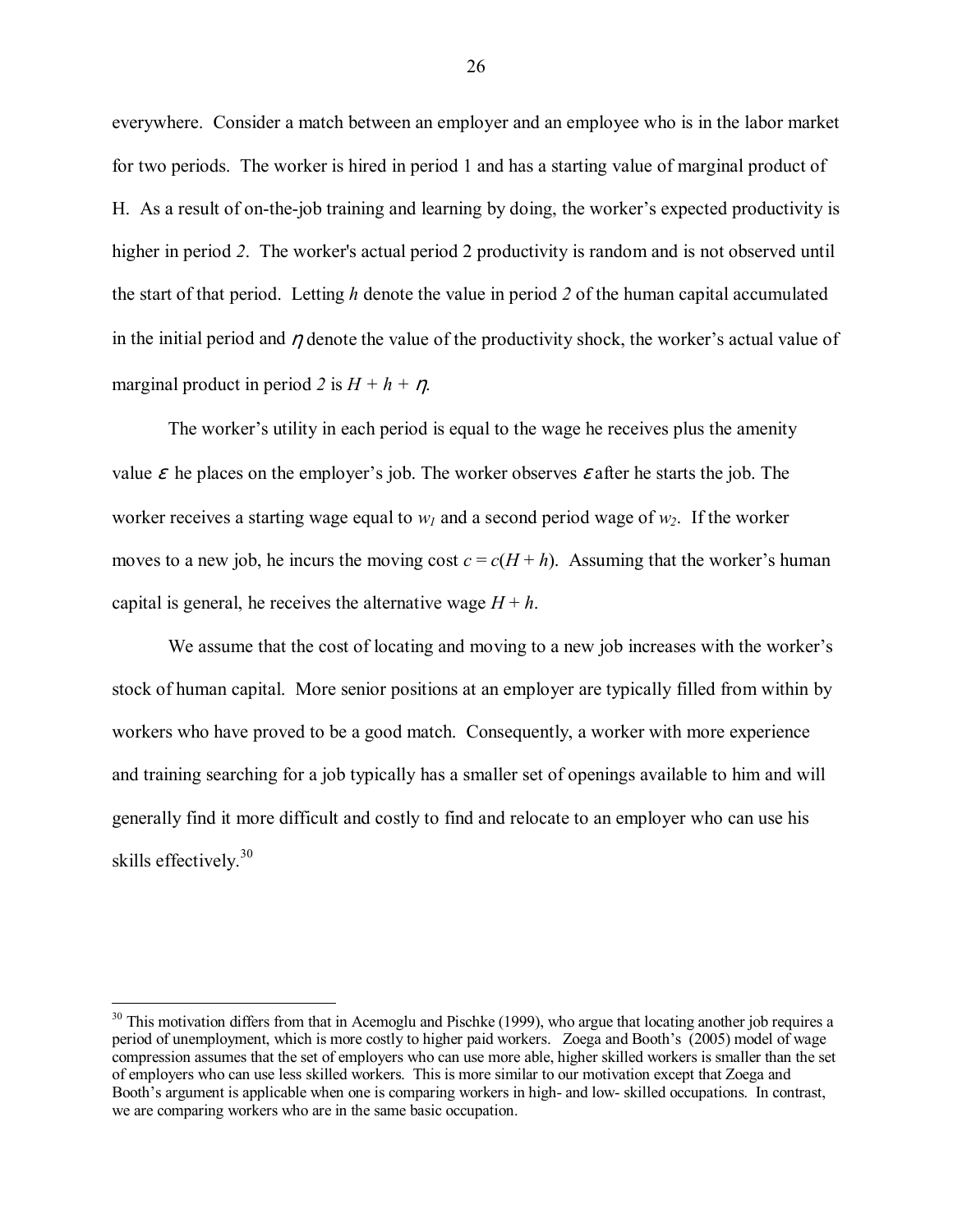everywhere. Consider a match between an employer and an employee who is in the labor market for two periods. The worker is hired in period 1 and has a starting value of marginal product of H. As a result of on-the-job training and learning by doing, the worker's expected productivity is higher in period *2*. The worker's actual period 2 productivity is random and is not observed until the start of that period. Letting *h* denote the value in period *2* of the human capital accumulated in the initial period and  $\eta$  denote the value of the productivity shock, the worker's actual value of marginal product in period 2 is  $H + h + \eta$ .

The worker's utility in each period is equal to the wage he receives plus the amenity value  $\varepsilon$  he places on the employer's job. The worker observes  $\varepsilon$  after he starts the job. The worker receives a starting wage equal to  $w_l$  and a second period wage of  $w_2$ . If the worker moves to a new job, he incurs the moving cost  $c = c(H + h)$ . Assuming that the worker's human capital is general, he receives the alternative wage  $H + h$ .

We assume that the cost of locating and moving to a new job increases with the worker's stock of human capital. More senior positions at an employer are typically filled from within by workers who have proved to be a good match. Consequently, a worker with more experience and training searching for a job typically has a smaller set of openings available to him and will generally find it more difficult and costly to find and relocate to an employer who can use his skills effectively.<sup>30</sup>

<u>.</u>

 $30$  This motivation differs from that in Acemoglu and Pischke (1999), who argue that locating another job requires a period of unemployment, which is more costly to higher paid workers. Zoega and Booth's (2005) model of wage compression assumes that the set of employers who can use more able, higher skilled workers is smaller than the set of employers who can use less skilled workers. This is more similar to our motivation except that Zoega and Booth's argument is applicable when one is comparing workers in high- and low- skilled occupations. In contrast, we are comparing workers who are in the same basic occupation.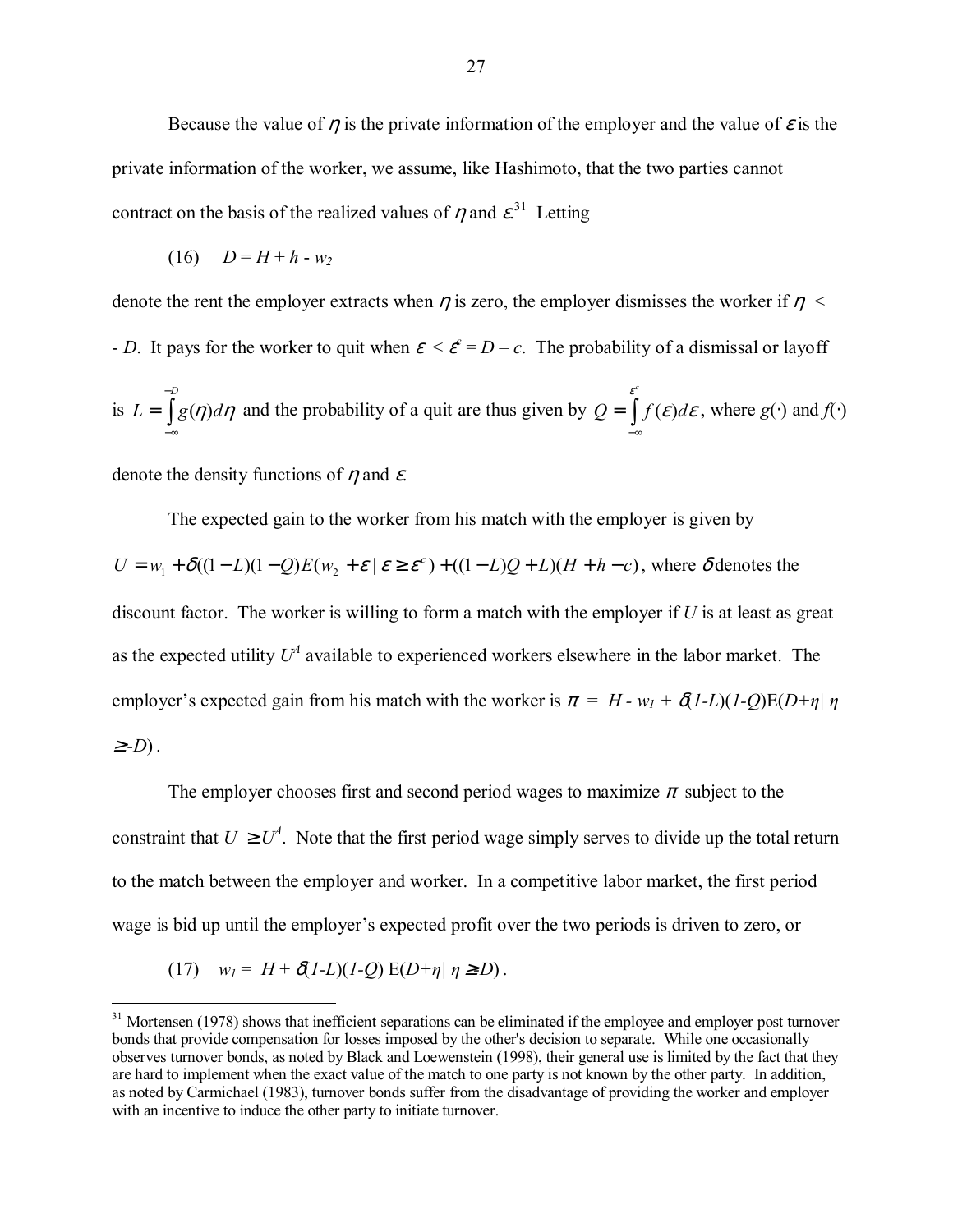Because the value of  $\eta$  is the private information of the employer and the value of  $\varepsilon$  is the private information of the worker, we assume, like Hashimoto, that the two parties cannot contract on the basis of the realized values of  $\eta$  and  $\varepsilon^{31}$  Letting

$$
(16) \quad D = H + h - w_2
$$

denote the rent the employer extracts when  $\eta$  is zero, the employer dismisses the worker if  $\eta$  < - *D*. It pays for the worker to quit when  $\varepsilon < \varepsilon^c = D - c$ . The probability of a dismissal or layoff is  $L = \int$ − −∞ = *D*  $L = \int g(\eta) d\eta$  and the probability of a quit are thus given by  $Q = \int$ −∞ *c*  $Q = \int_{0}^{\varepsilon} f(\varepsilon) d\varepsilon$ , where  $g(\cdot)$  and  $f(\cdot)$ 

denote the density functions of  $\eta$  and  $\varepsilon$ .

The expected gain to the worker from his match with the employer is given by  $U = w_1 + \delta((1-L)(1-Q)E(w_2 + \varepsilon | \varepsilon \ge \varepsilon^c) + ((1-L)Q + L)(H + h - c)$ , where  $\delta$  denotes the discount factor. The worker is willing to form a match with the employer if *U* is at least as great as the expected utility  $U^4$  available to experienced workers elsewhere in the labor market. The employer's expected gain from his match with the worker is  $\pi = H - w_1 + \delta(1-L)(1-Q)E(D+\eta)$ <sup>≥</sup> *-D*).

The employer chooses first and second period wages to maximize  $\pi$  subject to the constraint that  $U \geq U^4$ . Note that the first period wage simply serves to divide up the total return to the match between the employer and worker. In a competitive labor market, the first period wage is bid up until the employer's expected profit over the two periods is driven to zero, or

$$
(17) \quad w_l = H + \delta(l-L)(l-Q) \mathop{\mathrm{E}}\nolimits(D+\eta \mid \eta \geq D).
$$

 $\overline{a}$ 

 $31$  Mortensen (1978) shows that inefficient separations can be eliminated if the employee and employer post turnover bonds that provide compensation for losses imposed by the other's decision to separate. While one occasionally observes turnover bonds, as noted by Black and Loewenstein (1998), their general use is limited by the fact that they are hard to implement when the exact value of the match to one party is not known by the other party. In addition, as noted by Carmichael (1983), turnover bonds suffer from the disadvantage of providing the worker and employer with an incentive to induce the other party to initiate turnover.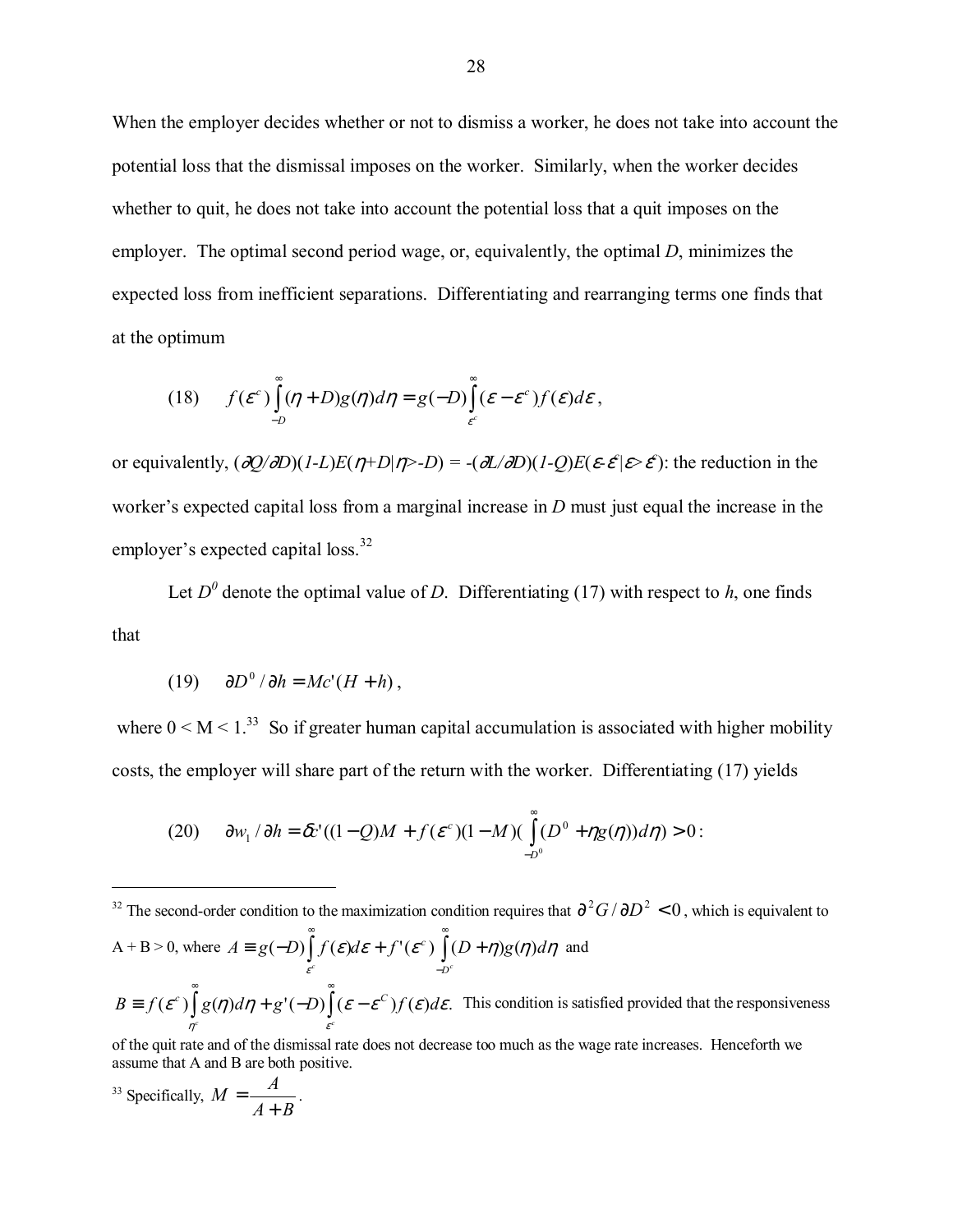When the employer decides whether or not to dismiss a worker, he does not take into account the potential loss that the dismissal imposes on the worker. Similarly, when the worker decides whether to quit, he does not take into account the potential loss that a quit imposes on the employer. The optimal second period wage, or, equivalently, the optimal *D*, minimizes the expected loss from inefficient separations. Differentiating and rearranging terms one finds that at the optimum

(18) 
$$
f(\varepsilon^c) \int_{-D}^{\infty} (\eta + D)g(\eta) d\eta = g(-D) \int_{\varepsilon^c}^{\infty} (\varepsilon - \varepsilon^c) f(\varepsilon) d\varepsilon,
$$

or equivalently,  $(\partial Q/\partial D)(I-L)E(\eta+D|\eta>-D) = -(\partial L/\partial D)(I-Q)E(\varepsilon\text{-}\mathcal{E}|\varepsilon> \mathcal{E}^{\ell})$ : the reduction in the worker's expected capital loss from a marginal increase in  $D$  must just equal the increase in the employer's expected capital loss. $32$ 

Let  $D^0$  denote the optimal value of *D*. Differentiating (17) with respect to *h*, one finds that

$$
(19) \qquad \partial D^0 / \partial h = Mc'(H + h) \,,
$$

where  $0 \le M \le 1$ <sup>33</sup> So if greater human capital accumulation is associated with higher mobility costs, the employer will share part of the return with the worker. Differentiating (17) yields

(20) 
$$
\frac{\partial w_1}{\partial h} = \frac{\partial c'(1 - Q)M + f(\varepsilon^{c})(1 - M)(\int_{-D^0}^{\infty} (D^0 + \eta g(\eta)) d\eta) > 0.
$$

<sup>32</sup> The second-order condition to the maximization condition requires that  $\frac{\partial^2 G}{\partial D^2} < 0$ , which is equivalent to  $A + B > 0$ , where  $A = g(-D) | f(\varepsilon) d\varepsilon + f'(\varepsilon^c) | (D + \eta) g(\eta) d\eta$ ε  $A \equiv g(-D) | f(\varepsilon)d\varepsilon + f'(\varepsilon^c) | (D + \eta)g(\eta)d\varepsilon$  $(-D)\int_{\varepsilon}^{\infty} f(\varepsilon) d\varepsilon + f'(\varepsilon^c) \int_{-D^c}^{\infty} (D + \eta) g(\eta)$ − ∞  $\equiv g(-D) | f(\varepsilon)d\varepsilon + f'(\varepsilon^c) | (D+\eta)g(\eta)d\eta$  and  $B \equiv f(\varepsilon^c) |g(\eta)d\eta + g'(-D) |(\varepsilon - \varepsilon^c) f(\varepsilon)d\varepsilon.$  $\eta$   $\varepsilon$ *c c*  $\equiv f(\varepsilon^c) \int_a^{\infty} g(\eta) d\eta + g'(-D) \int_a^{\infty} (\varepsilon - \varepsilon^c) f(\varepsilon) d\varepsilon$ . This condition is satisfied provided that the responsiveness

of the quit rate and of the dismissal rate does not decrease too much as the wage rate increases. Henceforth we assume that A and B are both positive.

<sup>33</sup> Specifically, 
$$
M = \frac{A}{A+B}
$$
.

 $\overline{a}$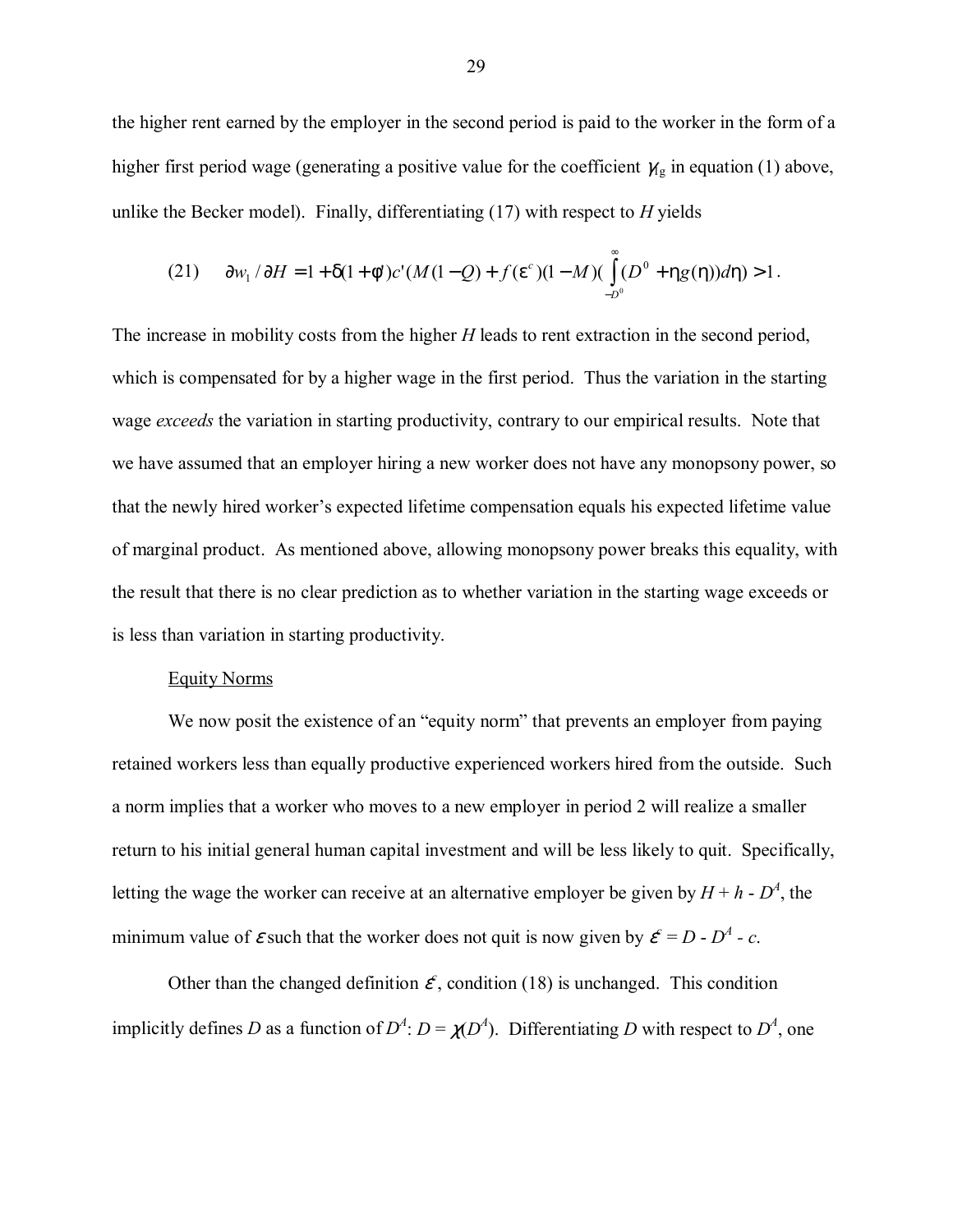the higher rent earned by the employer in the second period is paid to the worker in the form of a higher first period wage (generating a positive value for the coefficient  $\gamma_{\rm g}$  in equation (1) above, unlike the Becker model). Finally, differentiating (17) with respect to *H* yields

(21) 
$$
\partial w_1 / \partial H = 1 + \delta (1 + \phi') c' (M (1 - Q) + f(\varepsilon'') (1 - M) (\int_{-D^0}^{\infty} (D^0 + \eta g(\eta)) d\eta) > 1.
$$

The increase in mobility costs from the higher *H* leads to rent extraction in the second period, which is compensated for by a higher wage in the first period. Thus the variation in the starting wage *exceeds* the variation in starting productivity, contrary to our empirical results. Note that we have assumed that an employer hiring a new worker does not have any monopsony power, so that the newly hired worker's expected lifetime compensation equals his expected lifetime value of marginal product. As mentioned above, allowing monopsony power breaks this equality, with the result that there is no clear prediction as to whether variation in the starting wage exceeds or is less than variation in starting productivity.

#### Equity Norms

We now posit the existence of an "equity norm" that prevents an employer from paying retained workers less than equally productive experienced workers hired from the outside. Such a norm implies that a worker who moves to a new employer in period 2 will realize a smaller return to his initial general human capital investment and will be less likely to quit. Specifically, letting the wage the worker can receive at an alternative employer be given by  $H + h \cdot D^4$ , the minimum value of  $\varepsilon$  such that the worker does not quit is now given by  $\varepsilon^c = D - D^4 - c$ .

Other than the changed definition  $\mathcal{E}$ , condition (18) is unchanged. This condition implicitly defines *D* as a function of  $D^4$ :  $D = \chi(D^4)$ . Differentiating *D* with respect to  $D^4$ , one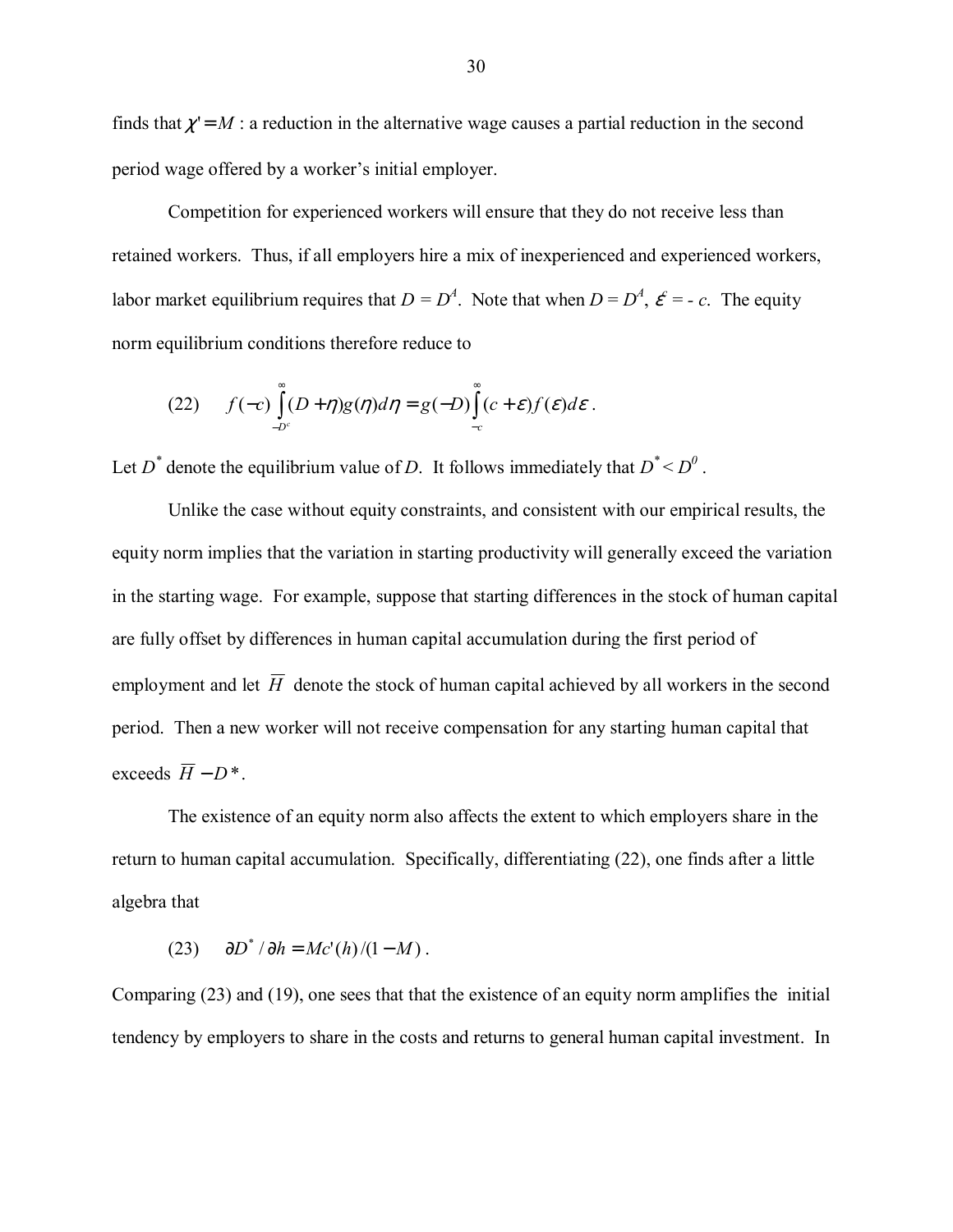finds that  $\chi' = M$ : a reduction in the alternative wage causes a partial reduction in the second period wage offered by a worker's initial employer.

Competition for experienced workers will ensure that they do not receive less than retained workers. Thus, if all employers hire a mix of inexperienced and experienced workers, labor market equilibrium requires that  $D = D<sup>4</sup>$ . Note that when  $D = D<sup>4</sup>$ ,  $\mathcal{E} = -c$ . The equity norm equilibrium conditions therefore reduce to

(22) 
$$
f(-c)\int_{-D^c}^{\infty} (D+\eta)g(\eta)d\eta = g(-D)\int_{-c}^{\infty} (c+\varepsilon)f(\varepsilon)d\varepsilon.
$$

Let  $D^*$  denote the equilibrium value of *D*. It follows immediately that  $D^* < D^0$ .

Unlike the case without equity constraints, and consistent with our empirical results, the equity norm implies that the variation in starting productivity will generally exceed the variation in the starting wage. For example, suppose that starting differences in the stock of human capital are fully offset by differences in human capital accumulation during the first period of employment and let  $\overline{H}$  denote the stock of human capital achieved by all workers in the second period. Then a new worker will not receive compensation for any starting human capital that exceeds  $\overline{H} - D^*$ .

The existence of an equity norm also affects the extent to which employers share in the return to human capital accumulation. Specifically, differentiating (22), one finds after a little algebra that

 $(d23)$   $\partial D^* / \partial h = Mc'(h)/(1 - M)$ .

Comparing (23) and (19), one sees that that the existence of an equity norm amplifies the initial tendency by employers to share in the costs and returns to general human capital investment. In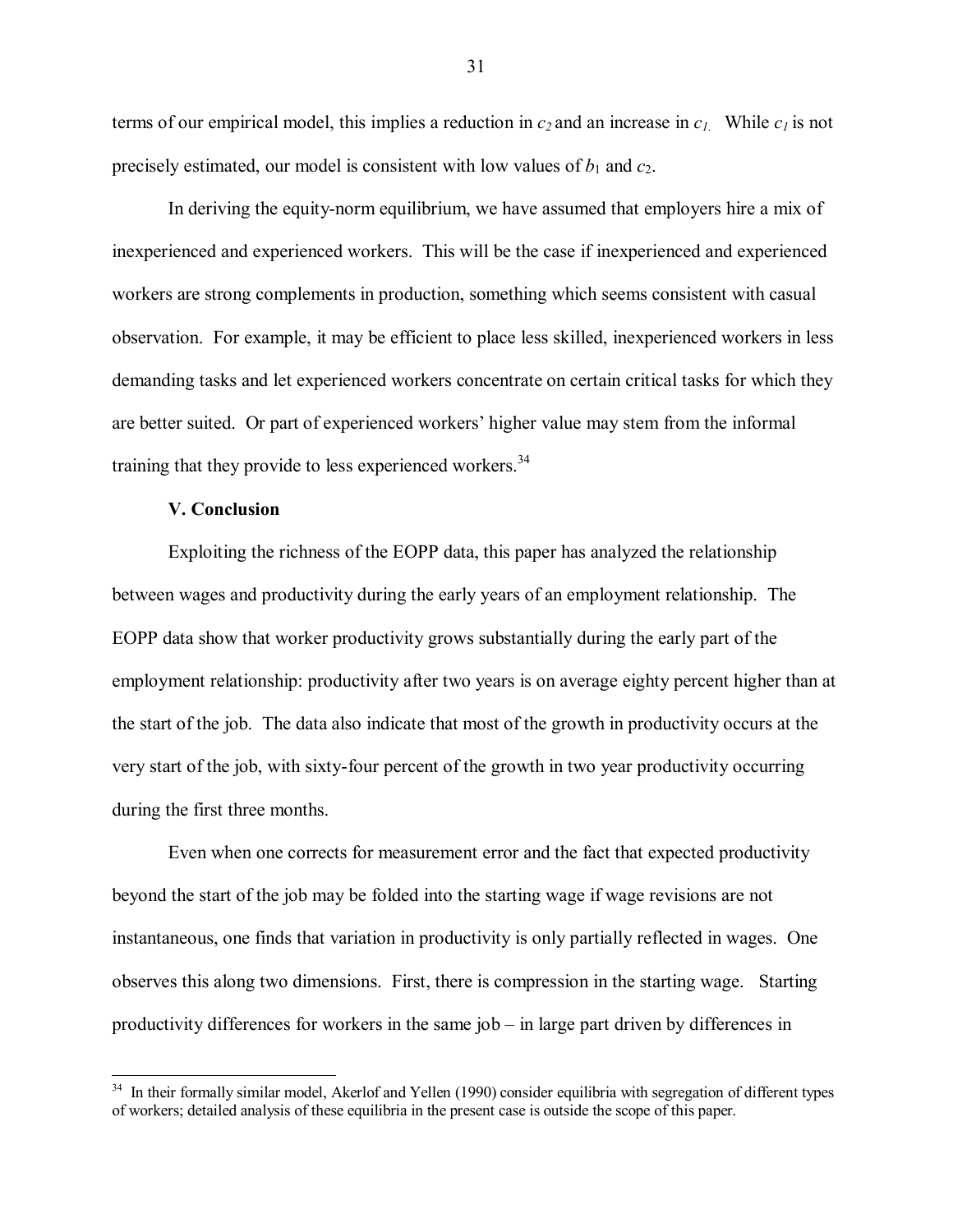terms of our empirical model, this implies a reduction in  $c_2$  and an increase in  $c_1$ . While  $c_1$  is not precisely estimated, our model is consistent with low values of  $b_1$  and  $c_2$ .

In deriving the equity-norm equilibrium, we have assumed that employers hire a mix of inexperienced and experienced workers. This will be the case if inexperienced and experienced workers are strong complements in production, something which seems consistent with casual observation. For example, it may be efficient to place less skilled, inexperienced workers in less demanding tasks and let experienced workers concentrate on certain critical tasks for which they are better suited. Or part of experienced workers' higher value may stem from the informal training that they provide to less experienced workers.<sup>34</sup>

#### **V. Conclusion**

 $\overline{a}$ 

Exploiting the richness of the EOPP data, this paper has analyzed the relationship between wages and productivity during the early years of an employment relationship. The EOPP data show that worker productivity grows substantially during the early part of the employment relationship: productivity after two years is on average eighty percent higher than at the start of the job. The data also indicate that most of the growth in productivity occurs at the very start of the job, with sixty-four percent of the growth in two year productivity occurring during the first three months.

Even when one corrects for measurement error and the fact that expected productivity beyond the start of the job may be folded into the starting wage if wage revisions are not instantaneous, one finds that variation in productivity is only partially reflected in wages. One observes this along two dimensions. First, there is compression in the starting wage. Starting productivity differences for workers in the same  $job - in$  large part driven by differences in

<sup>&</sup>lt;sup>34</sup> In their formally similar model, Akerlof and Yellen (1990) consider equilibria with segregation of different types of workers; detailed analysis of these equilibria in the present case is outside the scope of this paper.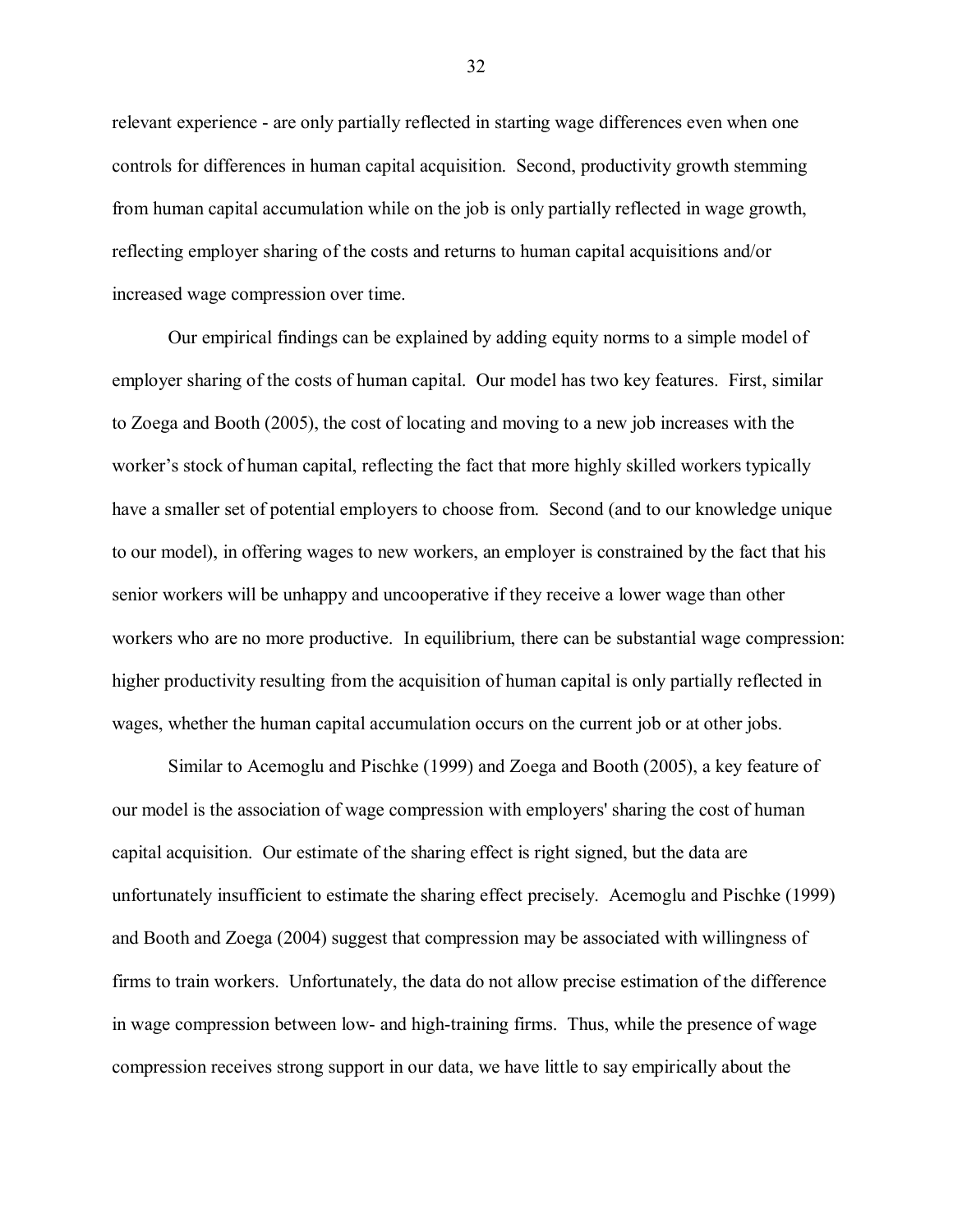relevant experience - are only partially reflected in starting wage differences even when one controls for differences in human capital acquisition. Second, productivity growth stemming from human capital accumulation while on the job is only partially reflected in wage growth, reflecting employer sharing of the costs and returns to human capital acquisitions and/or increased wage compression over time.

Our empirical findings can be explained by adding equity norms to a simple model of employer sharing of the costs of human capital. Our model has two key features. First, similar to Zoega and Booth (2005), the cost of locating and moving to a new job increases with the worker's stock of human capital, reflecting the fact that more highly skilled workers typically have a smaller set of potential employers to choose from. Second (and to our knowledge unique to our model), in offering wages to new workers, an employer is constrained by the fact that his senior workers will be unhappy and uncooperative if they receive a lower wage than other workers who are no more productive. In equilibrium, there can be substantial wage compression: higher productivity resulting from the acquisition of human capital is only partially reflected in wages, whether the human capital accumulation occurs on the current job or at other jobs.

Similar to Acemoglu and Pischke (1999) and Zoega and Booth (2005), a key feature of our model is the association of wage compression with employers' sharing the cost of human capital acquisition. Our estimate of the sharing effect is right signed, but the data are unfortunately insufficient to estimate the sharing effect precisely. Acemoglu and Pischke (1999) and Booth and Zoega (2004) suggest that compression may be associated with willingness of firms to train workers. Unfortunately, the data do not allow precise estimation of the difference in wage compression between low- and high-training firms. Thus, while the presence of wage compression receives strong support in our data, we have little to say empirically about the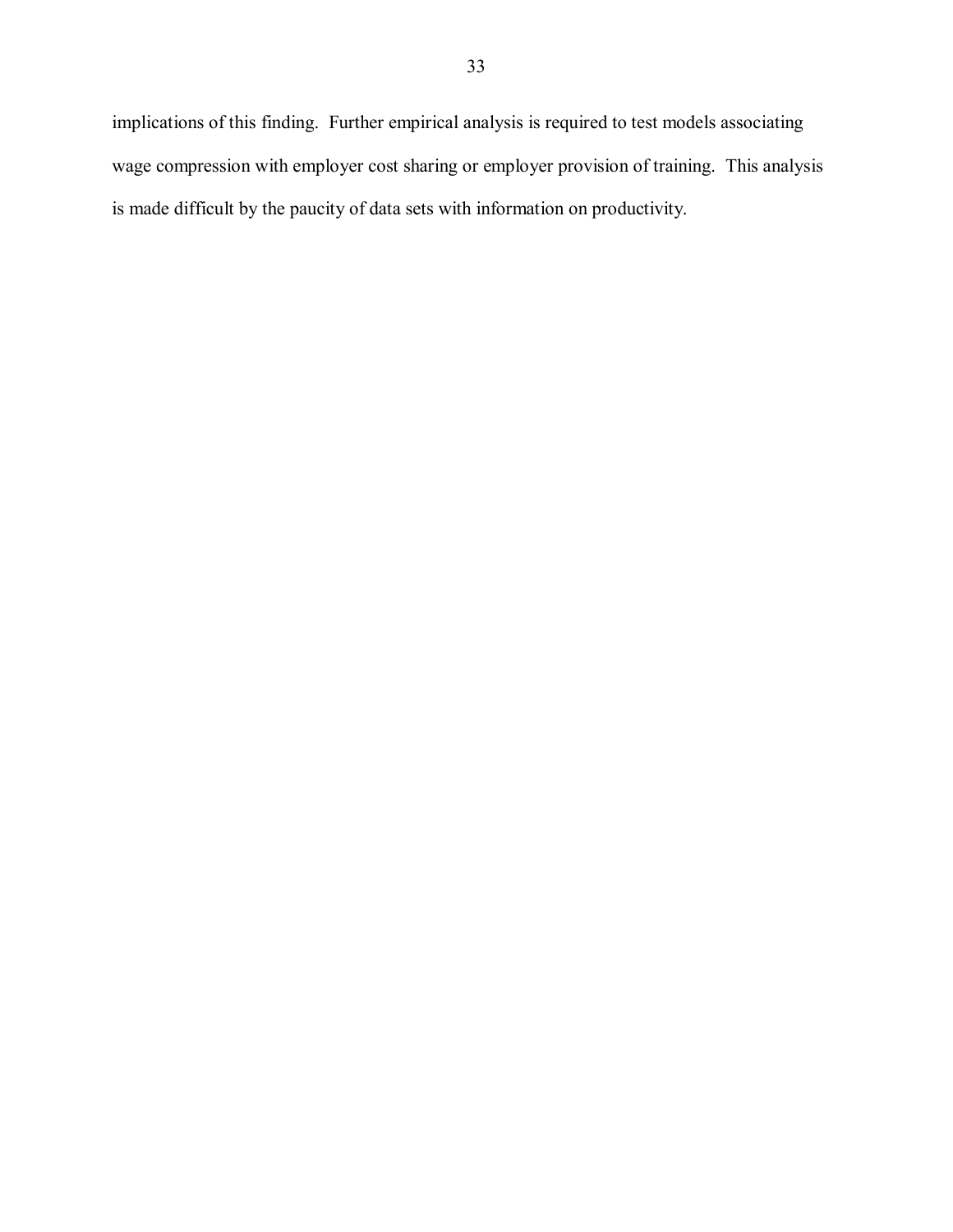implications of this finding. Further empirical analysis is required to test models associating wage compression with employer cost sharing or employer provision of training. This analysis is made difficult by the paucity of data sets with information on productivity.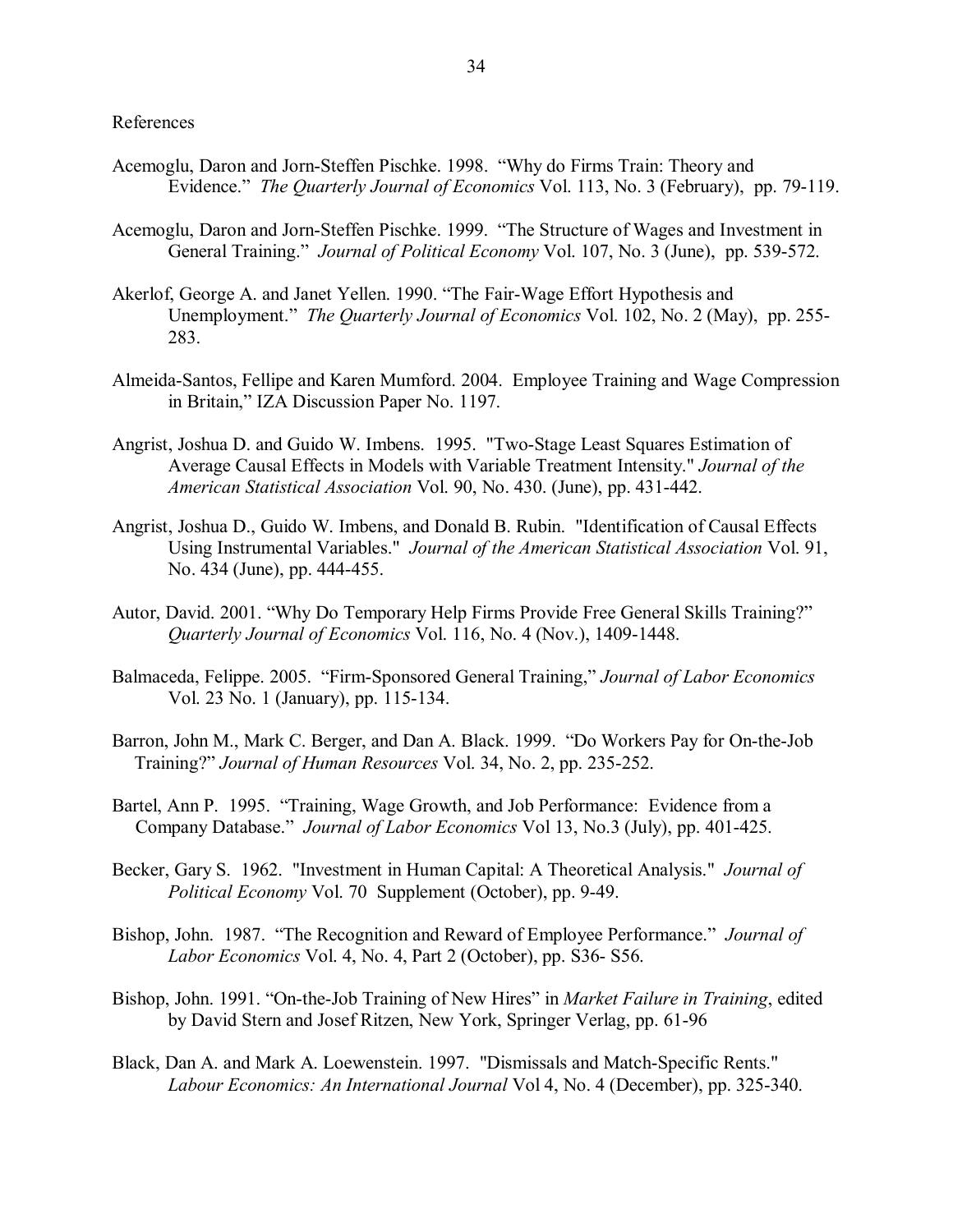References

- Acemoglu, Daron and Jorn-Steffen Pischke. 1998. "Why do Firms Train: Theory and Evidence." *The Quarterly Journal of Economics* Vol. 113, No. 3 (February), pp. 79-119.
- Acemoglu, Daron and Jorn-Steffen Pischke. 1999. "The Structure of Wages and Investment in General Training." *Journal of Political Economy* Vol. 107, No. 3 (June), pp. 539-572.
- Akerlof, George A. and Janet Yellen. 1990. "The Fair-Wage Effort Hypothesis and Unemployment." *The Quarterly Journal of Economics* Vol. 102, No. 2 (May), pp. 255-283.
- Almeida-Santos, Fellipe and Karen Mumford. 2004. Employee Training and Wage Compression in Britain," IZA Discussion Paper No. 1197.
- Angrist, Joshua D. and Guido W. Imbens. 1995. "Two-Stage Least Squares Estimation of Average Causal Effects in Models with Variable Treatment Intensity." *Journal of the American Statistical Association* Vol. 90, No. 430. (June), pp. 431-442.
- Angrist, Joshua D., Guido W. Imbens, and Donald B. Rubin. "Identification of Causal Effects Using Instrumental Variables." *Journal of the American Statistical Association* Vol. 91, No. 434 (June), pp. 444-455.
- Autor, David. 2001. "Why Do Temporary Help Firms Provide Free General Skills Training?" *Quarterly Journal of Economics* Vol. 116, No. 4 (Nov.), 1409-1448.
- Balmaceda, Felippe. 2005. *''Firm-Sponsored General Training,'' Journal of Labor Economics* Vol. 23 No. 1 (January), pp. 115-134.
- Barron, John M., Mark C. Berger, and Dan A. Black. 1999. *"Do Workers Pay for On-the-Job* Training?î *Journal of Human Resources* Vol. 34, No. 2, pp. 235-252.
- Bartel, Ann P. 1995. "Training, Wage Growth, and Job Performance: Evidence from a Company Database.î *Journal of Labor Economics* Vol 13, No.3 (July), pp. 401-425.
- Becker, Gary S. 1962. "Investment in Human Capital: A Theoretical Analysis." *Journal of Political Economy* Vol. 70 Supplement (October), pp. 9-49.
- Bishop, John. 1987. "The Recognition and Reward of Employee Performance." *Journal of Labor Economics* Vol. 4, No. 4, Part 2 (October), pp. S36- S56.
- Bishop, John. 1991. "On-the-Job Training of New Hires" in *Market Failure in Training*, edited by David Stern and Josef Ritzen, New York, Springer Verlag, pp. 61-96
- Black, Dan A. and Mark A. Loewenstein. 1997. "Dismissals and Match-Specific Rents." *Labour Economics: An International Journal* Vol 4, No. 4 (December), pp. 325-340.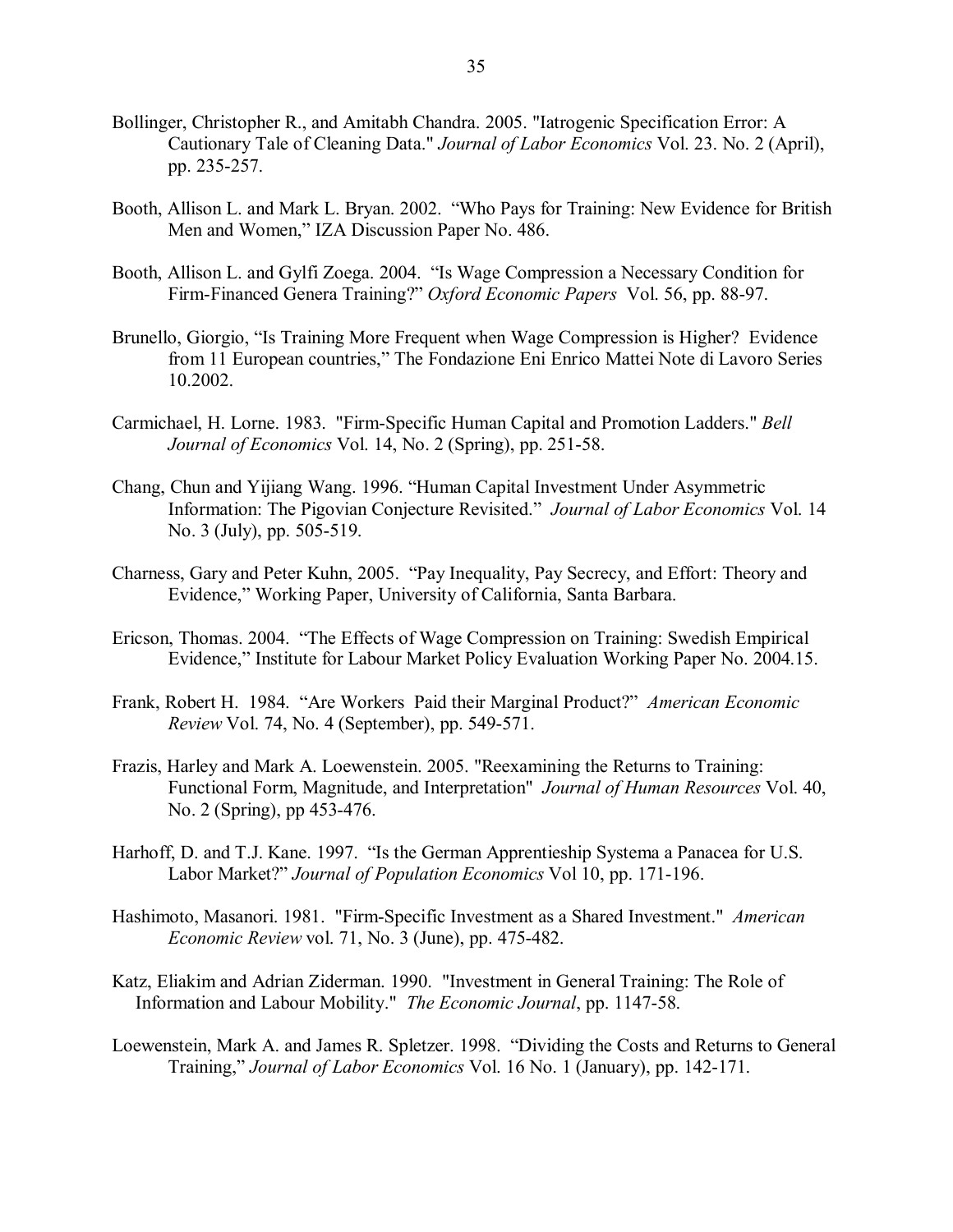- Bollinger, Christopher R., and Amitabh Chandra. 2005. "Iatrogenic Specification Error: A Cautionary Tale of Cleaning Data." *Journal of Labor Economics* Vol. 23. No. 2 (April), pp. 235-257.
- Booth, Allison L. and Mark L. Bryan. 2002. "Who Pays for Training: New Evidence for British Men and Women," IZA Discussion Paper No. 486.
- Booth, Allison L. and Gylfi Zoega. 2004. "Is Wage Compression a Necessary Condition for Firm-Financed Genera Training?î *Oxford Economic Papers* Vol. 56, pp. 88-97.
- Brunello, Giorgio, "Is Training More Frequent when Wage Compression is Higher? Evidence from 11 European countries," The Fondazione Eni Enrico Mattei Note di Lavoro Series 10.2002.
- Carmichael, H. Lorne. 1983. "Firm-Specific Human Capital and Promotion Ladders." *Bell Journal of Economics* Vol. 14, No. 2 (Spring), pp. 251-58.
- Chang, Chun and Yijiang Wang. 1996. "Human Capital Investment Under Asymmetric Information: The Pigovian Conjecture Revisited.î *Journal of Labor Economics* Vol. 14 No. 3 (July), pp. 505-519.
- Charness, Gary and Peter Kuhn, 2005. "Pay Inequality, Pay Secrecy, and Effort: Theory and Evidence," Working Paper, University of California, Santa Barbara.
- Ericson, Thomas. 2004. *The Effects of Wage Compression on Training: Swedish Empirical* Evidence," Institute for Labour Market Policy Evaluation Working Paper No. 2004.15.
- Frank, Robert H. 1984. "Are Workers Paid their Marginal Product?" *American Economic Review* Vol. 74, No. 4 (September), pp. 549-571.
- Frazis, Harley and Mark A. Loewenstein. 2005. "Reexamining the Returns to Training: Functional Form, Magnitude, and Interpretation" *Journal of Human Resources* Vol. 40, No. 2 (Spring), pp 453-476.
- Harhoff, D. and T.J. Kane. 1997. "Is the German Apprentieship Systema a Panacea for U.S. Labor Market?î *Journal of Population Economics* Vol 10, pp. 171-196.
- Hashimoto, Masanori. 1981. "Firm-Specific Investment as a Shared Investment." *American Economic Review* vol. 71, No. 3 (June), pp. 475-482.
- Katz, Eliakim and Adrian Ziderman. 1990. "Investment in General Training: The Role of Information and Labour Mobility." *The Economic Journal*, pp. 1147-58.
- Loewenstein, Mark A. and James R. Spletzer. 1998. "Dividing the Costs and Returns to General Training,î *Journal of Labor Economics* Vol. 16 No. 1 (January), pp. 142-171.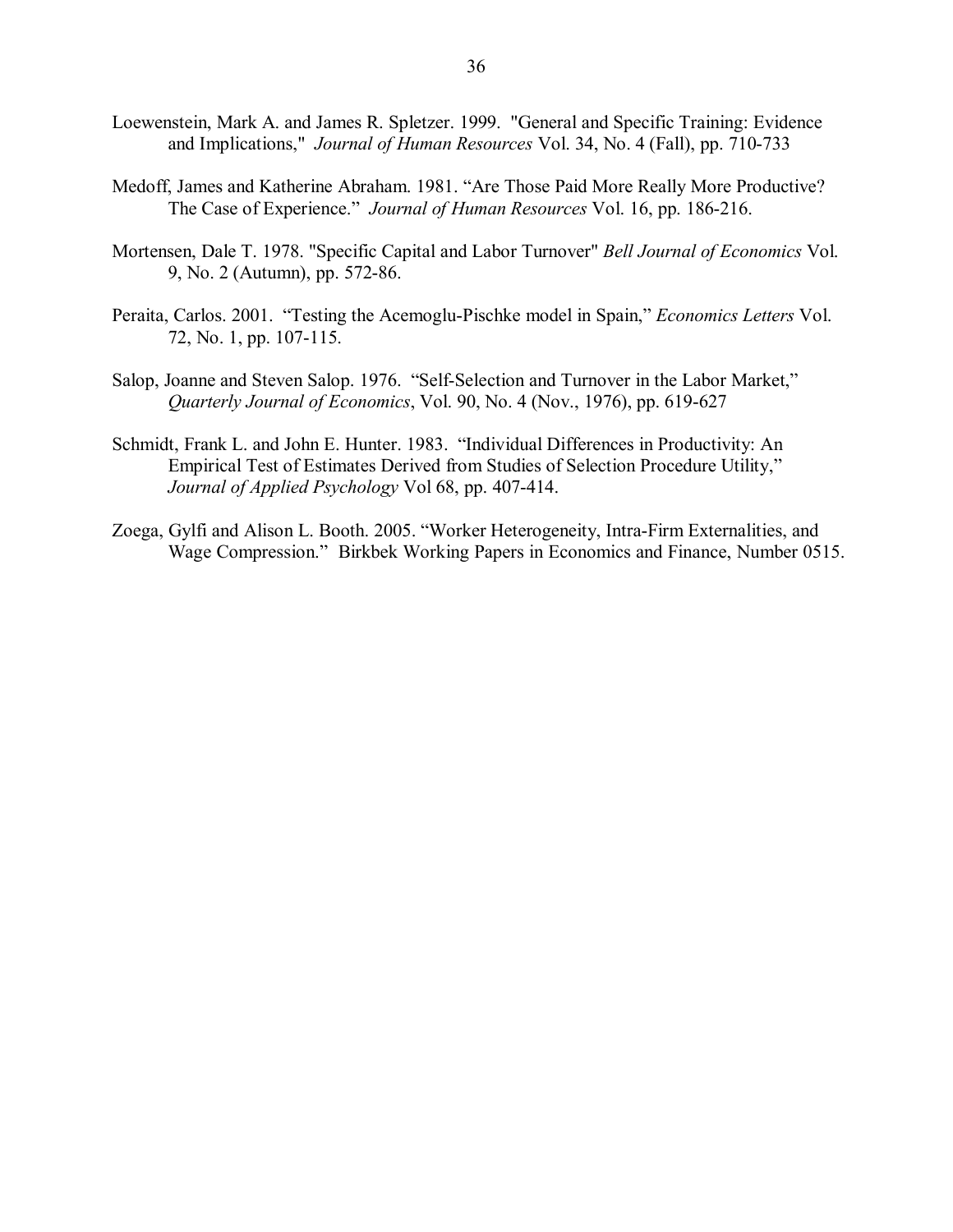- Loewenstein, Mark A. and James R. Spletzer. 1999. "General and Specific Training: Evidence and Implications," *Journal of Human Resources* Vol. 34, No. 4 (Fall), pp. 710-733
- Medoff, James and Katherine Abraham. 1981. "Are Those Paid More Really More Productive? The Case of Experience.<sup>"</sup> *Journal of Human Resources* Vol. 16, pp. 186-216.
- Mortensen, Dale T. 1978. "Specific Capital and Labor Turnover" *Bell Journal of Economics* Vol. 9, No. 2 (Autumn), pp. 572-86.
- Peraita, Carlos. 2001. "Testing the Acemoglu-Pischke model in Spain," *Economics Letters* Vol. 72, No. 1, pp. 107-115.
- Salop, Joanne and Steven Salop. 1976. "Self-Selection and Turnover in the Labor Market," *Quarterly Journal of Economics*, Vol. 90, No. 4 (Nov., 1976), pp. 619-627
- Schmidt, Frank L. and John E. Hunter. 1983. "Individual Differences in Productivity: An Empirical Test of Estimates Derived from Studies of Selection Procedure Utility," *Journal of Applied Psychology* Vol 68, pp. 407-414.
- Zoega, Gylfi and Alison L. Booth. 2005. "Worker Heterogeneity, Intra-Firm Externalities, and Wage Compression." Birkbek Working Papers in Economics and Finance, Number 0515.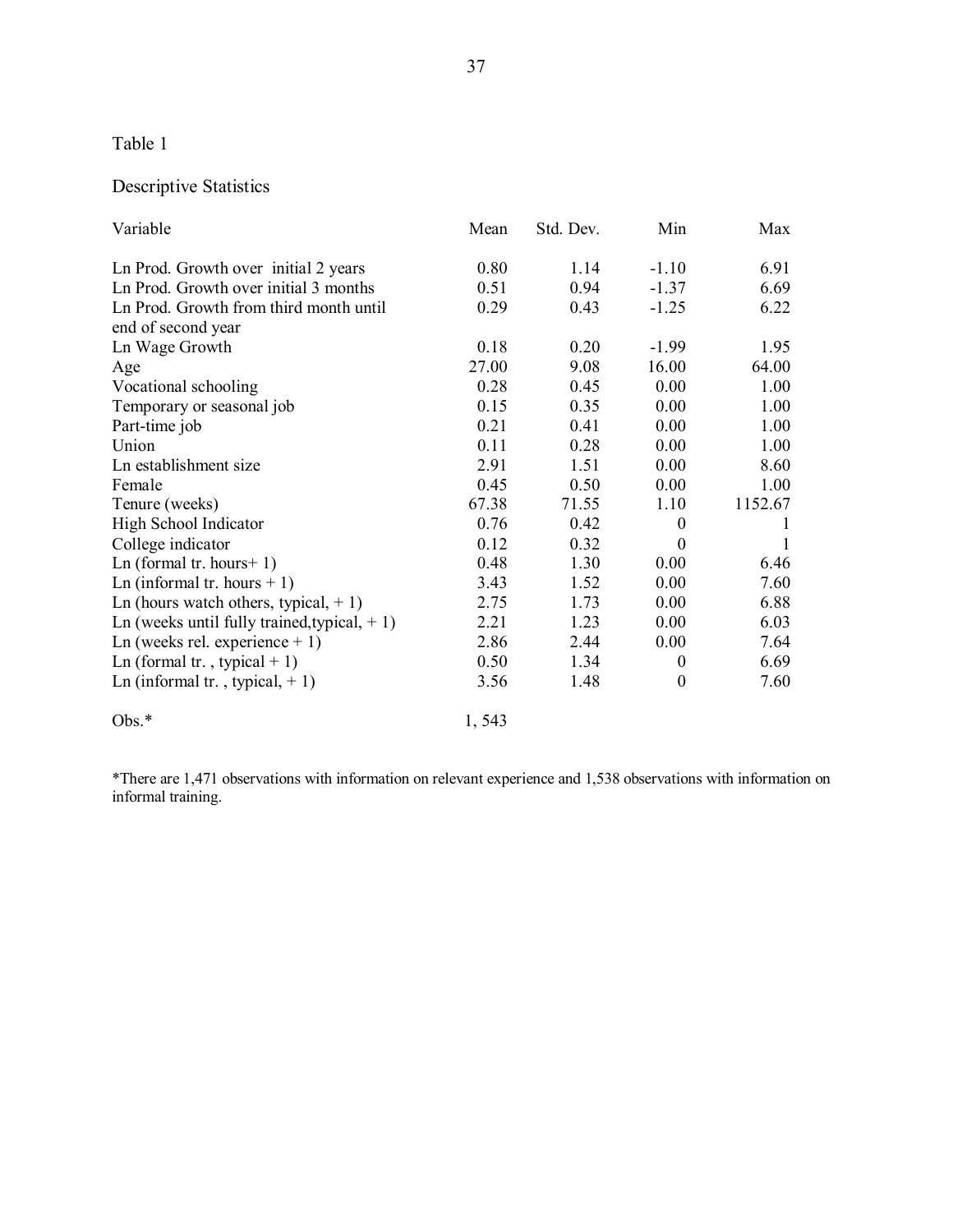## Descriptive Statistics

| Variable                                       | Mean  | Std. Dev. | Min              | Max     |
|------------------------------------------------|-------|-----------|------------------|---------|
| Ln Prod. Growth over initial 2 years           | 0.80  | 1.14      | $-1.10$          | 6.91    |
| Ln Prod. Growth over initial 3 months          | 0.51  | 0.94      | $-1.37$          | 6.69    |
| Ln Prod. Growth from third month until         | 0.29  | 0.43      | $-1.25$          | 6.22    |
| end of second year                             |       |           |                  |         |
| Ln Wage Growth                                 | 0.18  | 0.20      | $-1.99$          | 1.95    |
| Age                                            | 27.00 | 9.08      | 16.00            | 64.00   |
| Vocational schooling                           | 0.28  | 0.45      | 0.00             | 1.00    |
| Temporary or seasonal job                      | 0.15  | 0.35      | 0.00             | 1.00    |
| Part-time job                                  | 0.21  | 0.41      | 0.00             | 1.00    |
| Union                                          | 0.11  | 0.28      | 0.00             | 1.00    |
| Ln establishment size                          | 2.91  | 1.51      | 0.00             | 8.60    |
| Female                                         | 0.45  | 0.50      | 0.00             | 1.00    |
| Tenure (weeks)                                 | 67.38 | 71.55     | 1.10             | 1152.67 |
| High School Indicator                          | 0.76  | 0.42      | $\boldsymbol{0}$ |         |
| College indicator                              | 0.12  | 0.32      | $\theta$         | 1       |
| Ln (formal tr. hours + 1)                      | 0.48  | 1.30      | 0.00             | 6.46    |
| Ln (informal tr. hours $+1$ )                  | 3.43  | 1.52      | 0.00             | 7.60    |
| Ln (hours watch others, typical, $+1$ )        | 2.75  | 1.73      | 0.00             | 6.88    |
| Ln (weeks until fully trained, typical, $+1$ ) | 2.21  | 1.23      | 0.00             | 6.03    |
| Ln (weeks rel. experience $+1$ )               | 2.86  | 2.44      | 0.00             | 7.64    |
| Ln (formal tr., typical $+1$ )                 | 0.50  | 1.34      | $\boldsymbol{0}$ | 6.69    |
| Ln (informal tr., typical, $+1$ )              | 3.56  | 1.48      | $\boldsymbol{0}$ | 7.60    |
| $Obs.*$                                        | 1,543 |           |                  |         |

\*There are 1,471 observations with information on relevant experience and 1,538 observations with information on informal training.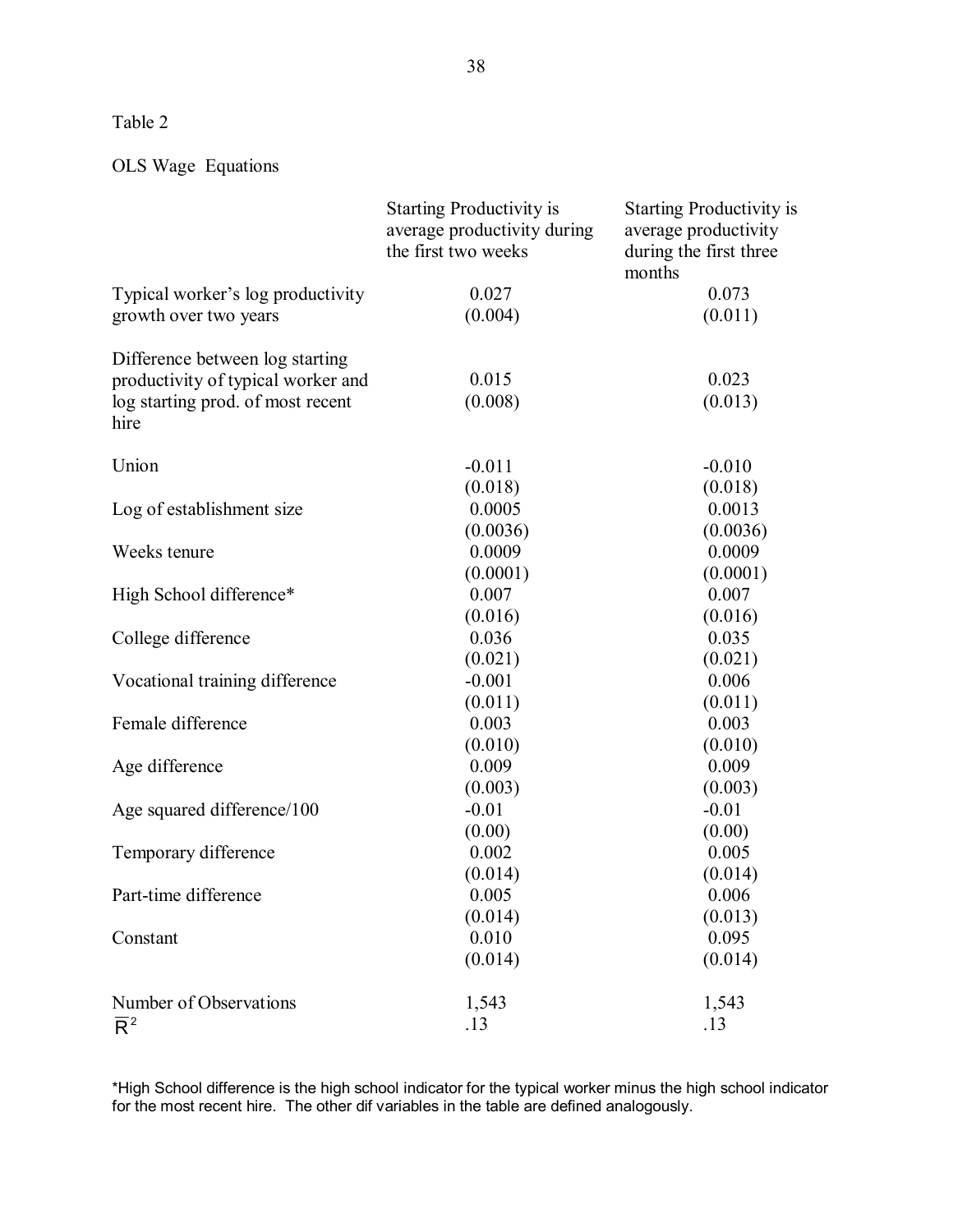## OLS Wage Equations

|                                           | <b>Starting Productivity is</b><br>average productivity during<br>the first two weeks | <b>Starting Productivity is</b><br>average productivity<br>during the first three<br>months |
|-------------------------------------------|---------------------------------------------------------------------------------------|---------------------------------------------------------------------------------------------|
| Typical worker's log productivity         | 0.027                                                                                 | 0.073                                                                                       |
| growth over two years                     | (0.004)                                                                               | (0.011)                                                                                     |
| Difference between log starting           |                                                                                       |                                                                                             |
| productivity of typical worker and        | 0.015                                                                                 | 0.023                                                                                       |
| log starting prod. of most recent<br>hire | (0.008)                                                                               | (0.013)                                                                                     |
| Union                                     | $-0.011$                                                                              | $-0.010$                                                                                    |
|                                           | (0.018)                                                                               | (0.018)                                                                                     |
| Log of establishment size                 | 0.0005                                                                                | 0.0013                                                                                      |
|                                           | (0.0036)                                                                              | (0.0036)                                                                                    |
| Weeks tenure                              | 0.0009                                                                                | 0.0009                                                                                      |
|                                           | (0.0001)                                                                              | (0.0001)                                                                                    |
| High School difference*                   | 0.007                                                                                 | 0.007                                                                                       |
|                                           | (0.016)                                                                               | (0.016)                                                                                     |
| College difference                        | 0.036                                                                                 | 0.035                                                                                       |
|                                           | (0.021)                                                                               | (0.021)                                                                                     |
| Vocational training difference            | $-0.001$                                                                              | 0.006                                                                                       |
|                                           | (0.011)                                                                               | (0.011)                                                                                     |
| Female difference                         | 0.003                                                                                 | 0.003                                                                                       |
|                                           | (0.010)                                                                               | (0.010)                                                                                     |
| Age difference                            | 0.009                                                                                 | 0.009                                                                                       |
|                                           | (0.003)                                                                               | (0.003)                                                                                     |
| Age squared difference/100                | $-0.01$                                                                               | $-0.01$                                                                                     |
|                                           | (0.00)                                                                                | (0.00)                                                                                      |
| Temporary difference                      | 0.002                                                                                 | 0.005                                                                                       |
|                                           | (0.014)                                                                               | (0.014)                                                                                     |
| Part-time difference                      | 0.005                                                                                 | 0.006                                                                                       |
|                                           | (0.014)<br>0.010                                                                      | (0.013)<br>0.095                                                                            |
| Constant                                  |                                                                                       |                                                                                             |
|                                           | (0.014)                                                                               | (0.014)                                                                                     |
| Number of Observations                    | 1,543                                                                                 | 1,543                                                                                       |
| $\overline{\mathsf{R}}^2$                 | .13                                                                                   | .13                                                                                         |

\*High School difference is the high school indicator for the typical worker minus the high school indicator for the most recent hire. The other dif variables in the table are defined analogously.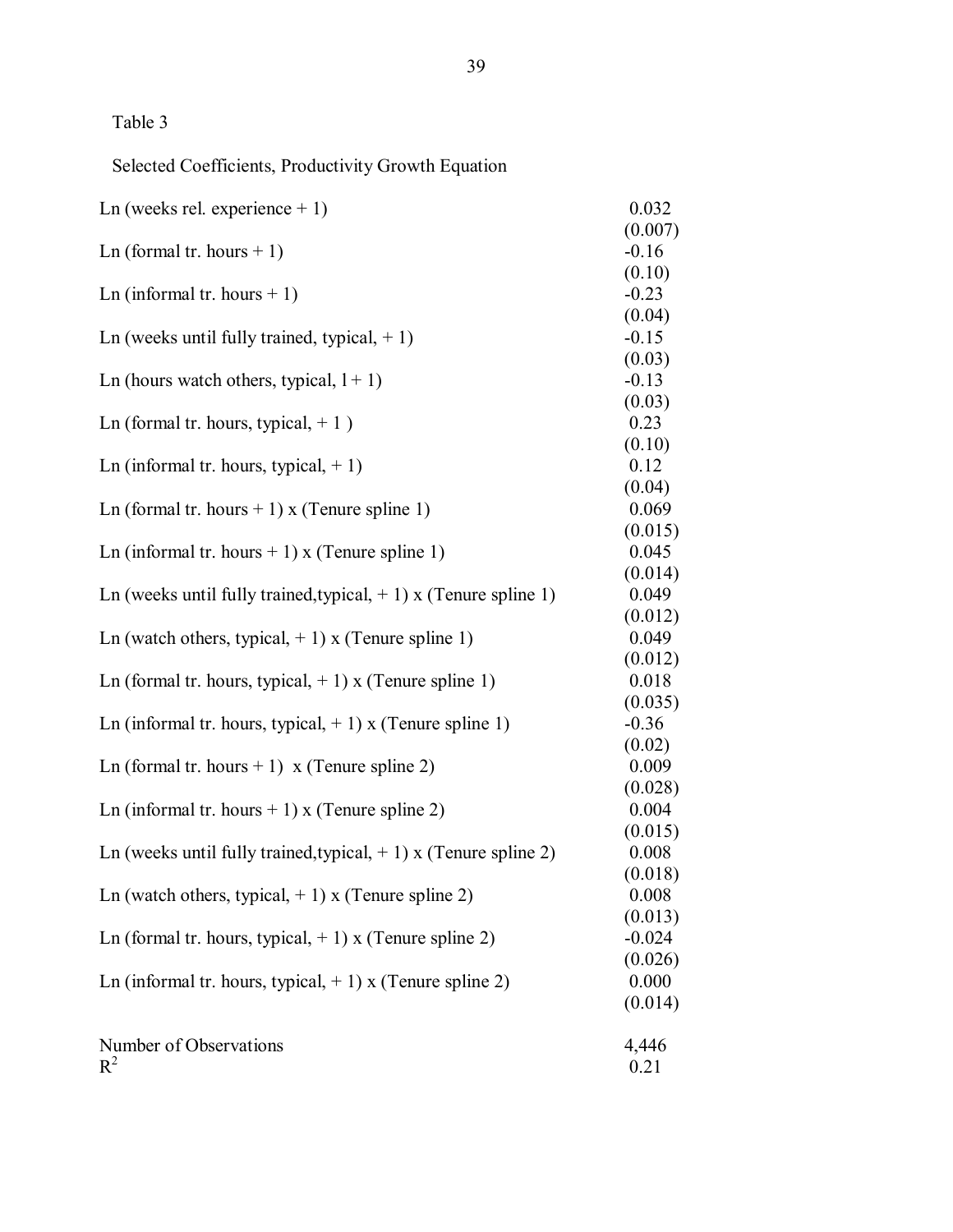Selected Coefficients, Productivity Growth Equation

| Ln (weeks rel. experience $+1$ )                                    | 0.032            |
|---------------------------------------------------------------------|------------------|
|                                                                     | (0.007)          |
| Ln (formal tr. hours $+1$ )                                         | $-0.16$          |
|                                                                     | (0.10)           |
| Ln (informal tr. hours $+1$ )                                       | $-0.23$          |
|                                                                     | (0.04)           |
| Ln (weeks until fully trained, typical, $+1$ )                      | $-0.15$          |
|                                                                     | (0.03)           |
| Ln (hours watch others, typical, $1+1$ )                            | $-0.13$          |
|                                                                     | (0.03)           |
| Ln (formal tr. hours, typical, $+1$ )                               | 0.23             |
|                                                                     | (0.10)           |
| Ln (informal tr. hours, typical, $+1$ )                             | 0.12             |
|                                                                     | (0.04)           |
| Ln (formal tr. hours $+1$ ) x (Tenure spline 1)                     | 0.069            |
|                                                                     | (0.015)<br>0.045 |
| Ln (informal tr. hours + 1) x (Tenure spline 1)                     |                  |
| Ln (weeks until fully trained, typical, $+ 1$ ) x (Tenure spline 1) | (0.014)<br>0.049 |
|                                                                     | (0.012)          |
| Ln (watch others, typical, $+1$ ) x (Tenure spline 1)               | 0.049            |
|                                                                     | (0.012)          |
| Ln (formal tr. hours, typical, $+ 1$ ) x (Tenure spline 1)          | 0.018            |
|                                                                     | (0.035)          |
| Ln (informal tr. hours, typical, $+ 1$ ) x (Tenure spline 1)        | $-0.36$          |
|                                                                     | (0.02)           |
| Ln (formal tr. hours + 1) $x$ (Tenure spline 2)                     | 0.009            |
|                                                                     | (0.028)          |
| Ln (informal tr. hours + 1) x (Tenure spline 2)                     | 0.004            |
|                                                                     | (0.015)          |
| Ln (weeks until fully trained, typical, $+ 1$ ) x (Tenure spline 2) | 0.008            |
|                                                                     | (0.018)          |
| Ln (watch others, typical, $+1$ ) x (Tenure spline 2)               | 0.008            |
|                                                                     | (0.013)          |
| Ln (formal tr. hours, typical, $+ 1$ ) x (Tenure spline 2)          | $-0.024$         |
|                                                                     | (0.026)          |
| Ln (informal tr. hours, typical, $+ 1$ ) x (Tenure spline 2)        | 0.000            |
|                                                                     | (0.014)          |
| Number of Observations                                              | 4,446            |
| $R^2$                                                               | 0.21             |
|                                                                     |                  |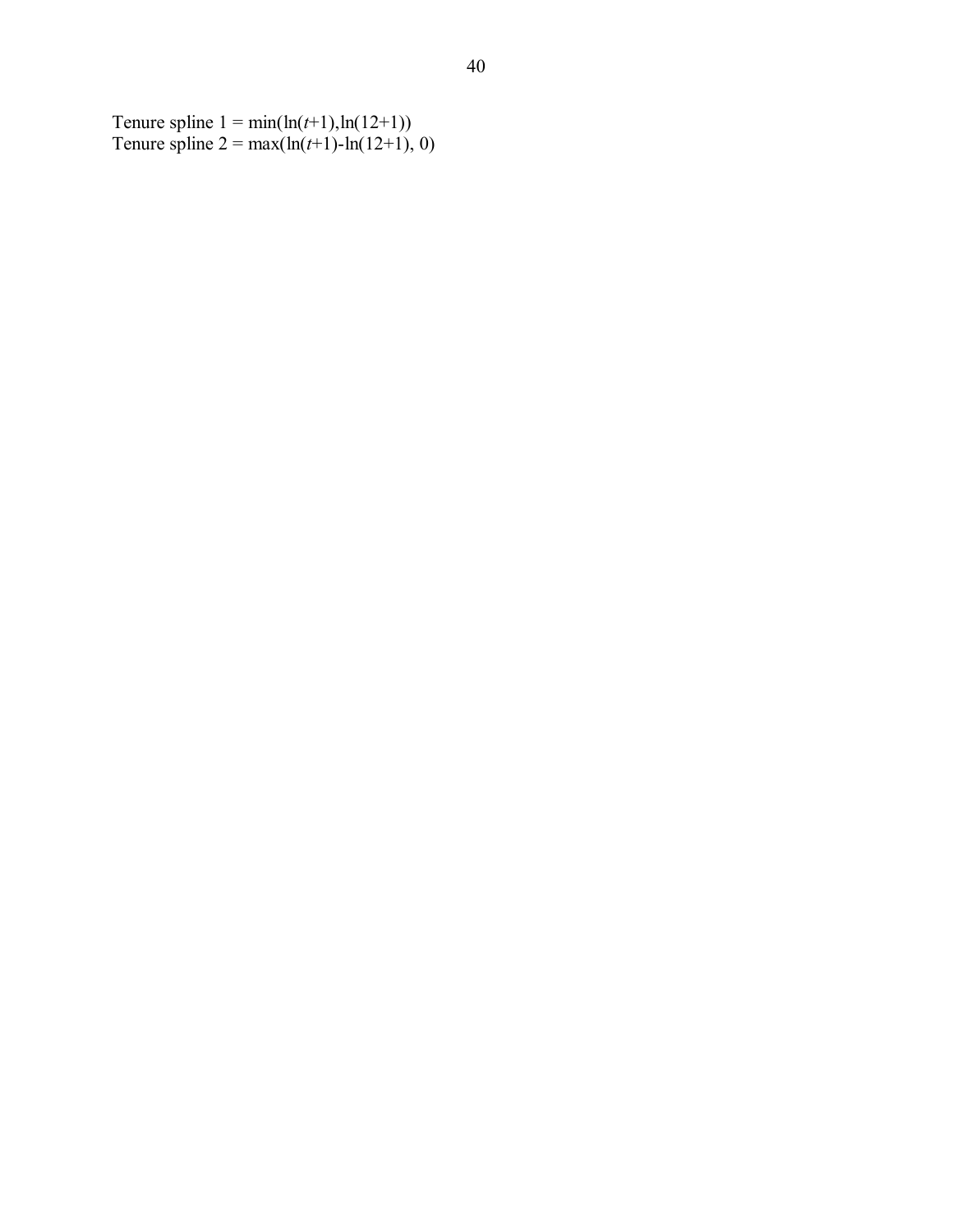Tenure spline  $1 = \min(\ln(t+1), \ln(12+1))$ Tenure spline  $2 = max(ln(t+1) - ln(12+1), 0)$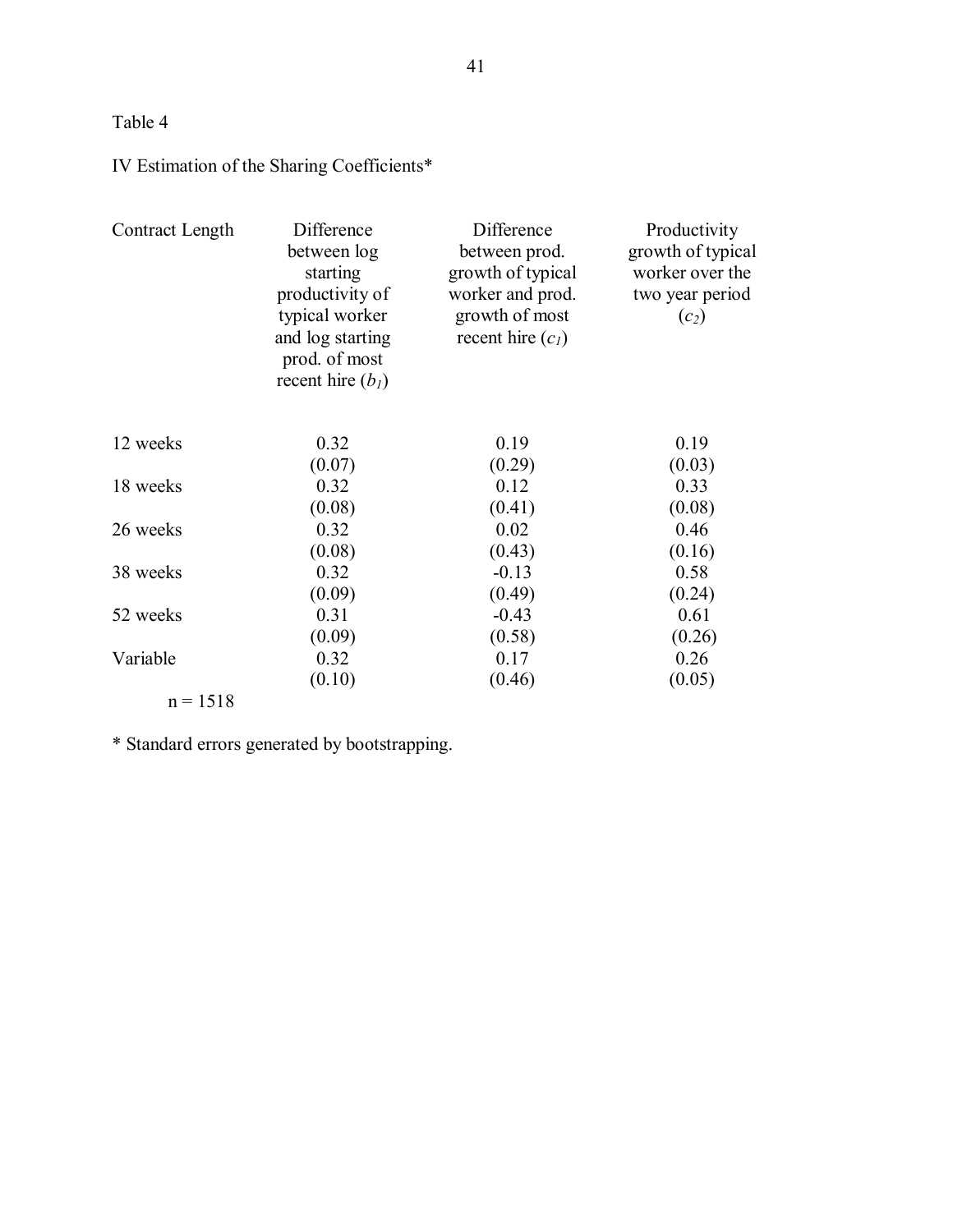# IV Estimation of the Sharing Coefficients\*

| Contract Length | Difference<br>between log<br>starting<br>productivity of<br>typical worker<br>and log starting<br>prod. of most<br>recent hire $(bl)$ | Difference<br>between prod.<br>growth of typical<br>worker and prod.<br>growth of most<br>recent hire $(cl)$ | Productivity<br>growth of typical<br>worker over the<br>two year period<br>$(c_2)$ |
|-----------------|---------------------------------------------------------------------------------------------------------------------------------------|--------------------------------------------------------------------------------------------------------------|------------------------------------------------------------------------------------|
| 12 weeks        | 0.32                                                                                                                                  | 0.19                                                                                                         | 0.19                                                                               |
|                 | (0.07)                                                                                                                                | (0.29)                                                                                                       | (0.03)                                                                             |
| 18 weeks        | 0.32                                                                                                                                  | 0.12                                                                                                         | 0.33                                                                               |
|                 | (0.08)                                                                                                                                | (0.41)                                                                                                       | (0.08)                                                                             |
| 26 weeks        | 0.32                                                                                                                                  | 0.02                                                                                                         | 0.46                                                                               |
|                 | (0.08)                                                                                                                                | (0.43)                                                                                                       | (0.16)                                                                             |
| 38 weeks        | 0.32                                                                                                                                  | $-0.13$                                                                                                      | 0.58                                                                               |
|                 | (0.09)                                                                                                                                | (0.49)                                                                                                       | (0.24)                                                                             |
| 52 weeks        | 0.31                                                                                                                                  | $-0.43$                                                                                                      | 0.61                                                                               |
|                 | (0.09)                                                                                                                                | (0.58)                                                                                                       | (0.26)                                                                             |
| Variable        | 0.32                                                                                                                                  | 0.17                                                                                                         | 0.26                                                                               |
|                 | (0.10)                                                                                                                                | (0.46)                                                                                                       | (0.05)                                                                             |
| $n = 1518$      |                                                                                                                                       |                                                                                                              |                                                                                    |

\* Standard errors generated by bootstrapping.